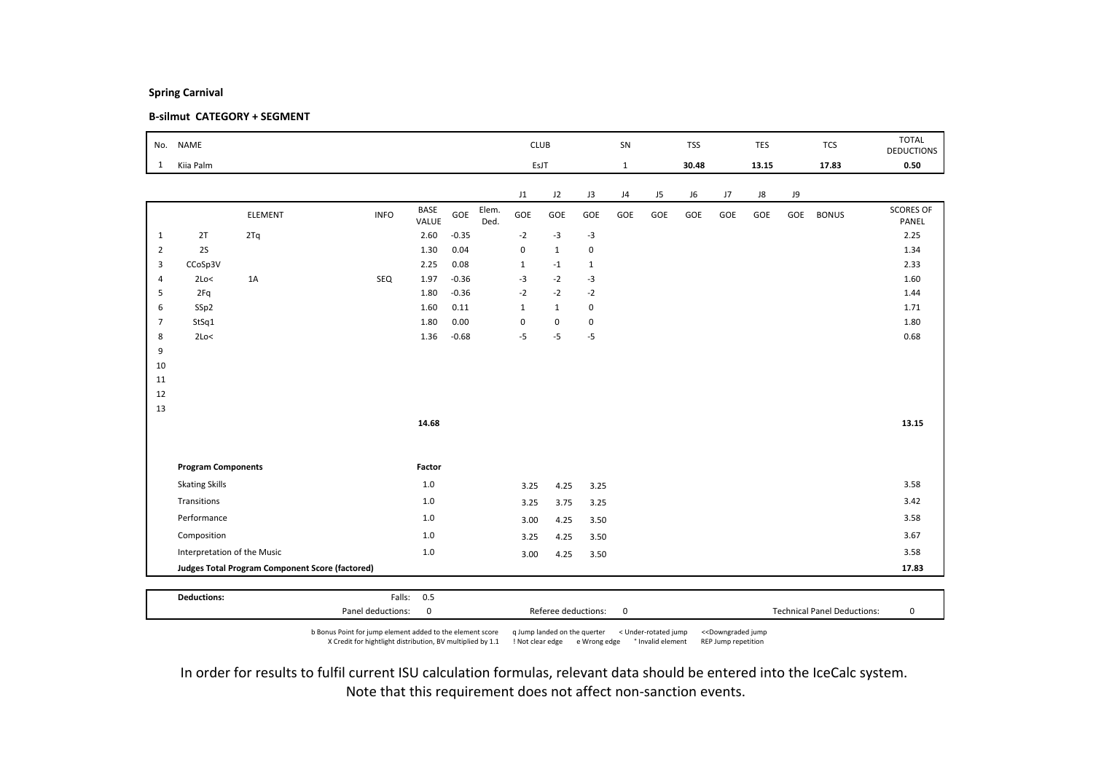### B-silmut CATEGORY + SEGMENT

|                | No. NAME                    |                                                        |             |                      |         |               | <b>CLUB</b>  |              |              | SN           |     | <b>TSS</b> |     | <b>TES</b> |     | <b>TCS</b>   | <b>TOTAL</b><br><b>DEDUCTIONS</b> |
|----------------|-----------------------------|--------------------------------------------------------|-------------|----------------------|---------|---------------|--------------|--------------|--------------|--------------|-----|------------|-----|------------|-----|--------------|-----------------------------------|
| $\mathbf{1}$   | Kiia Palm                   |                                                        |             |                      |         |               | EsJT         |              |              | $\mathbf{1}$ |     | 30.48      |     | 13.15      |     | 17.83        | 0.50                              |
|                |                             |                                                        |             |                      |         |               | J1           | J2           | J3           | J4           | J5  | J6         | J7  | ${\sf J}8$ | J9  |              |                                   |
|                |                             | ELEMENT                                                | <b>INFO</b> | <b>BASE</b><br>VALUE | GOE     | Elem.<br>Ded. | GOE          | GOE          | GOE          | GOE          | GOE | GOE        | GOE | GOE        | GOE | <b>BONUS</b> | <b>SCORES OF</b><br>PANEL         |
| $\mathbf{1}$   | 2T                          | 2Tq                                                    |             | 2.60                 | $-0.35$ |               | $-2$         | $-3$         | $-3$         |              |     |            |     |            |     |              | 2.25                              |
| $\overline{2}$ | 2S                          |                                                        |             | 1.30                 | 0.04    |               | $\mathbf 0$  | $\mathbf{1}$ | 0            |              |     |            |     |            |     |              | 1.34                              |
| $\overline{3}$ | CCoSp3V                     |                                                        |             | 2.25                 | 0.08    |               | $\mathbf{1}$ | $-1$         | $\mathbf{1}$ |              |     |            |     |            |     |              | 2.33                              |
| $\overline{4}$ | 2Lo<                        | 1A                                                     | SEQ         | 1.97                 | $-0.36$ |               | $-3$         | $-2$         | $-3$         |              |     |            |     |            |     |              | 1.60                              |
| 5              | 2Fq                         |                                                        |             | 1.80                 | $-0.36$ |               | $-2$         | $-2$         | $-2$         |              |     |            |     |            |     |              | 1.44                              |
| 6              | SSp2                        |                                                        |             | 1.60                 | 0.11    |               | $\mathbf{1}$ | $\mathbf{1}$ | 0            |              |     |            |     |            |     |              | 1.71                              |
| $\overline{7}$ | StSq1                       |                                                        |             | 1.80                 | 0.00    |               | $\pmb{0}$    | $\mathsf 0$  | 0            |              |     |            |     |            |     |              | 1.80                              |
| 8              | 2Lo<                        |                                                        |             | 1.36                 | $-0.68$ |               | $-5$         | $-5$         | $-5$         |              |     |            |     |            |     |              | 0.68                              |
| 9              |                             |                                                        |             |                      |         |               |              |              |              |              |     |            |     |            |     |              |                                   |
| 10<br>11       |                             |                                                        |             |                      |         |               |              |              |              |              |     |            |     |            |     |              |                                   |
| 12             |                             |                                                        |             |                      |         |               |              |              |              |              |     |            |     |            |     |              |                                   |
| 13             |                             |                                                        |             |                      |         |               |              |              |              |              |     |            |     |            |     |              |                                   |
|                |                             |                                                        |             | 14.68                |         |               |              |              |              |              |     |            |     |            |     |              | 13.15                             |
|                |                             |                                                        |             |                      |         |               |              |              |              |              |     |            |     |            |     |              |                                   |
|                | <b>Program Components</b>   |                                                        |             | Factor               |         |               |              |              |              |              |     |            |     |            |     |              |                                   |
|                | <b>Skating Skills</b>       |                                                        |             | 1.0                  |         |               | 3.25         | 4.25         | 3.25         |              |     |            |     |            |     |              | 3.58                              |
|                | Transitions                 |                                                        |             | $1.0$                |         |               | 3.25         | 3.75         | 3.25         |              |     |            |     |            |     |              | 3.42                              |
|                | Performance                 |                                                        |             | $1.0$                |         |               | 3.00         | 4.25         | 3.50         |              |     |            |     |            |     |              | 3.58                              |
|                | Composition                 |                                                        |             | 1.0                  |         |               | 3.25         | 4.25         | 3.50         |              |     |            |     |            |     |              | 3.67                              |
|                | Interpretation of the Music |                                                        |             | $1.0$                |         |               | 3.00         | 4.25         | 3.50         |              |     |            |     |            |     |              | 3.58                              |
|                |                             | <b>Judges Total Program Component Score (factored)</b> |             |                      |         |               |              |              |              |              |     |            |     |            |     |              | 17.83                             |
|                |                             |                                                        |             |                      |         |               |              |              |              |              |     |            |     |            |     |              |                                   |
|                | <b>Deductions:</b>          |                                                        |             | Falls: 0.5           |         |               |              |              |              |              |     |            |     |            |     |              |                                   |

b Bonus Point for jump element added to the element score q Jump landed on the querter < Under-rotated jump <<Downgraded jump X Credit for hightlight distribution, BV multiplied by 1.1 ! Not clear edge e Wrong edge ° Invalid element REP Jump repetition

Panel deductions: 0 Referee deductions: 0 Technical Panel Deductions: 0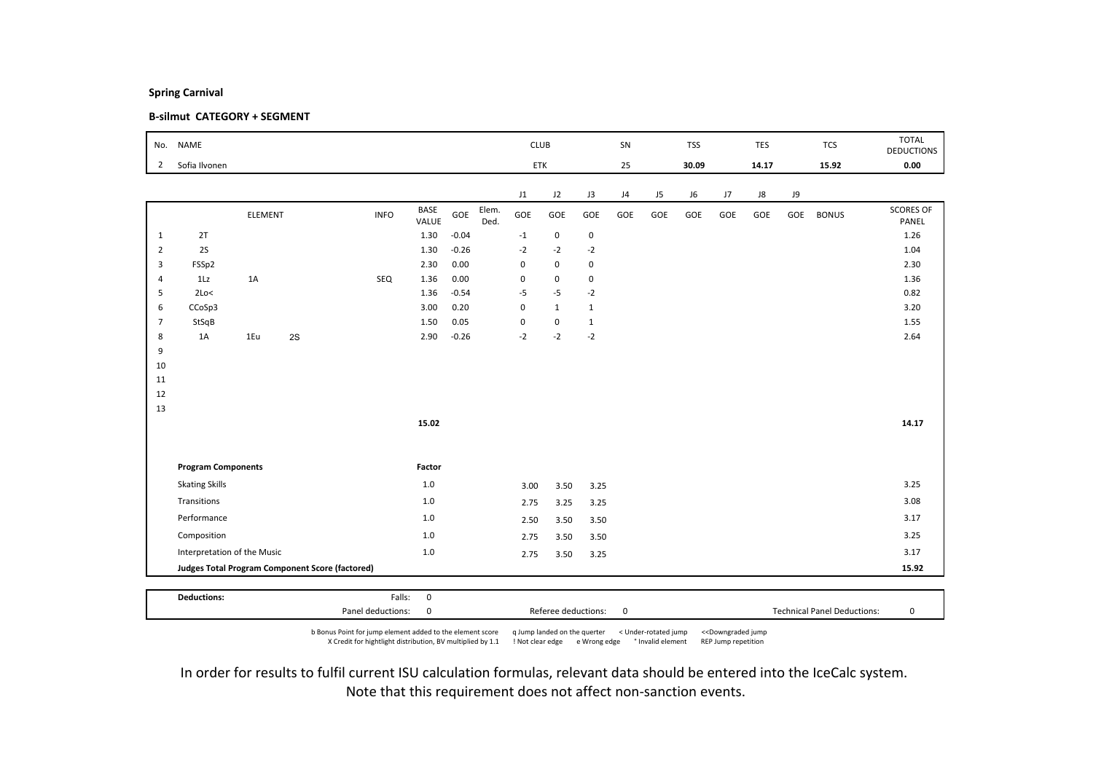### B-silmut CATEGORY + SEGMENT

| No.            | <b>NAME</b>                 |                |    |                                                 |                       |         |               |             | <b>CLUB</b>  |              | SN  |     | <b>TSS</b> |     | <b>TES</b> |     | <b>TCS</b>   | <b>TOTAL</b><br><b>DEDUCTIONS</b> |
|----------------|-----------------------------|----------------|----|-------------------------------------------------|-----------------------|---------|---------------|-------------|--------------|--------------|-----|-----|------------|-----|------------|-----|--------------|-----------------------------------|
| $\overline{2}$ | Sofia Ilvonen               |                |    |                                                 |                       |         |               |             | ETK          |              | 25  |     | 30.09      |     | 14.17      |     | 15.92        | 0.00                              |
|                |                             |                |    |                                                 |                       |         |               | J1          | J2           | J3           | J4  | J5  | J6         | J7  | J8         | J9  |              |                                   |
|                |                             | <b>ELEMENT</b> |    | <b>INFO</b>                                     | BASE<br>VALUE         | GOE     | Elem.<br>Ded. | GOE         | GOE          | GOE          | GOE | GOE | GOE        | GOE | GOE        | GOE | <b>BONUS</b> | <b>SCORES OF</b><br>PANEL         |
| $\mathbf{1}$   | 2T                          |                |    |                                                 | 1.30                  | $-0.04$ |               | $-1$        | $\mathsf 0$  | $\mathbf 0$  |     |     |            |     |            |     |              | 1.26                              |
| $\overline{2}$ | 2S                          |                |    |                                                 | 1.30                  | $-0.26$ |               | $-2$        | $-2$         | $-2$         |     |     |            |     |            |     |              | 1.04                              |
| 3              | FSSp2                       |                |    |                                                 | 2.30                  | 0.00    |               | 0           | $\mathsf 0$  | $\mathbf 0$  |     |     |            |     |            |     |              | 2.30                              |
| $\overline{4}$ | 1Lz                         | 1A             |    | SEQ                                             | 1.36                  | 0.00    |               | $\pmb{0}$   | 0            | 0            |     |     |            |     |            |     |              | 1.36                              |
| 5              | 2Lo<                        |                |    |                                                 | 1.36                  | $-0.54$ |               | $-5$        | $-5$         | $-2$         |     |     |            |     |            |     |              | 0.82                              |
| 6              | CCoSp3                      |                |    |                                                 | 3.00                  | 0.20    |               | $\mathbf 0$ | $\mathbf{1}$ | $\mathbf{1}$ |     |     |            |     |            |     |              | 3.20                              |
| $\overline{7}$ | StSqB                       |                |    |                                                 | 1.50                  | 0.05    |               | $\pmb{0}$   | $\mathsf 0$  | $\mathbf{1}$ |     |     |            |     |            |     |              | 1.55                              |
| 8              | 1A                          | 1Eu            | 2S |                                                 | 2.90                  | $-0.26$ |               | $-2$        | $-2$         | $-2$         |     |     |            |     |            |     |              | 2.64                              |
| 9              |                             |                |    |                                                 |                       |         |               |             |              |              |     |     |            |     |            |     |              |                                   |
| 10<br>11       |                             |                |    |                                                 |                       |         |               |             |              |              |     |     |            |     |            |     |              |                                   |
| 12             |                             |                |    |                                                 |                       |         |               |             |              |              |     |     |            |     |            |     |              |                                   |
| 13             |                             |                |    |                                                 |                       |         |               |             |              |              |     |     |            |     |            |     |              |                                   |
|                |                             |                |    |                                                 | 15.02                 |         |               |             |              |              |     |     |            |     |            |     |              | 14.17                             |
|                |                             |                |    |                                                 |                       |         |               |             |              |              |     |     |            |     |            |     |              |                                   |
|                | <b>Program Components</b>   |                |    |                                                 | Factor                |         |               |             |              |              |     |     |            |     |            |     |              |                                   |
|                | <b>Skating Skills</b>       |                |    |                                                 | $1.0\,$               |         |               | 3.00        | 3.50         | 3.25         |     |     |            |     |            |     |              | 3.25                              |
|                | Transitions                 |                |    |                                                 | $1.0$                 |         |               | 2.75        | 3.25         | 3.25         |     |     |            |     |            |     |              | 3.08                              |
|                | Performance                 |                |    |                                                 | 1.0                   |         |               | 2.50        | 3.50         | 3.50         |     |     |            |     |            |     |              | 3.17                              |
|                | Composition                 |                |    |                                                 | 1.0                   |         |               | 2.75        | 3.50         | 3.50         |     |     |            |     |            |     |              | 3.25                              |
|                | Interpretation of the Music |                |    |                                                 | $1.0\,$               |         |               | 2.75        | 3.50         | 3.25         |     |     |            |     |            |     |              | 3.17                              |
|                |                             |                |    | Judges Total Program Component Score (factored) |                       |         |               |             |              |              |     |     |            |     |            |     |              | 15.92                             |
|                |                             |                |    |                                                 |                       |         |               |             |              |              |     |     |            |     |            |     |              |                                   |
|                | <b>Deductions:</b>          |                |    |                                                 | $\mathbf 0$<br>Falls: |         |               |             |              |              |     |     |            |     |            |     |              |                                   |

b Bonus Point for jump element added to the element score q Jump landed on the querter < Under-rotated jump <<Downgraded jump X Credit for hightlight distribution, BV multiplied by 1.1 ! Not clear edge e Wrong edge ° Invalid element REP Jump repetition

Panel deductions: 0 Referee deductions: 0 Technical Panel Deductions: 0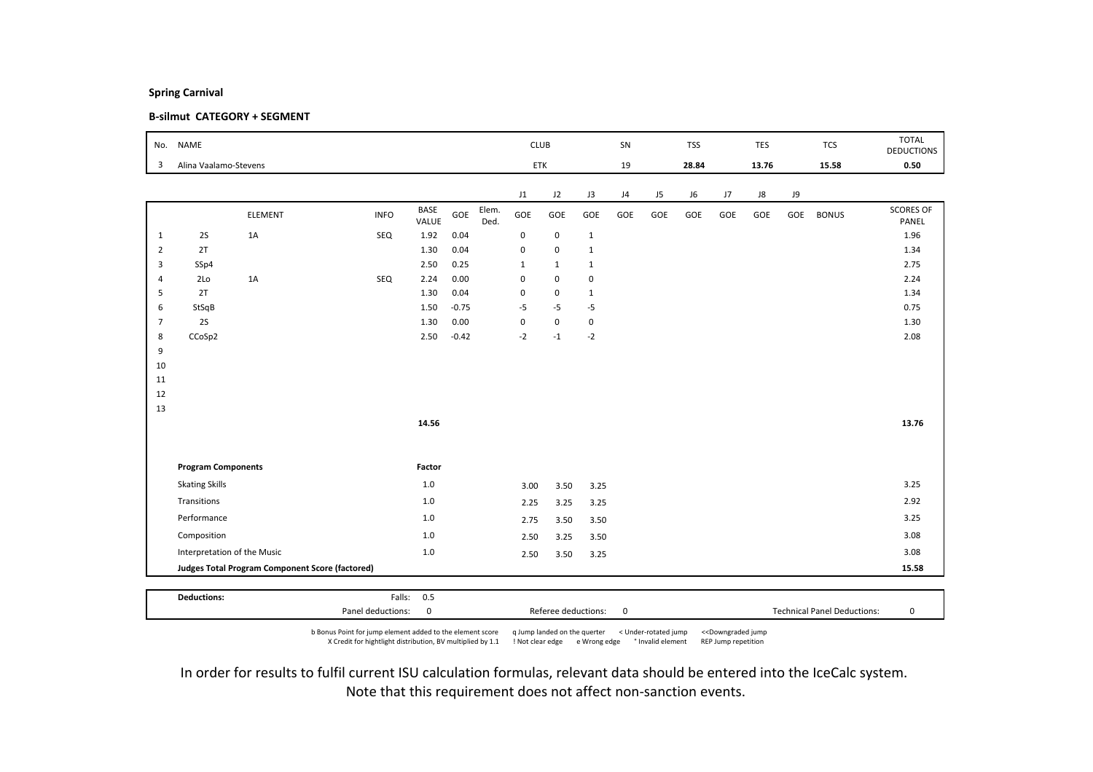### B-silmut CATEGORY + SEGMENT

|                | No. NAME                    |                                                 |             |                      |         |               | <b>CLUB</b>  |              |              | SN  |     | <b>TSS</b> |     | <b>TES</b> |     | <b>TCS</b>   | <b>TOTAL</b><br><b>DEDUCTIONS</b> |
|----------------|-----------------------------|-------------------------------------------------|-------------|----------------------|---------|---------------|--------------|--------------|--------------|-----|-----|------------|-----|------------|-----|--------------|-----------------------------------|
| 3              | Alina Vaalamo-Stevens       |                                                 |             |                      |         |               |              | ETK          |              | 19  |     | 28.84      |     | 13.76      |     | 15.58        | 0.50                              |
|                |                             |                                                 |             |                      |         |               | J1           | J2           | J3           | J4  | J5  | J6         | J7  | J8         | J9  |              |                                   |
|                |                             | ELEMENT                                         | <b>INFO</b> | <b>BASE</b><br>VALUE | GOE     | Elem.<br>Ded. | GOE          | GOE          | GOE          | GOE | GOE | GOE        | GOE | GOE        | GOE | <b>BONUS</b> | <b>SCORES OF</b><br>PANEL         |
| $\mathbf{1}$   | 2S                          | 1A                                              | SEQ         | 1.92                 | 0.04    |               | $\pmb{0}$    | $\mathsf 0$  | $\mathbf{1}$ |     |     |            |     |            |     |              | 1.96                              |
| $\overline{2}$ | 2T                          |                                                 |             | 1.30                 | 0.04    |               | $\mathbf 0$  | $\mathbf 0$  | $\mathbf{1}$ |     |     |            |     |            |     |              | 1.34                              |
| 3              | SSp4                        |                                                 |             | 2.50                 | 0.25    |               | $\mathbf{1}$ | $\mathbf{1}$ | $\mathbf{1}$ |     |     |            |     |            |     |              | 2.75                              |
| $\overline{4}$ | 2Lo                         | 1A                                              | SEQ         | 2.24                 | 0.00    |               | $\pmb{0}$    | $\mathbf 0$  | $\pmb{0}$    |     |     |            |     |            |     |              | 2.24                              |
| 5              | 2T                          |                                                 |             | 1.30                 | 0.04    |               | $\pmb{0}$    | $\mathsf 0$  | $\mathbf{1}$ |     |     |            |     |            |     |              | 1.34                              |
| 6              | StSqB                       |                                                 |             | 1.50                 | $-0.75$ |               | $-5$         | $-5$         | $-5$         |     |     |            |     |            |     |              | 0.75                              |
| $\overline{7}$ | 2S                          |                                                 |             | 1.30                 | 0.00    |               | 0            | $\mathbf 0$  | $\pmb{0}$    |     |     |            |     |            |     |              | 1.30                              |
| 8<br>9         | CCoSp2                      |                                                 |             | 2.50                 | $-0.42$ |               | $-2$         | $-1$         | $-2$         |     |     |            |     |            |     |              | 2.08                              |
| 10             |                             |                                                 |             |                      |         |               |              |              |              |     |     |            |     |            |     |              |                                   |
| 11             |                             |                                                 |             |                      |         |               |              |              |              |     |     |            |     |            |     |              |                                   |
| 12             |                             |                                                 |             |                      |         |               |              |              |              |     |     |            |     |            |     |              |                                   |
| 13             |                             |                                                 |             |                      |         |               |              |              |              |     |     |            |     |            |     |              |                                   |
|                |                             |                                                 |             | 14.56                |         |               |              |              |              |     |     |            |     |            |     |              | 13.76                             |
|                |                             |                                                 |             |                      |         |               |              |              |              |     |     |            |     |            |     |              |                                   |
|                | <b>Program Components</b>   |                                                 |             | Factor               |         |               |              |              |              |     |     |            |     |            |     |              |                                   |
|                | <b>Skating Skills</b>       |                                                 |             | 1.0                  |         |               | 3.00         | 3.50         | 3.25         |     |     |            |     |            |     |              | 3.25                              |
|                | Transitions                 |                                                 |             | $1.0$                |         |               | 2.25         | 3.25         | 3.25         |     |     |            |     |            |     |              | 2.92                              |
|                | Performance                 |                                                 |             | 1.0                  |         |               | 2.75         | 3.50         | 3.50         |     |     |            |     |            |     |              | 3.25                              |
|                | Composition                 |                                                 |             | 1.0                  |         |               | 2.50         | 3.25         | 3.50         |     |     |            |     |            |     |              | 3.08                              |
|                | Interpretation of the Music |                                                 |             | $1.0$                |         |               | 2.50         | 3.50         | 3.25         |     |     |            |     |            |     |              | 3.08                              |
|                |                             | Judges Total Program Component Score (factored) |             |                      |         |               |              |              |              |     |     |            |     |            |     |              | 15.58                             |
|                |                             |                                                 |             |                      |         |               |              |              |              |     |     |            |     |            |     |              |                                   |
|                | <b>Deductions:</b>          |                                                 |             | Falls: 0.5           |         |               |              |              |              |     |     |            |     |            |     |              |                                   |

b Bonus Point for jump element added to the element score q Jump landed on the querter < Under-rotated jump <<Downgraded jump X Credit for hightlight distribution, BV multiplied by 1.1 ! Not clear edge e Wrong edge ° Invalid element REP Jump repetition

Panel deductions: 0 Referee deductions: 0 Technical Panel Deductions: 0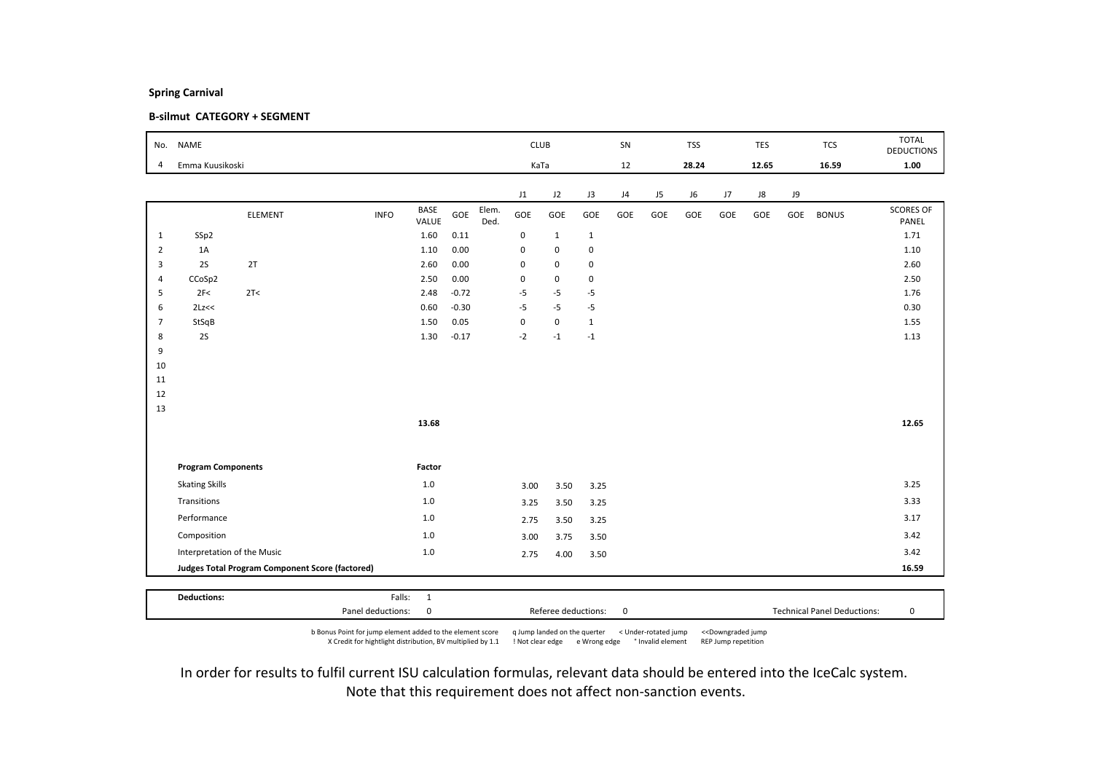### B-silmut CATEGORY + SEGMENT

|                | No. NAME                    |                                                        |             |               |         |               | <b>CLUB</b> |             |              | SN  |     | <b>TSS</b> |     | TES   |     | <b>TCS</b>   | <b>TOTAL</b><br><b>DEDUCTIONS</b> |
|----------------|-----------------------------|--------------------------------------------------------|-------------|---------------|---------|---------------|-------------|-------------|--------------|-----|-----|------------|-----|-------|-----|--------------|-----------------------------------|
| $\overline{4}$ | Emma Kuusikoski             |                                                        |             |               |         |               | KaTa        |             |              | 12  |     | 28.24      |     | 12.65 |     | 16.59        | 1.00                              |
|                |                             |                                                        |             |               |         |               | J1          | J2          | J3           | J4  | J5  | J6         | J7  | J8    | J9  |              |                                   |
|                |                             | ELEMENT                                                | <b>INFO</b> | BASE<br>VALUE | GOE     | Elem.<br>Ded. | GOE         | GOE         | GOE          | GOE | GOE | GOE        | GOE | GOE   | GOE | <b>BONUS</b> | <b>SCORES OF</b><br>PANEL         |
| $\mathbf{1}$   | SSp2                        |                                                        |             | 1.60          | 0.11    |               | $\mathbf 0$ | $1\,$       | $\mathbf{1}$ |     |     |            |     |       |     |              | 1.71                              |
| $\overline{2}$ | 1A                          |                                                        |             | 1.10          | 0.00    |               | $\mathbf 0$ | $\mathbf 0$ | $\pmb{0}$    |     |     |            |     |       |     |              | 1.10                              |
| 3              | 2S                          | 2T                                                     |             | 2.60          | 0.00    |               | $\mathbf 0$ | $\mathbf 0$ | 0            |     |     |            |     |       |     |              | 2.60                              |
| $\overline{4}$ | CCoSp2                      |                                                        |             | 2.50          | 0.00    |               | $\mathbf 0$ | $\mathbf 0$ | 0            |     |     |            |     |       |     |              | 2.50                              |
| 5              | 2F<                         | 2T <                                                   |             | 2.48          | $-0.72$ |               | $-5$        | $-5$        | $-5$         |     |     |            |     |       |     |              | 1.76                              |
| 6              | 2Lz<<                       |                                                        |             | 0.60          | $-0.30$ |               | $-5$        | $-5$        | $-5$         |     |     |            |     |       |     |              | 0.30                              |
| $\overline{7}$ | StSqB                       |                                                        |             | 1.50          | 0.05    |               | $\mathbf 0$ | $\mathbf 0$ | $\mathbf{1}$ |     |     |            |     |       |     |              | 1.55                              |
| 8              | 2S                          |                                                        |             | 1.30          | $-0.17$ |               | $-2$        | $-1$        | $-1$         |     |     |            |     |       |     |              | 1.13                              |
| 9              |                             |                                                        |             |               |         |               |             |             |              |     |     |            |     |       |     |              |                                   |
| 10<br>11       |                             |                                                        |             |               |         |               |             |             |              |     |     |            |     |       |     |              |                                   |
| 12             |                             |                                                        |             |               |         |               |             |             |              |     |     |            |     |       |     |              |                                   |
| 13             |                             |                                                        |             |               |         |               |             |             |              |     |     |            |     |       |     |              |                                   |
|                |                             |                                                        |             | 13.68         |         |               |             |             |              |     |     |            |     |       |     |              | 12.65                             |
|                |                             |                                                        |             |               |         |               |             |             |              |     |     |            |     |       |     |              |                                   |
|                | <b>Program Components</b>   |                                                        |             | Factor        |         |               |             |             |              |     |     |            |     |       |     |              |                                   |
|                | <b>Skating Skills</b>       |                                                        |             | $1.0$         |         |               | 3.00        | 3.50        | 3.25         |     |     |            |     |       |     |              | 3.25                              |
|                | Transitions                 |                                                        |             | $1.0\,$       |         |               | 3.25        | 3.50        | 3.25         |     |     |            |     |       |     |              | 3.33                              |
|                | Performance                 |                                                        |             | 1.0           |         |               | 2.75        | 3.50        | 3.25         |     |     |            |     |       |     |              | 3.17                              |
|                | Composition                 |                                                        |             | $1.0$         |         |               | 3.00        | 3.75        | 3.50         |     |     |            |     |       |     |              | 3.42                              |
|                | Interpretation of the Music |                                                        |             | $1.0$         |         |               | 2.75        | 4.00        | 3.50         |     |     |            |     |       |     |              | 3.42                              |
|                |                             | <b>Judges Total Program Component Score (factored)</b> |             |               |         |               |             |             |              |     |     |            |     |       |     |              | 16.59                             |

b Bonus Point for jump element added to the element score q Jump landed on the querter < Under-rotated jump <<Downgraded jump X Credit for hightlight distribution, BV multiplied by 1.1 ! Not clear edge e Wrong edge ° Invalid element REP Jump repetition

Panel deductions: 0 Referee deductions: 0 Technical Panel Deductions: 0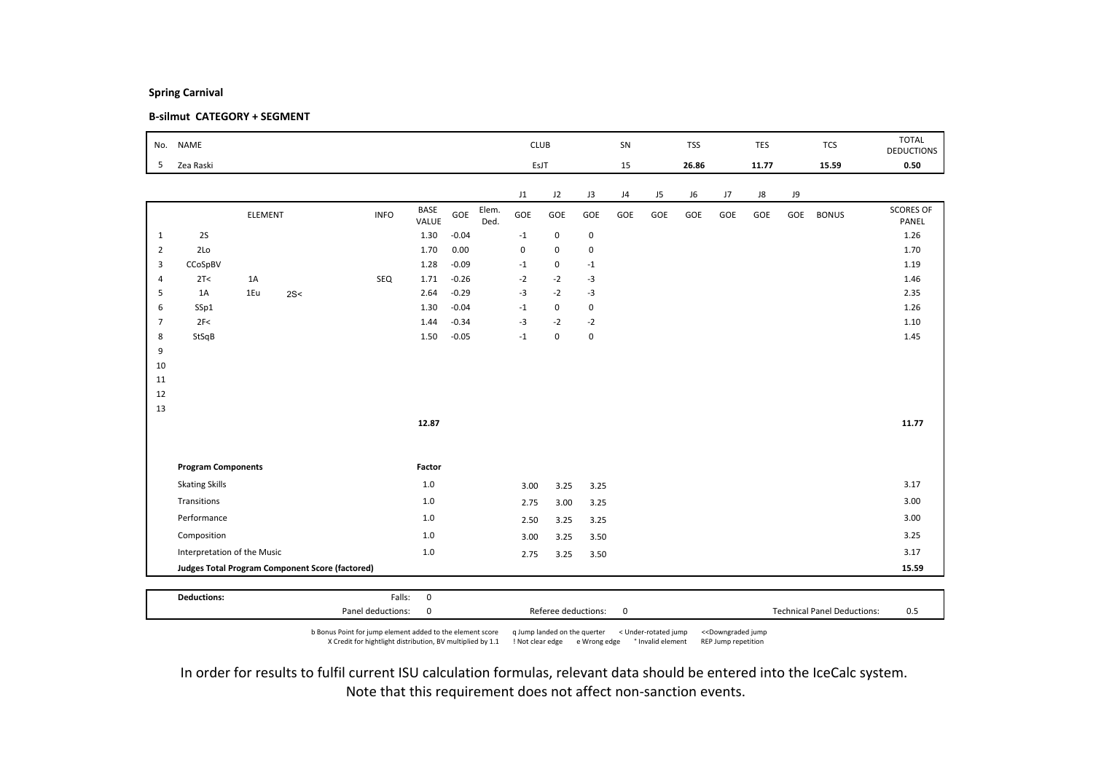### B-silmut CATEGORY + SEGMENT

| No.            | <b>NAME</b>                 |                |     |                                                        |                       |         |               |           | <b>CLUB</b> |             | SN  |     | <b>TSS</b> |     | TES   |     | <b>TCS</b>   | <b>TOTAL</b>              |
|----------------|-----------------------------|----------------|-----|--------------------------------------------------------|-----------------------|---------|---------------|-----------|-------------|-------------|-----|-----|------------|-----|-------|-----|--------------|---------------------------|
|                |                             |                |     |                                                        |                       |         |               |           |             |             |     |     |            |     |       |     |              | <b>DEDUCTIONS</b>         |
| 5              | Zea Raski                   |                |     |                                                        |                       |         |               |           | EsJT        |             | 15  |     | 26.86      |     | 11.77 |     | 15.59        | 0.50                      |
|                |                             |                |     |                                                        |                       |         |               | J1        | J2          | J3          | J4  | J5  | J6         | J7  | J8    | J9  |              |                           |
|                |                             | <b>ELEMENT</b> |     | <b>INFO</b>                                            | BASE<br>VALUE         | GOE     | Elem.<br>Ded. | GOE       | GOE         | GOE         | GOE | GOE | GOE        | GOE | GOE   | GOE | <b>BONUS</b> | <b>SCORES OF</b><br>PANEL |
| $\mathbf{1}$   | 2S                          |                |     |                                                        | 1.30                  | $-0.04$ |               | $-1$      | $\mathsf 0$ | $\mathbf 0$ |     |     |            |     |       |     |              | 1.26                      |
| $\overline{2}$ | 2Lo                         |                |     |                                                        | 1.70                  | 0.00    |               | $\pmb{0}$ | $\mathbf 0$ | $\pmb{0}$   |     |     |            |     |       |     |              | 1.70                      |
| 3              | CCoSpBV                     |                |     |                                                        | 1.28                  | $-0.09$ |               | $-1$      | $\mathsf 0$ | $^{\circ}1$ |     |     |            |     |       |     |              | 1.19                      |
| $\overline{4}$ | 2T<                         | 1A             |     | SEQ                                                    | 1.71                  | $-0.26$ |               | $-2$      | $-2$        | $-3$        |     |     |            |     |       |     |              | 1.46                      |
| 5              | 1A                          | 1Eu            | 2S< |                                                        | 2.64                  | $-0.29$ |               | $-3$      | $-2$        | $-3$        |     |     |            |     |       |     |              | 2.35                      |
| 6              | SSp1                        |                |     |                                                        | 1.30                  | $-0.04$ |               | $-1$      | $\mathsf 0$ | $\mathbf 0$ |     |     |            |     |       |     |              | 1.26                      |
| $\overline{7}$ | 2F<                         |                |     |                                                        | 1.44                  | $-0.34$ |               | $-3$      | $-2$        | $-2$        |     |     |            |     |       |     |              | 1.10                      |
| 8              | StSqB                       |                |     |                                                        | 1.50                  | $-0.05$ |               | $-1$      | $\mathbf 0$ | $\pmb{0}$   |     |     |            |     |       |     |              | 1.45                      |
| 9              |                             |                |     |                                                        |                       |         |               |           |             |             |     |     |            |     |       |     |              |                           |
| 10             |                             |                |     |                                                        |                       |         |               |           |             |             |     |     |            |     |       |     |              |                           |
| 11             |                             |                |     |                                                        |                       |         |               |           |             |             |     |     |            |     |       |     |              |                           |
| 12<br>13       |                             |                |     |                                                        |                       |         |               |           |             |             |     |     |            |     |       |     |              |                           |
|                |                             |                |     |                                                        | 12.87                 |         |               |           |             |             |     |     |            |     |       |     |              | 11.77                     |
|                |                             |                |     |                                                        |                       |         |               |           |             |             |     |     |            |     |       |     |              |                           |
|                |                             |                |     |                                                        |                       |         |               |           |             |             |     |     |            |     |       |     |              |                           |
|                | <b>Program Components</b>   |                |     |                                                        | Factor                |         |               |           |             |             |     |     |            |     |       |     |              |                           |
|                | <b>Skating Skills</b>       |                |     |                                                        | $1.0\,$               |         |               | 3.00      | 3.25        | 3.25        |     |     |            |     |       |     |              | 3.17                      |
|                | Transitions                 |                |     |                                                        | $1.0$                 |         |               | 2.75      | 3.00        | 3.25        |     |     |            |     |       |     |              | 3.00                      |
|                | Performance                 |                |     |                                                        | $1.0$                 |         |               | 2.50      | 3.25        | 3.25        |     |     |            |     |       |     |              | 3.00                      |
|                | Composition                 |                |     |                                                        | $1.0$                 |         |               | 3.00      | 3.25        | 3.50        |     |     |            |     |       |     |              | 3.25                      |
|                | Interpretation of the Music |                |     |                                                        | $1.0$                 |         |               | 2.75      | 3.25        | 3.50        |     |     |            |     |       |     |              | 3.17                      |
|                |                             |                |     | <b>Judges Total Program Component Score (factored)</b> |                       |         |               |           |             |             |     |     |            |     |       |     |              | 15.59                     |
|                |                             |                |     |                                                        |                       |         |               |           |             |             |     |     |            |     |       |     |              |                           |
|                | <b>Deductions:</b>          |                |     |                                                        | Falls:<br>$\mathsf 0$ |         |               |           |             |             |     |     |            |     |       |     |              |                           |

b Bonus Point for jump element added to the element score q Jump landed on the querter < Under-rotated jump <<Downgraded jump X Credit for hightlight distribution, BV multiplied by 1.1 ! Not clear edge e Wrong edge ° Invalid element REP Jump repetition

Panel deductions: 0 0 0 0 Referee deductions: 0 0 0 1 Technical Panel Deductions: 0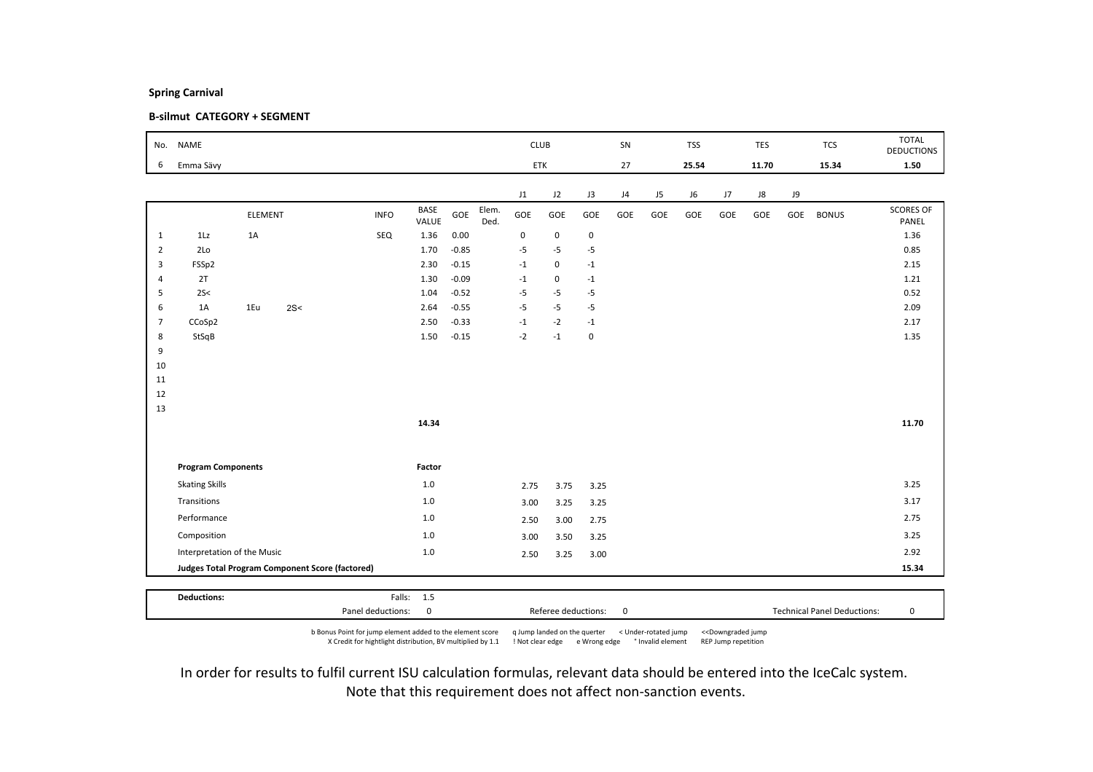### B-silmut CATEGORY + SEGMENT

| No.            | <b>NAME</b>                 |         |                                                 |             |               |         |               | <b>CLUB</b>    |             |             | SN  |     | <b>TSS</b> |     | TES   |     | <b>TCS</b>   | <b>TOTAL</b><br><b>DEDUCTIONS</b> |
|----------------|-----------------------------|---------|-------------------------------------------------|-------------|---------------|---------|---------------|----------------|-------------|-------------|-----|-----|------------|-----|-------|-----|--------------|-----------------------------------|
| 6              | Emma Sävy                   |         |                                                 |             |               |         |               | ETK            |             |             | 27  |     | 25.54      |     | 11.70 |     | 15.34        | 1.50                              |
|                |                             |         |                                                 |             |               |         |               | J1             | J2          | J3          | J4  | J5  | J6         | J7  | J8    | J9  |              |                                   |
|                |                             | ELEMENT |                                                 | <b>INFO</b> | BASE<br>VALUE | GOE     | Elem.<br>Ded. | GOE            | GOE         | GOE         | GOE | GOE | GOE        | GOE | GOE   | GOE | <b>BONUS</b> | <b>SCORES OF</b><br>PANEL         |
| $\mathbf{1}$   | 1Lz                         | 1A      |                                                 | SEQ         | 1.36          | 0.00    |               | $\pmb{0}$      | $\mathsf 0$ | $\mathbf 0$ |     |     |            |     |       |     |              | 1.36                              |
| $\overline{2}$ | 2Lo                         |         |                                                 |             | 1.70          | $-0.85$ |               | $-5$           | $-5$        | $-5$        |     |     |            |     |       |     |              | 0.85                              |
| 3              | FSSp2                       |         |                                                 |             | 2.30          | $-0.15$ |               | $-1$           | $\mathsf 0$ | $^{\rm -1}$ |     |     |            |     |       |     |              | 2.15                              |
| $\overline{4}$ | 2T                          |         |                                                 |             | 1.30          | $-0.09$ |               | $-1$           | 0           | $^{\rm -1}$ |     |     |            |     |       |     |              | 1.21                              |
| 5              | 2S<                         |         |                                                 |             | 1.04          | $-0.52$ |               | $-5$           | $-5$        | $-5$        |     |     |            |     |       |     |              | 0.52                              |
| 6              | 1A                          | 1Eu     | 2S<                                             |             | 2.64          | $-0.55$ |               | $-5$           | $-5$        | $-5$        |     |     |            |     |       |     |              | 2.09                              |
| $\overline{7}$ | CCoSp2                      |         |                                                 |             | 2.50          | $-0.33$ |               | $^{\mbox{-}1}$ | $-2$        | $-1$        |     |     |            |     |       |     |              | 2.17                              |
| 8              | StSqB                       |         |                                                 |             | 1.50          | $-0.15$ |               | $-2$           | $-1$        | $\pmb{0}$   |     |     |            |     |       |     |              | 1.35                              |
| 9              |                             |         |                                                 |             |               |         |               |                |             |             |     |     |            |     |       |     |              |                                   |
| 10             |                             |         |                                                 |             |               |         |               |                |             |             |     |     |            |     |       |     |              |                                   |
| 11             |                             |         |                                                 |             |               |         |               |                |             |             |     |     |            |     |       |     |              |                                   |
| 12             |                             |         |                                                 |             |               |         |               |                |             |             |     |     |            |     |       |     |              |                                   |
| 13             |                             |         |                                                 |             | 14.34         |         |               |                |             |             |     |     |            |     |       |     |              | 11.70                             |
|                |                             |         |                                                 |             |               |         |               |                |             |             |     |     |            |     |       |     |              |                                   |
|                | <b>Program Components</b>   |         |                                                 |             | Factor        |         |               |                |             |             |     |     |            |     |       |     |              |                                   |
|                | <b>Skating Skills</b>       |         |                                                 |             | $1.0\,$       |         |               | 2.75           | 3.75        | 3.25        |     |     |            |     |       |     |              | 3.25                              |
|                | Transitions                 |         |                                                 |             | 1.0           |         |               | 3.00           | 3.25        | 3.25        |     |     |            |     |       |     |              | 3.17                              |
|                | Performance                 |         |                                                 |             | 1.0           |         |               | 2.50           | 3.00        | 2.75        |     |     |            |     |       |     |              | 2.75                              |
|                | Composition                 |         |                                                 |             | $1.0$         |         |               | 3.00           | 3.50        | 3.25        |     |     |            |     |       |     |              | 3.25                              |
|                | Interpretation of the Music |         |                                                 |             | $1.0$         |         |               | 2.50           | 3.25        | 3.00        |     |     |            |     |       |     |              | 2.92                              |
|                |                             |         | Judges Total Program Component Score (factored) |             |               |         |               |                |             |             |     |     |            |     |       |     |              | 15.34                             |
|                |                             |         |                                                 |             |               |         |               |                |             |             |     |     |            |     |       |     |              |                                   |
|                | <b>Deductions:</b>          |         |                                                 |             | Falls: 1.5    |         |               |                |             |             |     |     |            |     |       |     |              |                                   |

b Bonus Point for jump element added to the element score q Jump landed on the querter < Under-rotated jump <<Downgraded jump X Credit for hightlight distribution, BV multiplied by 1.1 ! Not clear edge e Wrong edge ° Invalid element REP Jump repetition

Panel deductions: 0 Referee deductions: 0 Technical Panel Deductions: 0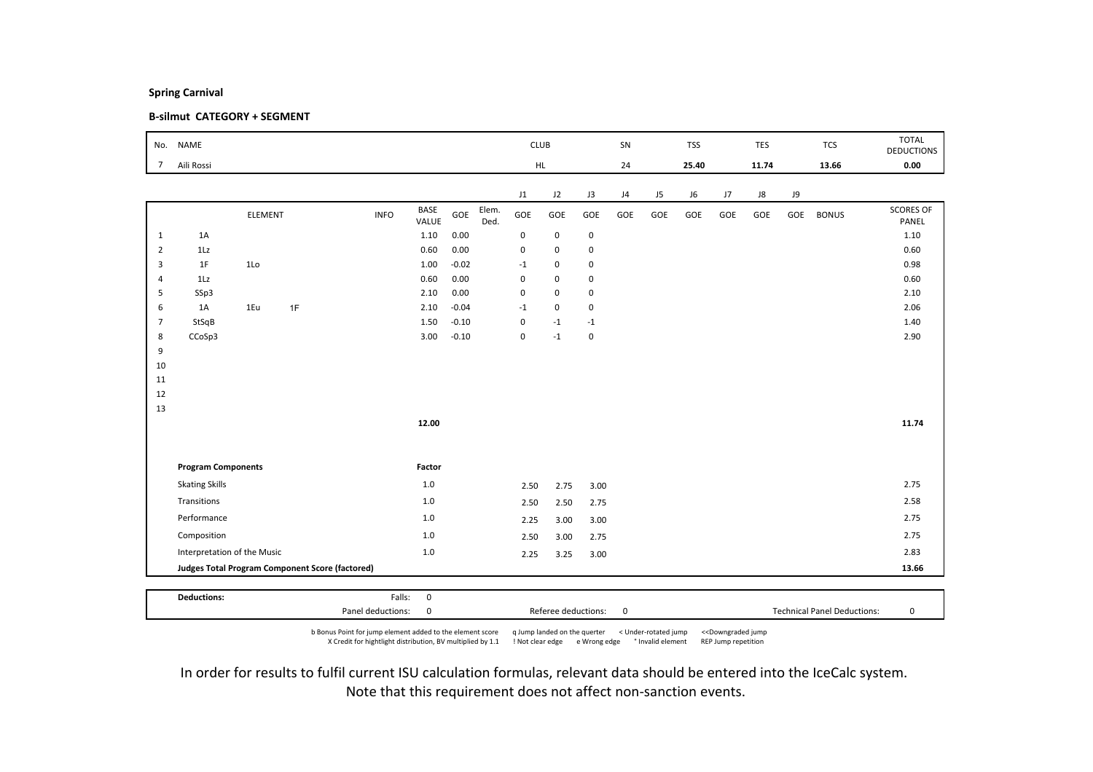### B-silmut CATEGORY + SEGMENT

| No.            | <b>NAME</b>                                     |                |    |             |               |         |               | <b>CLUB</b> |             |             | SN  |     | <b>TSS</b> |     | TES   |     | <b>TCS</b>   | <b>TOTAL</b><br><b>DEDUCTIONS</b> |
|----------------|-------------------------------------------------|----------------|----|-------------|---------------|---------|---------------|-------------|-------------|-------------|-----|-----|------------|-----|-------|-----|--------------|-----------------------------------|
| $\overline{7}$ | Aili Rossi                                      |                |    |             |               |         |               |             | HL.         |             | 24  |     | 25.40      |     | 11.74 |     | 13.66        | 0.00                              |
|                |                                                 |                |    |             |               |         |               | J1          | J2          | J3          | J4  | J5  | J6         | J7  | J8    | J9  |              |                                   |
|                |                                                 | <b>ELEMENT</b> |    | <b>INFO</b> | BASE<br>VALUE | GOE     | Elem.<br>Ded. | GOE         | GOE         | GOE         | GOE | GOE | GOE        | GOE | GOE   | GOE | <b>BONUS</b> | <b>SCORES OF</b><br>PANEL         |
| $\mathbf{1}$   | 1A                                              |                |    |             | 1.10          | 0.00    |               | $\pmb{0}$   | $\mathsf 0$ | $\mathbf 0$ |     |     |            |     |       |     |              | 1.10                              |
| $\overline{2}$ | 1Lz                                             |                |    |             | 0.60          | 0.00    |               | $\mathbf 0$ | $\mathbf 0$ | 0           |     |     |            |     |       |     |              | 0.60                              |
| 3              | 1F                                              | 1 <sub>0</sub> |    |             | 1.00          | $-0.02$ |               | $-1$        | $\mathbf 0$ | $\mathbf 0$ |     |     |            |     |       |     |              | 0.98                              |
| $\overline{4}$ | 1Lz                                             |                |    |             | 0.60          | 0.00    |               | $\pmb{0}$   | 0           | 0           |     |     |            |     |       |     |              | 0.60                              |
| 5              | SSp3                                            |                |    |             | 2.10          | 0.00    |               | $\pmb{0}$   | 0           | 0           |     |     |            |     |       |     |              | 2.10                              |
| 6              | 1A                                              | 1Eu            | 1F |             | 2.10          | $-0.04$ |               | $-1$        | $\mathbf 0$ | 0           |     |     |            |     |       |     |              | 2.06                              |
| $\overline{7}$ | StSqB                                           |                |    |             | 1.50          | $-0.10$ |               | $\pmb{0}$   | $-1$        | $-1$        |     |     |            |     |       |     |              | 1.40                              |
| 8              | CCoSp3                                          |                |    |             | 3.00          | $-0.10$ |               | $\pmb{0}$   | $-1$        | $\pmb{0}$   |     |     |            |     |       |     |              | 2.90                              |
| 9              |                                                 |                |    |             |               |         |               |             |             |             |     |     |            |     |       |     |              |                                   |
| 10<br>11       |                                                 |                |    |             |               |         |               |             |             |             |     |     |            |     |       |     |              |                                   |
| 12             |                                                 |                |    |             |               |         |               |             |             |             |     |     |            |     |       |     |              |                                   |
| 13             |                                                 |                |    |             |               |         |               |             |             |             |     |     |            |     |       |     |              |                                   |
|                |                                                 |                |    |             | 12.00         |         |               |             |             |             |     |     |            |     |       |     |              | 11.74                             |
|                |                                                 |                |    |             |               |         |               |             |             |             |     |     |            |     |       |     |              |                                   |
|                | <b>Program Components</b>                       |                |    |             | Factor        |         |               |             |             |             |     |     |            |     |       |     |              |                                   |
|                | <b>Skating Skills</b>                           |                |    |             | $1.0\,$       |         |               | 2.50        | 2.75        | 3.00        |     |     |            |     |       |     |              | 2.75                              |
|                | Transitions                                     |                |    |             | $1.0$         |         |               | 2.50        | 2.50        | 2.75        |     |     |            |     |       |     |              | 2.58                              |
|                | Performance                                     |                |    |             | 1.0           |         |               | 2.25        | 3.00        | 3.00        |     |     |            |     |       |     |              | 2.75                              |
|                | Composition                                     |                |    |             | 1.0           |         |               | 2.50        | 3.00        | 2.75        |     |     |            |     |       |     |              | 2.75                              |
|                | Interpretation of the Music                     |                |    |             | $1.0\,$       |         |               | 2.25        | 3.25        | 3.00        |     |     |            |     |       |     |              | 2.83                              |
|                | Judges Total Program Component Score (factored) |                |    |             |               |         |               |             |             |             |     |     |            |     |       |     |              | 13.66                             |
|                |                                                 |                |    |             |               |         |               |             |             |             |     |     |            |     |       |     |              |                                   |
|                | <b>Deductions:</b>                              |                |    | Falls:      | $\mathbf 0$   |         |               |             |             |             |     |     |            |     |       |     |              |                                   |

Panel deductions: 0 Referee deductions: 0 Technical Panel Deductions: 0 b Bonus Point for jump element added to the element score q Jump landed on the querter < Under-rotated jump <<Downgraded jump X Credit for hightlight distribution, BV multiplied by 1.1 ! Not clear edge e Wrong edge ° Invalid element REP Jump repetition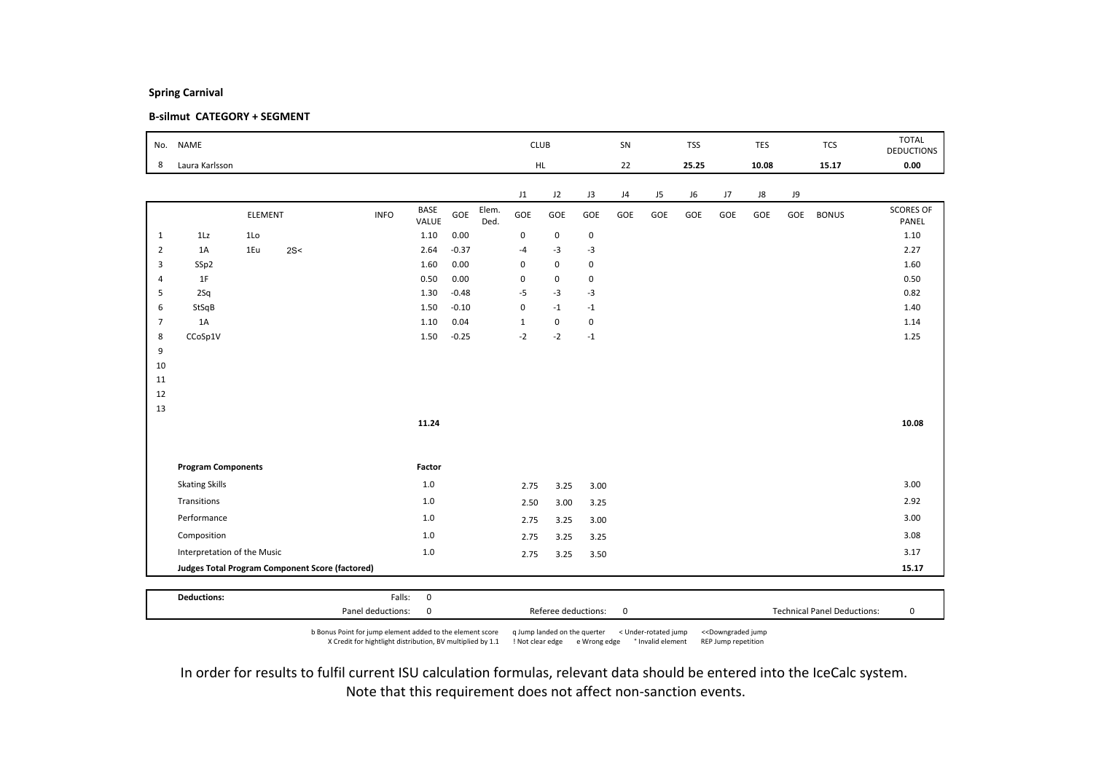### B-silmut CATEGORY + SEGMENT

| No.            | <b>NAME</b>                 |                |                                                 |             |                      |         |               | <b>CLUB</b>  |             |             | SN  |                | <b>TSS</b> |     | <b>TES</b> |     | <b>TCS</b>   | <b>TOTAL</b><br><b>DEDUCTIONS</b> |
|----------------|-----------------------------|----------------|-------------------------------------------------|-------------|----------------------|---------|---------------|--------------|-------------|-------------|-----|----------------|------------|-----|------------|-----|--------------|-----------------------------------|
| 8              | Laura Karlsson              |                |                                                 |             |                      |         |               | HL.          |             |             | 22  |                | 25.25      |     | 10.08      |     | 15.17        | 0.00                              |
|                |                             |                |                                                 |             |                      |         |               | J1           | J2          | J3          | J4  | J <sub>5</sub> | J6         | J7  | J8         | J9  |              |                                   |
|                |                             | <b>ELEMENT</b> |                                                 | <b>INFO</b> | <b>BASE</b><br>VALUE | GOE     | Elem.<br>Ded. | GOE          | GOE         | GOE         | GOE | GOE            | GOE        | GOE | GOE        | GOE | <b>BONUS</b> | <b>SCORES OF</b><br>PANEL         |
| $\mathbf{1}$   | 1Lz                         | 1 <sub>0</sub> |                                                 |             | 1.10                 | 0.00    |               | $\mathbf 0$  | $\mathsf 0$ | $\mathbf 0$ |     |                |            |     |            |     |              | 1.10                              |
| $\overline{2}$ | 1A                          | 1Eu            | 2S<                                             |             | 2.64                 | $-0.37$ |               | $-4$         | $-3$        | $-3$        |     |                |            |     |            |     |              | 2.27                              |
| 3              | SSp2                        |                |                                                 |             | 1.60                 | 0.00    |               | $\pmb{0}$    | $\mathsf 0$ | $\mathbf 0$ |     |                |            |     |            |     |              | 1.60                              |
| $\overline{4}$ | 1F                          |                |                                                 |             | 0.50                 | 0.00    |               | $\pmb{0}$    | $\mathsf 0$ | $\mathbf 0$ |     |                |            |     |            |     |              | 0.50                              |
| 5              | 2Sq                         |                |                                                 |             | 1.30                 | $-0.48$ |               | $-5$         | $-3$        | $-3$        |     |                |            |     |            |     |              | 0.82                              |
| 6              | StSqB                       |                |                                                 |             | 1.50                 | $-0.10$ |               | $\mathbf 0$  | $-1$        | $-1$        |     |                |            |     |            |     |              | 1.40                              |
| $\overline{7}$ | 1A                          |                |                                                 |             | 1.10                 | 0.04    |               | $\mathbf{1}$ | $\mathsf 0$ | $\mathbf 0$ |     |                |            |     |            |     |              | 1.14                              |
| 8              | CCoSp1V                     |                |                                                 |             | 1.50                 | $-0.25$ |               | $-2$         | $-2$        | $-1$        |     |                |            |     |            |     |              | 1.25                              |
| 9              |                             |                |                                                 |             |                      |         |               |              |             |             |     |                |            |     |            |     |              |                                   |
| 10<br>11       |                             |                |                                                 |             |                      |         |               |              |             |             |     |                |            |     |            |     |              |                                   |
| 12             |                             |                |                                                 |             |                      |         |               |              |             |             |     |                |            |     |            |     |              |                                   |
| 13             |                             |                |                                                 |             |                      |         |               |              |             |             |     |                |            |     |            |     |              |                                   |
|                |                             |                |                                                 |             | 11.24                |         |               |              |             |             |     |                |            |     |            |     |              | 10.08                             |
|                |                             |                |                                                 |             |                      |         |               |              |             |             |     |                |            |     |            |     |              |                                   |
|                | <b>Program Components</b>   |                |                                                 |             | Factor               |         |               |              |             |             |     |                |            |     |            |     |              |                                   |
|                | <b>Skating Skills</b>       |                |                                                 |             | $1.0$                |         |               | 2.75         | 3.25        | 3.00        |     |                |            |     |            |     |              | 3.00                              |
|                | Transitions                 |                |                                                 |             | $1.0$                |         |               | 2.50         | 3.00        | 3.25        |     |                |            |     |            |     |              | 2.92                              |
|                | Performance                 |                |                                                 |             | 1.0                  |         |               | 2.75         | 3.25        | 3.00        |     |                |            |     |            |     |              | 3.00                              |
|                | Composition                 |                |                                                 |             | $1.0$                |         |               | 2.75         | 3.25        | 3.25        |     |                |            |     |            |     |              | 3.08                              |
|                | Interpretation of the Music |                |                                                 |             | $1.0\,$              |         |               | 2.75         | 3.25        | 3.50        |     |                |            |     |            |     |              | 3.17                              |
|                |                             |                | Judges Total Program Component Score (factored) |             |                      |         |               |              |             |             |     |                |            |     |            |     |              | 15.17                             |
|                |                             |                |                                                 |             |                      |         |               |              |             |             |     |                |            |     |            |     |              |                                   |
|                | <b>Deductions:</b>          |                |                                                 | Falls:      | $\mathbf 0$          |         |               |              |             |             |     |                |            |     |            |     |              |                                   |

b Bonus Point for jump element added to the element score q Jump landed on the querter < Under-rotated jump <<Downgraded jump X Credit for hightlight distribution, BV multiplied by 1.1 ! Not clear edge e Wrong edge ° Invalid element REP Jump repetition

Panel deductions: 0 Referee deductions: 0 Technical Panel Deductions: 0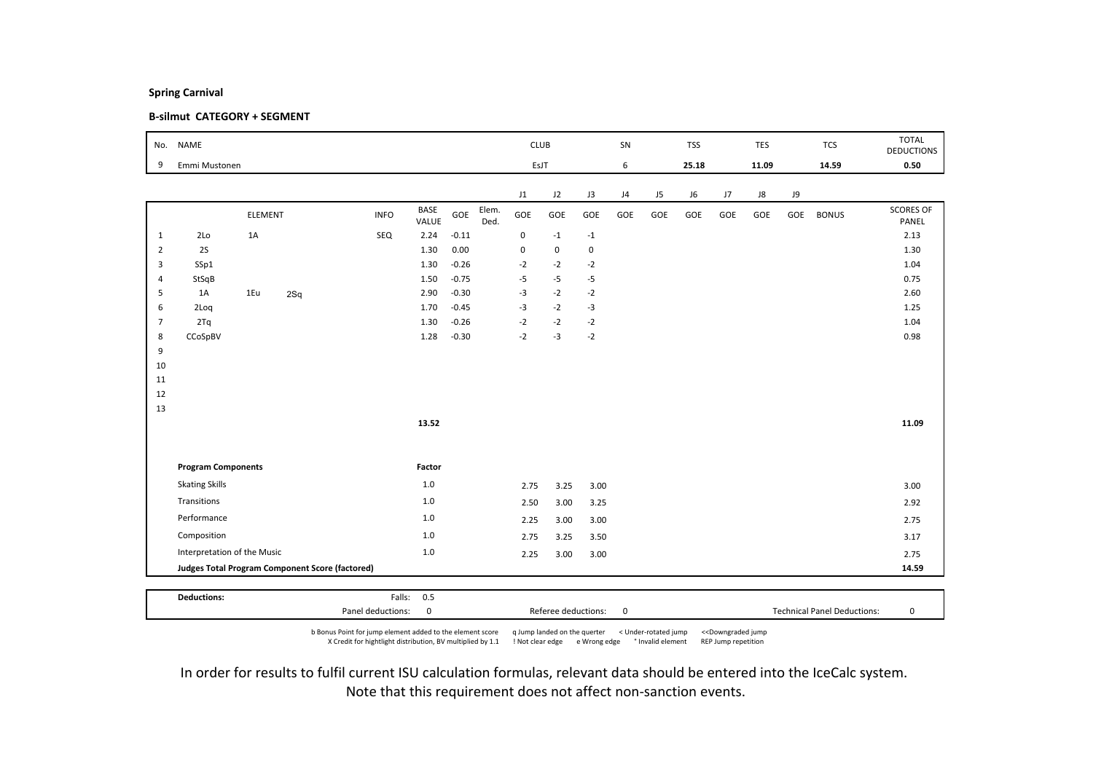### B-silmut CATEGORY + SEGMENT

| No.            | <b>NAME</b>                                     |                |     |             |                      |         |               | <b>CLUB</b> |             |             | SN  |                | <b>TSS</b> |     | <b>TES</b> |     | <b>TCS</b>   | <b>TOTAL</b><br><b>DEDUCTIONS</b> |
|----------------|-------------------------------------------------|----------------|-----|-------------|----------------------|---------|---------------|-------------|-------------|-------------|-----|----------------|------------|-----|------------|-----|--------------|-----------------------------------|
| 9              | Emmi Mustonen                                   |                |     |             |                      |         |               | EsJT        |             |             | 6   |                | 25.18      |     | 11.09      |     | 14.59        | 0.50                              |
|                |                                                 |                |     |             |                      |         |               | J1          | J2          | J3          | J4  | J <sub>5</sub> | J6         | J7  | J8         | J9  |              |                                   |
|                |                                                 | <b>ELEMENT</b> |     | <b>INFO</b> | <b>BASE</b><br>VALUE | GOE     | Elem.<br>Ded. | GOE         | GOE         | GOE         | GOE | GOE            | GOE        | GOE | GOE        | GOE | <b>BONUS</b> | <b>SCORES OF</b><br>PANEL         |
| $\mathbf{1}$   | 2Lo                                             | $1A$           |     | SEQ         | 2.24                 | $-0.11$ |               | 0           | $-1$        | $^{\rm -1}$ |     |                |            |     |            |     |              | 2.13                              |
| $\overline{2}$ | 2S                                              |                |     |             | 1.30                 | 0.00    |               | $\mathbf 0$ | $\mathbf 0$ | $\mathbf 0$ |     |                |            |     |            |     |              | 1.30                              |
| 3              | SSp1                                            |                |     |             | 1.30                 | $-0.26$ |               | $-2$        | $-2$        | $-2$        |     |                |            |     |            |     |              | 1.04                              |
| $\overline{4}$ | StSqB                                           |                |     |             | 1.50                 | $-0.75$ |               | $-5$        | $-5$        | $-5$        |     |                |            |     |            |     |              | 0.75                              |
| 5              | 1A                                              | 1Eu            | 2Sq |             | 2.90                 | $-0.30$ |               | $-3$        | $-2$        | $-2$        |     |                |            |     |            |     |              | 2.60                              |
| 6              | 2Loq                                            |                |     |             | 1.70                 | $-0.45$ |               | $-3$        | $-2$        | $-3$        |     |                |            |     |            |     |              | 1.25                              |
| $\overline{7}$ | 2Tq                                             |                |     |             | 1.30                 | $-0.26$ |               | $-2$        | $-2$        | $-2$        |     |                |            |     |            |     |              | 1.04                              |
| 8              | CCoSpBV                                         |                |     |             | 1.28                 | $-0.30$ |               | $-2$        | $-3$        | $-2$        |     |                |            |     |            |     |              | 0.98                              |
| 9              |                                                 |                |     |             |                      |         |               |             |             |             |     |                |            |     |            |     |              |                                   |
| 10<br>11       |                                                 |                |     |             |                      |         |               |             |             |             |     |                |            |     |            |     |              |                                   |
| 12             |                                                 |                |     |             |                      |         |               |             |             |             |     |                |            |     |            |     |              |                                   |
| 13             |                                                 |                |     |             |                      |         |               |             |             |             |     |                |            |     |            |     |              |                                   |
|                |                                                 |                |     |             | 13.52                |         |               |             |             |             |     |                |            |     |            |     |              | 11.09                             |
|                |                                                 |                |     |             |                      |         |               |             |             |             |     |                |            |     |            |     |              |                                   |
|                | <b>Program Components</b>                       |                |     |             | Factor               |         |               |             |             |             |     |                |            |     |            |     |              |                                   |
|                | <b>Skating Skills</b>                           |                |     |             | $1.0$                |         |               | 2.75        | 3.25        | 3.00        |     |                |            |     |            |     |              | 3.00                              |
|                | Transitions                                     |                |     |             | $1.0$                |         |               | 2.50        | 3.00        | 3.25        |     |                |            |     |            |     |              | 2.92                              |
|                | Performance                                     |                |     |             | 1.0                  |         |               | 2.25        | 3.00        | 3.00        |     |                |            |     |            |     |              | 2.75                              |
|                | Composition                                     |                |     |             | $1.0$                |         |               | 2.75        | 3.25        | 3.50        |     |                |            |     |            |     |              | 3.17                              |
|                | Interpretation of the Music                     |                |     |             | $1.0\,$              |         |               | 2.25        | 3.00        | 3.00        |     |                |            |     |            |     |              | 2.75                              |
|                | Judges Total Program Component Score (factored) |                |     |             |                      |         |               |             |             |             |     |                |            |     |            |     | 14.59        |                                   |
|                |                                                 |                |     |             |                      |         |               |             |             |             |     |                |            |     |            |     |              |                                   |
|                | <b>Deductions:</b>                              |                |     |             | Falls: 0.5           |         |               |             |             |             |     |                |            |     |            |     |              |                                   |

b Bonus Point for jump element added to the element score q Jump landed on the querter < Under-rotated jump <<Downgraded jump X Credit for hightlight distribution, BV multiplied by 1.1 ! Not clear edge e Wrong edge ° Invalid element REP Jump repetition

Panel deductions: 0 Referee deductions: 0 Technical Panel Deductions: 0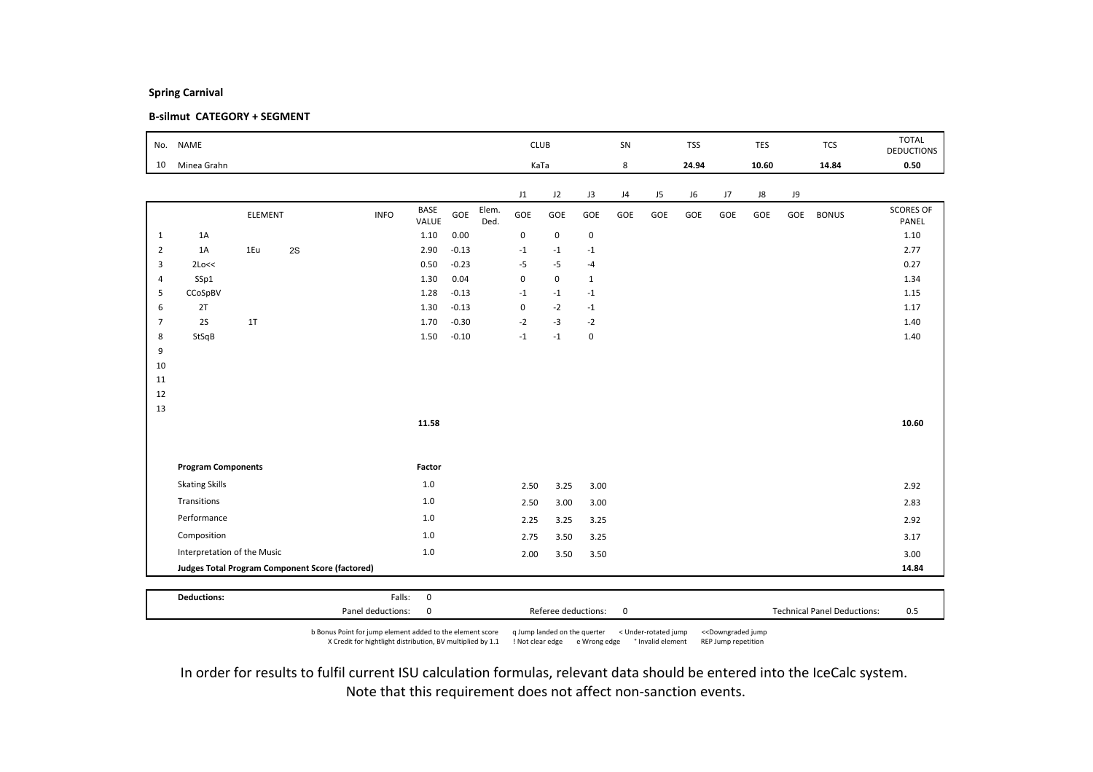### B-silmut CATEGORY + SEGMENT

| No.            | <b>NAME</b>                                     |         |    |             |               |         |               | <b>CLUB</b> |             |                | SN  |     | <b>TSS</b> |     | TES   |     | <b>TCS</b>   | <b>TOTAL</b><br><b>DEDUCTIONS</b> |
|----------------|-------------------------------------------------|---------|----|-------------|---------------|---------|---------------|-------------|-------------|----------------|-----|-----|------------|-----|-------|-----|--------------|-----------------------------------|
| 10             | Minea Grahn                                     |         |    |             |               |         |               | KaTa        |             |                | 8   |     | 24.94      |     | 10.60 |     | 14.84        | 0.50                              |
|                |                                                 |         |    |             |               |         |               | J1          | J2          | J3             | J4  | J5  | J6         | J7  | J8    | J9  |              |                                   |
|                |                                                 | ELEMENT |    | <b>INFO</b> | BASE<br>VALUE | GOE     | Elem.<br>Ded. | GOE         | GOE         | GOE            | GOE | GOE | GOE        | GOE | GOE   | GOE | <b>BONUS</b> | <b>SCORES OF</b><br>PANEL         |
| $\mathbf{1}$   | 1A                                              |         |    |             | 1.10          | 0.00    |               | $\pmb{0}$   | $\mathbf 0$ | $\mathbf 0$    |     |     |            |     |       |     |              | 1.10                              |
| $\overline{2}$ | 1A                                              | 1Eu     | 2S |             | 2.90          | $-0.13$ |               | $-1$        | $-1$        | $^{\mbox{-}}1$ |     |     |            |     |       |     |              | 2.77                              |
| 3              | 2Lo<<                                           |         |    |             | 0.50          | $-0.23$ |               | $-5$        | $-5$        | $-4$           |     |     |            |     |       |     |              | 0.27                              |
| $\overline{4}$ | SSp1                                            |         |    |             | 1.30          | 0.04    |               | $\mathbf 0$ | $\mathbf 0$ | $\mathbf{1}$   |     |     |            |     |       |     |              | 1.34                              |
| 5              | CCoSpBV                                         |         |    |             | 1.28          | $-0.13$ |               | $-1$        | $-1$        | $^{\rm -1}$    |     |     |            |     |       |     |              | 1.15                              |
| 6              | 2T                                              |         |    |             | 1.30          | $-0.13$ |               | $\pmb{0}$   | $-2$        | $-1$           |     |     |            |     |       |     |              | 1.17                              |
| $\overline{7}$ | 2S                                              | 1T      |    |             | 1.70          | $-0.30$ |               | $-2$        | $-3$        | $-2$           |     |     |            |     |       |     |              | 1.40                              |
| 8<br>9         | StSqB                                           |         |    |             | 1.50          | $-0.10$ |               | $-1$        | $-1$        | $\mathbf 0$    |     |     |            |     |       |     |              | 1.40                              |
| 10             |                                                 |         |    |             |               |         |               |             |             |                |     |     |            |     |       |     |              |                                   |
| 11             |                                                 |         |    |             |               |         |               |             |             |                |     |     |            |     |       |     |              |                                   |
| 12             |                                                 |         |    |             |               |         |               |             |             |                |     |     |            |     |       |     |              |                                   |
| 13             |                                                 |         |    |             |               |         |               |             |             |                |     |     |            |     |       |     |              |                                   |
|                |                                                 |         |    |             | 11.58         |         |               |             |             |                |     |     |            |     |       |     |              | 10.60                             |
|                |                                                 |         |    |             |               |         |               |             |             |                |     |     |            |     |       |     |              |                                   |
|                | <b>Program Components</b>                       |         |    |             | Factor        |         |               |             |             |                |     |     |            |     |       |     |              |                                   |
|                | <b>Skating Skills</b>                           |         |    |             | $1.0\,$       |         |               | 2.50        | 3.25        | 3.00           |     |     |            |     |       |     |              | 2.92                              |
|                | Transitions                                     |         |    |             | 1.0           |         |               | 2.50        | 3.00        | 3.00           |     |     |            |     |       |     |              | 2.83                              |
|                | Performance                                     |         |    |             | $1.0$         |         |               | 2.25        | 3.25        | 3.25           |     |     |            |     |       |     |              | 2.92                              |
|                | Composition                                     |         |    |             | $1.0$         |         |               | 2.75        | 3.50        | 3.25           |     |     |            |     |       |     |              | 3.17                              |
|                | Interpretation of the Music                     |         |    |             | $1.0$         |         |               | 2.00        | 3.50        | 3.50           |     |     |            |     |       |     |              | 3.00                              |
|                | Judges Total Program Component Score (factored) |         |    |             |               |         |               |             |             |                |     |     |            |     |       |     |              | 14.84                             |
|                |                                                 |         |    |             |               |         |               |             |             |                |     |     |            |     |       |     |              |                                   |
|                | <b>Deductions:</b>                              |         |    | Falls:      | $\mathbf 0$   |         |               |             |             |                |     |     |            |     |       |     |              |                                   |

b Bonus Point for jump element added to the element score q Jump landed on the querter < Under-rotated jump <<Downgraded jump X Credit for hightlight distribution, BV multiplied by 1.1 ! Not clear edge e Wrong edge ° Invalid element REP Jump repetition

Panel deductions: 0 0 0 0 Referee deductions: 0 0 0 1 Technical Panel Deductions: 0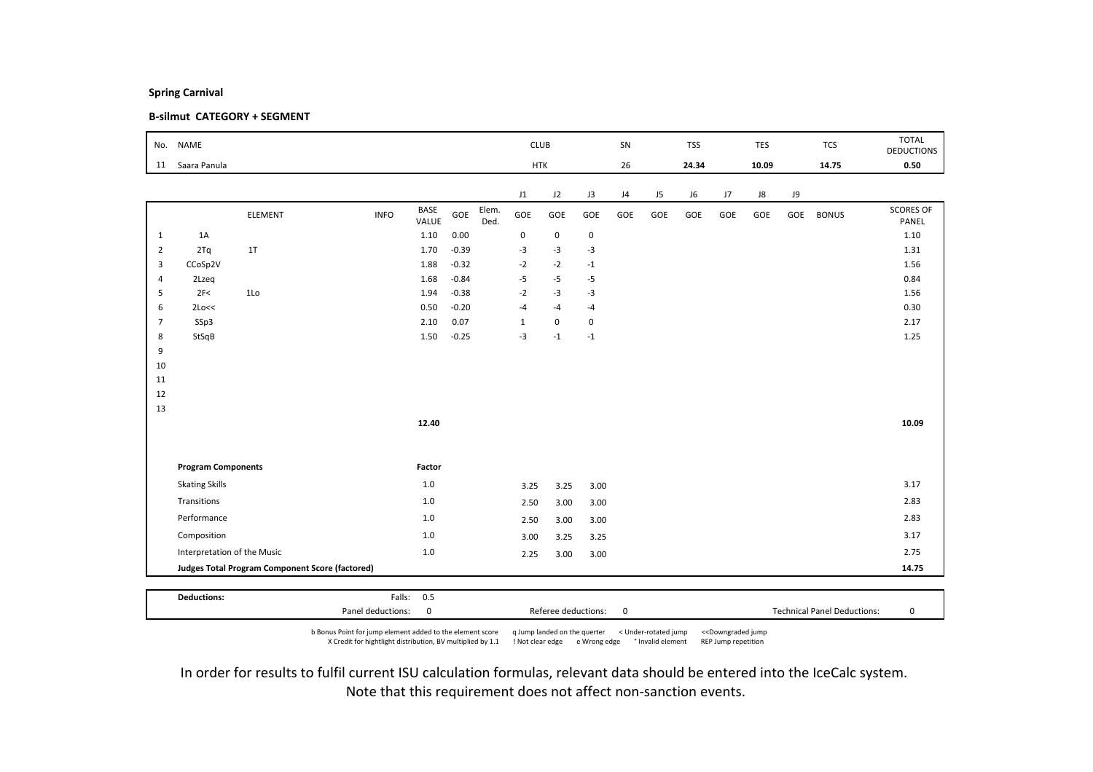### B-silmut CATEGORY + SEGMENT

| No.            | <b>NAME</b>                 |                                                 |             |               |         |               | <b>CLUB</b>  |             |                | SN  |     | <b>TSS</b> |     | <b>TES</b> |     | <b>TCS</b>   | <b>TOTAL</b><br><b>DEDUCTIONS</b> |
|----------------|-----------------------------|-------------------------------------------------|-------------|---------------|---------|---------------|--------------|-------------|----------------|-----|-----|------------|-----|------------|-----|--------------|-----------------------------------|
| 11             | Saara Panula                |                                                 |             |               |         |               | <b>HTK</b>   |             |                | 26  |     | 24.34      |     | 10.09      |     | 14.75        | 0.50                              |
|                |                             |                                                 |             |               |         |               | J1           | J2          | J3             | J4  | J5  | J6         | J7  | J8         | J9  |              |                                   |
|                |                             | <b>ELEMENT</b>                                  | <b>INFO</b> | BASE<br>VALUE | GOE     | Elem.<br>Ded. | GOE          | GOE         | GOE            | GOE | GOE | GOE        | GOE | GOE        | GOE | <b>BONUS</b> | <b>SCORES OF</b><br>PANEL         |
| $\mathbf{1}$   | 1A                          |                                                 |             | 1.10          | 0.00    |               | $\pmb{0}$    | $\mathsf 0$ | $\mathbf 0$    |     |     |            |     |            |     |              | 1.10                              |
| $\overline{2}$ | 2Tq                         | 1T                                              |             | 1.70          | $-0.39$ |               | $-3$         | $-3$        | $-3$           |     |     |            |     |            |     |              | 1.31                              |
| 3              | CCoSp2V                     |                                                 |             | 1.88          | $-0.32$ |               | $-2$         | $-2$        | $-1$           |     |     |            |     |            |     |              | 1.56                              |
| $\overline{4}$ | 2Lzeq                       |                                                 |             | 1.68          | $-0.84$ |               | $-5$         | $-5$        | $-5$           |     |     |            |     |            |     |              | 0.84                              |
| 5              | 2F<                         | 1Lo                                             |             | 1.94          | $-0.38$ |               | $-2$         | $-3$        | $-3$           |     |     |            |     |            |     |              | 1.56                              |
| 6              | 2Lo<<                       |                                                 |             | 0.50          | $-0.20$ |               | $-4$         | $-4$        | $-4$           |     |     |            |     |            |     |              | 0.30                              |
| $\overline{7}$ | SSp3                        |                                                 |             | 2.10          | 0.07    |               | $\mathbf{1}$ | $\mathbf 0$ | 0              |     |     |            |     |            |     |              | 2.17                              |
| 8              | StSqB                       |                                                 |             | 1.50          | $-0.25$ |               | $-3$         | $-1$        | $^{\mbox{-}}1$ |     |     |            |     |            |     |              | 1.25                              |
| 9              |                             |                                                 |             |               |         |               |              |             |                |     |     |            |     |            |     |              |                                   |
| 10             |                             |                                                 |             |               |         |               |              |             |                |     |     |            |     |            |     |              |                                   |
| 11<br>12       |                             |                                                 |             |               |         |               |              |             |                |     |     |            |     |            |     |              |                                   |
| 13             |                             |                                                 |             |               |         |               |              |             |                |     |     |            |     |            |     |              |                                   |
|                |                             |                                                 |             | 12.40         |         |               |              |             |                |     |     |            |     |            |     |              | 10.09                             |
|                |                             |                                                 |             |               |         |               |              |             |                |     |     |            |     |            |     |              |                                   |
|                | <b>Program Components</b>   |                                                 |             | Factor        |         |               |              |             |                |     |     |            |     |            |     |              |                                   |
|                | <b>Skating Skills</b>       |                                                 |             | $1.0\,$       |         |               | 3.25         | 3.25        | 3.00           |     |     |            |     |            |     |              | 3.17                              |
|                | Transitions                 |                                                 |             | $1.0$         |         |               | 2.50         | 3.00        | 3.00           |     |     |            |     |            |     |              | 2.83                              |
|                | Performance                 |                                                 |             | $1.0$         |         |               | 2.50         | 3.00        | 3.00           |     |     |            |     |            |     |              | 2.83                              |
|                | Composition                 |                                                 |             | 1.0           |         |               | 3.00         | 3.25        | 3.25           |     |     |            |     |            |     |              | 3.17                              |
|                | Interpretation of the Music |                                                 |             | $1.0\,$       |         |               | 2.25         | 3.00        | 3.00           |     |     |            |     |            |     |              | 2.75                              |
|                |                             | Judges Total Program Component Score (factored) |             |               |         |               |              |             |                |     |     |            |     |            |     |              | 14.75                             |
|                |                             |                                                 |             |               |         |               |              |             |                |     |     |            |     |            |     |              |                                   |
|                | <b>Deductions:</b>          |                                                 |             | Falls: 0.5    |         |               |              |             |                |     |     |            |     |            |     |              |                                   |

b Bonus Point for jump element added to the element score q Jump landed on the querter < Under-rotated jump <<Downgraded jump X Credit for hightlight distribution, BV multiplied by 1.1 ! Not clear edge e Wrong edge ° Invalid element REP Jump repetition

Panel deductions: 0 Referee deductions: 0 Technical Panel Deductions: 0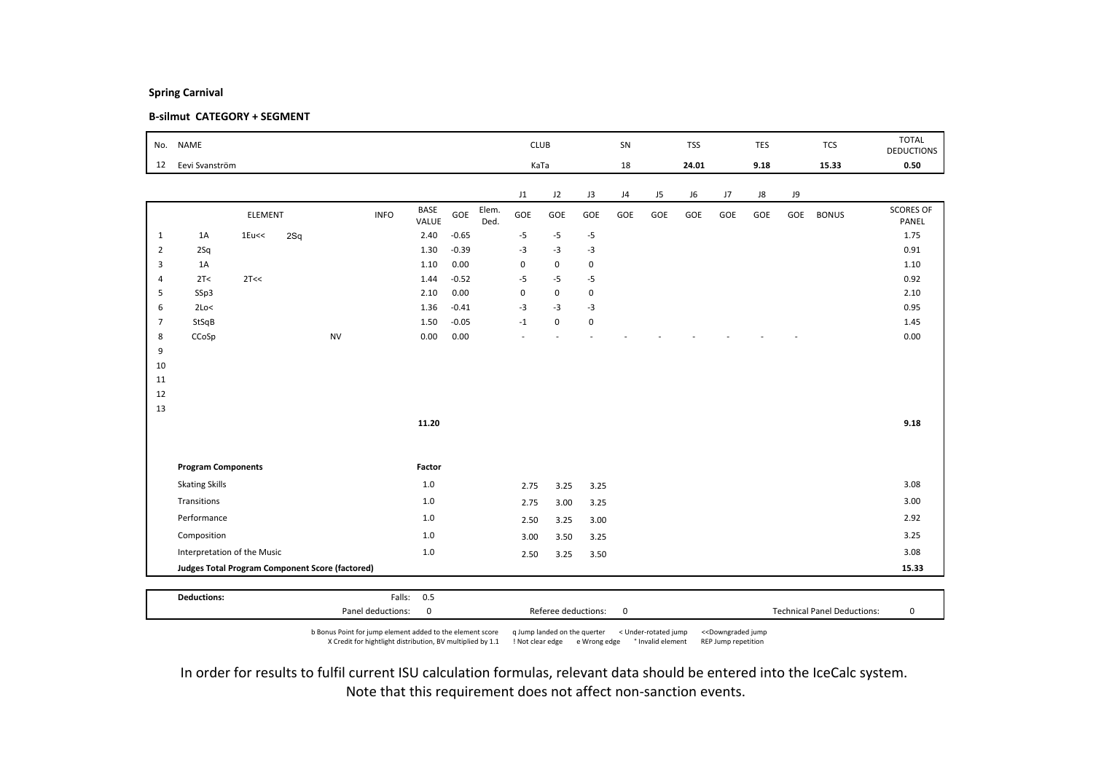### B-silmut CATEGORY + SEGMENT

| No.            | <b>NAME</b>                                     |         |     |           |             |               |         |               | <b>CLUB</b> |             |             | SN  |     | <b>TSS</b> |     | TES  |     | <b>TCS</b>   | <b>TOTAL</b>              |
|----------------|-------------------------------------------------|---------|-----|-----------|-------------|---------------|---------|---------------|-------------|-------------|-------------|-----|-----|------------|-----|------|-----|--------------|---------------------------|
|                |                                                 |         |     |           |             |               |         |               |             |             |             |     |     |            |     |      |     |              | <b>DEDUCTIONS</b>         |
| 12             | Eevi Svanström                                  |         |     |           |             |               |         |               | KaTa        |             |             | 18  |     | 24.01      |     | 9.18 |     | 15.33        | 0.50                      |
|                |                                                 |         |     |           |             |               |         |               | J1          | J2          | J3          | J4  | J5  | J6         | J7  | J8   | J9  |              |                           |
|                |                                                 | ELEMENT |     |           | <b>INFO</b> | BASE<br>VALUE | GOE     | Elem.<br>Ded. | GOE         | GOE         | GOE         | GOE | GOE | GOE        | GOE | GOE  | GOE | <b>BONUS</b> | <b>SCORES OF</b><br>PANEL |
| $\mathbf{1}$   | 1A                                              | 1Eu<<   | 2Sq |           |             | 2.40          | $-0.65$ |               | $-5$        | $-5$        | $-5$        |     |     |            |     |      |     |              | 1.75                      |
| $\overline{2}$ | 2Sq                                             |         |     |           |             | 1.30          | $-0.39$ |               | $-3$        | $-3$        | $-3$        |     |     |            |     |      |     |              | 0.91                      |
| 3              | 1A                                              |         |     |           |             | 1.10          | 0.00    |               | 0           | $\mathsf 0$ | 0           |     |     |            |     |      |     |              | 1.10                      |
| $\overline{4}$ | 2T<                                             | 2T<<    |     |           |             | 1.44          | $-0.52$ |               | $-5$        | $-5$        | $-5$        |     |     |            |     |      |     |              | 0.92                      |
| 5              | SSp3                                            |         |     |           |             | 2.10          | 0.00    |               | $\pmb{0}$   | $\mathsf 0$ | 0           |     |     |            |     |      |     |              | 2.10                      |
| 6              | 2Lo<                                            |         |     |           |             | 1.36          | $-0.41$ |               | $-3$        | $-3$        | $-3$        |     |     |            |     |      |     |              | 0.95                      |
| $\overline{7}$ | StSqB                                           |         |     |           |             | 1.50          | $-0.05$ |               | $-1$        | $\mathbf 0$ | $\mathbf 0$ |     |     |            |     |      |     |              | 1.45                      |
| 8              | CCoSp                                           |         |     | <b>NV</b> |             | 0.00          | 0.00    |               |             |             |             |     |     |            |     |      |     |              | 0.00                      |
| 9              |                                                 |         |     |           |             |               |         |               |             |             |             |     |     |            |     |      |     |              |                           |
| 10<br>11       |                                                 |         |     |           |             |               |         |               |             |             |             |     |     |            |     |      |     |              |                           |
| 12             |                                                 |         |     |           |             |               |         |               |             |             |             |     |     |            |     |      |     |              |                           |
| 13             |                                                 |         |     |           |             |               |         |               |             |             |             |     |     |            |     |      |     |              |                           |
|                |                                                 |         |     |           |             | 11.20         |         |               |             |             |             |     |     |            |     |      |     |              | 9.18                      |
|                |                                                 |         |     |           |             |               |         |               |             |             |             |     |     |            |     |      |     |              |                           |
|                |                                                 |         |     |           |             |               |         |               |             |             |             |     |     |            |     |      |     |              |                           |
|                | <b>Program Components</b>                       |         |     |           |             | Factor        |         |               |             |             |             |     |     |            |     |      |     |              |                           |
|                | <b>Skating Skills</b>                           |         |     |           |             | 1.0           |         |               | 2.75        | 3.25        | 3.25        |     |     |            |     |      |     |              | 3.08                      |
|                | Transitions                                     |         |     |           |             | $1.0$         |         |               | 2.75        | 3.00        | 3.25        |     |     |            |     |      |     |              | 3.00                      |
|                | Performance                                     |         |     |           |             | 1.0           |         |               | 2.50        | 3.25        | 3.00        |     |     |            |     |      |     |              | 2.92                      |
|                | Composition                                     |         |     |           |             | 1.0           |         |               | 3.00        | 3.50        | 3.25        |     |     |            |     |      |     |              | 3.25                      |
|                | Interpretation of the Music                     |         |     |           |             | $1.0$         |         |               | 2.50        | 3.25        | 3.50        |     |     |            |     |      |     |              | 3.08                      |
|                | Judges Total Program Component Score (factored) |         |     |           |             |               |         |               |             |             |             |     |     |            |     |      |     |              | 15.33                     |
|                |                                                 |         |     |           |             |               |         |               |             |             |             |     |     |            |     |      |     |              |                           |
|                | <b>Deductions:</b>                              |         |     |           |             | Falls: 0.5    |         |               |             |             |             |     |     |            |     |      |     |              |                           |

b Bonus Point for jump element added to the element score q Jump landed on the querter < Under-rotated jump <<Downgraded jump X Credit for hightlight distribution, BV multiplied by 1.1 ! Not clear edge e Wrong edge ° Invalid element REP Jump repetition

Panel deductions: 0 Referee deductions: 0 Technical Panel Deductions: 0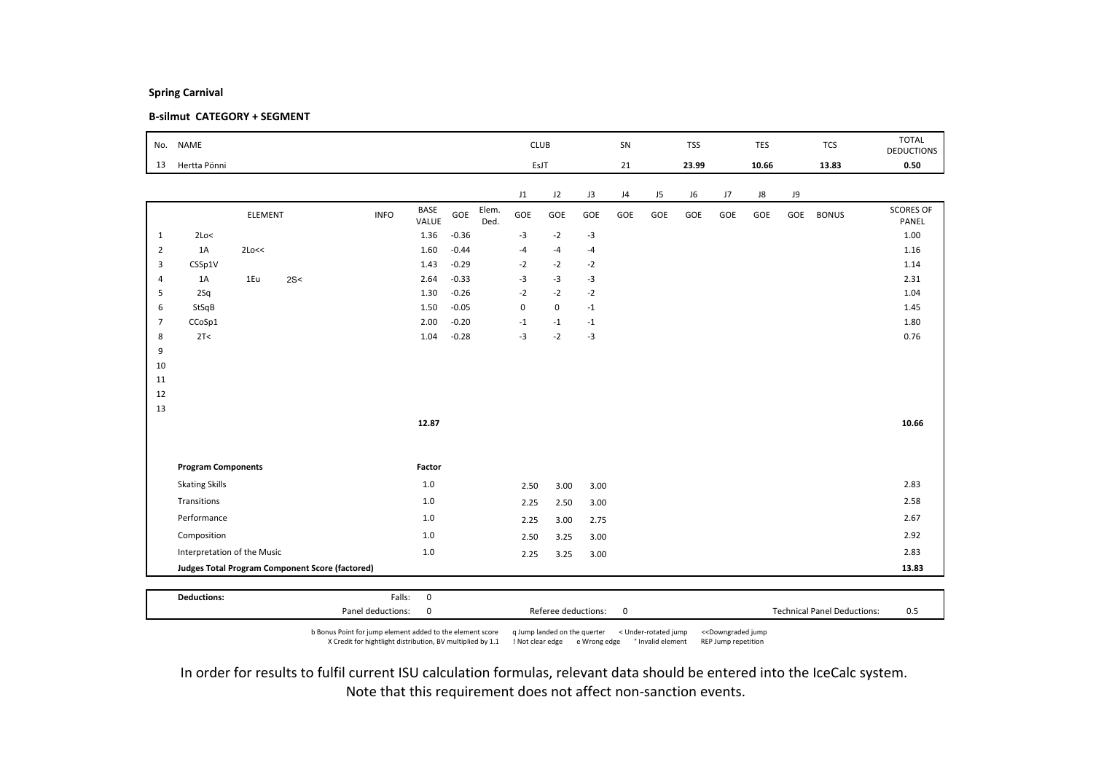### B-silmut CATEGORY + SEGMENT

| No.            | <b>NAME</b>                 |         |                                                        |             |             |         |       | <b>CLUB</b> |             |      | SN  |     | <b>TSS</b> |     | TES   |     | <b>TCS</b>   | <b>TOTAL</b><br><b>DEDUCTIONS</b> |
|----------------|-----------------------------|---------|--------------------------------------------------------|-------------|-------------|---------|-------|-------------|-------------|------|-----|-----|------------|-----|-------|-----|--------------|-----------------------------------|
| 13             | Hertta Pönni                |         |                                                        |             |             |         |       | EsJT        |             |      | 21  |     | 23.99      |     | 10.66 |     | 13.83        | 0.50                              |
|                |                             |         |                                                        |             |             |         |       |             |             |      |     |     |            |     |       |     |              |                                   |
|                |                             |         |                                                        |             | <b>BASE</b> |         | Elem. | J1          | J2          | J3   | J4  | J5  | J6         | J7  | J8    | J9  |              | <b>SCORES OF</b>                  |
|                |                             | ELEMENT |                                                        | <b>INFO</b> | VALUE       | GOE     | Ded.  | GOE         | GOE         | GOE  | GOE | GOE | GOE        | GOE | GOE   | GOE | <b>BONUS</b> | PANEL                             |
| $\mathbf{1}$   | 2Lo<                        |         |                                                        |             | 1.36        | $-0.36$ |       | $-3$        | $-2$        | $-3$ |     |     |            |     |       |     |              | 1.00                              |
| $\overline{2}$ | 1A                          | 2Lo<<   |                                                        |             | 1.60        | $-0.44$ |       | $-4$        | $-4$        | $-4$ |     |     |            |     |       |     |              | 1.16                              |
| 3              | CSSp1V                      |         |                                                        |             | 1.43        | $-0.29$ |       | $-2$        | $-2$        | $-2$ |     |     |            |     |       |     |              | 1.14                              |
| $\overline{4}$ | 1A                          | 1Eu     | 2S<                                                    |             | 2.64        | $-0.33$ |       | $-3$        | $-3$        | $-3$ |     |     |            |     |       |     |              | 2.31                              |
| 5              | 2Sq                         |         |                                                        |             | 1.30        | $-0.26$ |       | $-2$        | $-2$        | $-2$ |     |     |            |     |       |     |              | 1.04                              |
| 6              | StSqB                       |         |                                                        |             | 1.50        | $-0.05$ |       | $\mathbf 0$ | $\mathsf 0$ | $-1$ |     |     |            |     |       |     |              | 1.45                              |
| $\overline{7}$ | CCoSp1                      |         |                                                        |             | 2.00        | $-0.20$ |       | $^{\circ}1$ | $-1$        | $-1$ |     |     |            |     |       |     |              | 1.80                              |
| 8              | 2T<                         |         |                                                        |             | 1.04        | $-0.28$ |       | $-3$        | $-2$        | $-3$ |     |     |            |     |       |     |              | 0.76                              |
| 9<br>10        |                             |         |                                                        |             |             |         |       |             |             |      |     |     |            |     |       |     |              |                                   |
| 11             |                             |         |                                                        |             |             |         |       |             |             |      |     |     |            |     |       |     |              |                                   |
| 12             |                             |         |                                                        |             |             |         |       |             |             |      |     |     |            |     |       |     |              |                                   |
| 13             |                             |         |                                                        |             |             |         |       |             |             |      |     |     |            |     |       |     |              |                                   |
|                |                             |         |                                                        |             | 12.87       |         |       |             |             |      |     |     |            |     |       |     |              | 10.66                             |
|                |                             |         |                                                        |             |             |         |       |             |             |      |     |     |            |     |       |     |              |                                   |
|                | <b>Program Components</b>   |         |                                                        |             | Factor      |         |       |             |             |      |     |     |            |     |       |     |              |                                   |
|                | <b>Skating Skills</b>       |         |                                                        |             | $1.0\,$     |         |       | 2.50        | 3.00        | 3.00 |     |     |            |     |       |     |              | 2.83                              |
|                | Transitions                 |         |                                                        |             | $1.0$       |         |       | 2.25        | 2.50        | 3.00 |     |     |            |     |       |     |              | 2.58                              |
|                | Performance                 |         |                                                        |             | $1.0$       |         |       | 2.25        | 3.00        | 2.75 |     |     |            |     |       |     |              | 2.67                              |
|                | Composition                 |         |                                                        |             | $1.0$       |         |       | 2.50        | 3.25        | 3.00 |     |     |            |     |       |     |              | 2.92                              |
|                | Interpretation of the Music |         |                                                        |             | $1.0$       |         |       | 2.25        | 3.25        | 3.00 |     |     |            |     |       |     |              | 2.83                              |
|                |                             |         | <b>Judges Total Program Component Score (factored)</b> |             |             |         |       |             |             |      |     |     |            |     |       |     |              | 13.83                             |
|                |                             |         |                                                        |             |             |         |       |             |             |      |     |     |            |     |       |     |              |                                   |
|                | <b>Deductions:</b>          |         |                                                        | Falls:      | $\mathsf 0$ |         |       |             |             |      |     |     |            |     |       |     |              |                                   |

b Bonus Point for jump element added to the element score q Jump landed on the querter < Under-rotated jump <<Downgraded jump X Credit for hightlight distribution, BV multiplied by 1.1 ! Not clear edge e Wrong edge ° Invalid element REP Jump repetition

Panel deductions: 0 0 0 0 Referee deductions: 0 0 0 1 Technical Panel Deductions: 0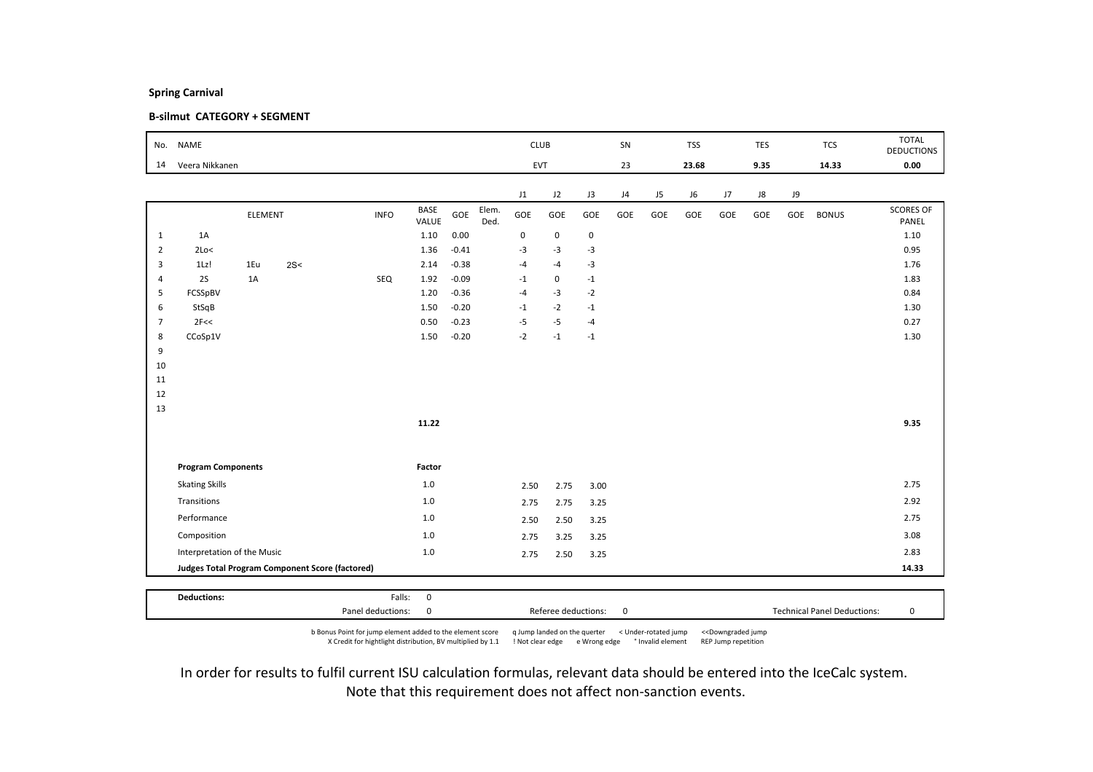### B-silmut CATEGORY + SEGMENT

| No.            | <b>NAME</b>                 |                |                                                 |             |                      |         |               |             | <b>CLUB</b> |             | SN  |                | <b>TSS</b> |     | <b>TES</b> |     | <b>TCS</b>   | <b>TOTAL</b><br><b>DEDUCTIONS</b> |
|----------------|-----------------------------|----------------|-------------------------------------------------|-------------|----------------------|---------|---------------|-------------|-------------|-------------|-----|----------------|------------|-----|------------|-----|--------------|-----------------------------------|
| 14             | Veera Nikkanen              |                |                                                 |             |                      |         |               |             | EVT         |             | 23  |                | 23.68      |     | 9.35       |     | 14.33        | 0.00                              |
|                |                             |                |                                                 |             |                      |         |               | J1          | J2          | J3          | J4  | J <sub>5</sub> | J6         | J7  | J8         | J9  |              |                                   |
|                |                             | <b>ELEMENT</b> |                                                 | <b>INFO</b> | <b>BASE</b><br>VALUE | GOE     | Elem.<br>Ded. | GOE         | GOE         | GOE         | GOE | GOE            | GOE        | GOE | GOE        | GOE | <b>BONUS</b> | <b>SCORES OF</b><br>PANEL         |
| $\mathbf{1}$   | 1A                          |                |                                                 |             | 1.10                 | 0.00    |               | $\mathbf 0$ | $\mathbf 0$ | $\pmb{0}$   |     |                |            |     |            |     |              | 1.10                              |
| $\overline{2}$ | 2Lo<                        |                |                                                 |             | 1.36                 | $-0.41$ |               | $-3$        | $-3$        | $-3$        |     |                |            |     |            |     |              | 0.95                              |
| 3              | 1Lz!                        | 1Eu            | 2S<                                             |             | 2.14                 | $-0.38$ |               | $-4$        | $-4$        | $-3$        |     |                |            |     |            |     |              | 1.76                              |
| $\overline{4}$ | 2S                          | 1A             |                                                 | SEQ         | 1.92                 | $-0.09$ |               | $-1$        | $\mathbf 0$ | $-1$        |     |                |            |     |            |     |              | 1.83                              |
| 5              | FCSSpBV                     |                |                                                 |             | 1.20                 | $-0.36$ |               | $-4$        | $-3$        | $-2$        |     |                |            |     |            |     |              | 0.84                              |
| 6              | StSqB                       |                |                                                 |             | 1.50                 | $-0.20$ |               | $-1$        | $-2$        | $-1$        |     |                |            |     |            |     |              | 1.30                              |
| $\overline{7}$ | 2F<<                        |                |                                                 |             | 0.50                 | $-0.23$ |               | $-5$        | $-5$        | $-4$        |     |                |            |     |            |     |              | 0.27                              |
| 8              | CCoSp1V                     |                |                                                 |             | 1.50                 | $-0.20$ |               | $-2$        | $-1$        | $^{\circ}1$ |     |                |            |     |            |     |              | 1.30                              |
| 9              |                             |                |                                                 |             |                      |         |               |             |             |             |     |                |            |     |            |     |              |                                   |
| 10<br>11       |                             |                |                                                 |             |                      |         |               |             |             |             |     |                |            |     |            |     |              |                                   |
| 12             |                             |                |                                                 |             |                      |         |               |             |             |             |     |                |            |     |            |     |              |                                   |
| 13             |                             |                |                                                 |             |                      |         |               |             |             |             |     |                |            |     |            |     |              |                                   |
|                |                             |                |                                                 |             | 11.22                |         |               |             |             |             |     |                |            |     |            |     |              | 9.35                              |
|                |                             |                |                                                 |             |                      |         |               |             |             |             |     |                |            |     |            |     |              |                                   |
|                | <b>Program Components</b>   |                |                                                 |             | Factor               |         |               |             |             |             |     |                |            |     |            |     |              |                                   |
|                | <b>Skating Skills</b>       |                |                                                 |             | 1.0                  |         |               | 2.50        | 2.75        | 3.00        |     |                |            |     |            |     |              | 2.75                              |
|                | Transitions                 |                |                                                 |             | 1.0                  |         |               | 2.75        | 2.75        | 3.25        |     |                |            |     |            |     |              | 2.92                              |
|                | Performance                 |                |                                                 |             | 1.0                  |         |               | 2.50        | 2.50        | 3.25        |     |                |            |     |            |     |              | 2.75                              |
|                | Composition                 |                |                                                 |             | 1.0                  |         |               | 2.75        | 3.25        | 3.25        |     |                |            |     |            |     |              | 3.08                              |
|                | Interpretation of the Music |                |                                                 |             | 1.0                  |         |               | 2.75        | 2.50        | 3.25        |     |                |            |     |            |     |              | 2.83                              |
|                |                             |                | Judges Total Program Component Score (factored) |             |                      |         |               |             |             |             |     |                |            |     |            |     |              | 14.33                             |
|                |                             |                |                                                 |             |                      |         |               |             |             |             |     |                |            |     |            |     |              |                                   |
|                | <b>Deductions:</b>          |                |                                                 | Falls:      | $\mathbf 0$          |         |               |             |             |             |     |                |            |     |            |     |              |                                   |

b Bonus Point for jump element added to the element score q Jump landed on the querter < Under-rotated jump <<Downgraded jump X Credit for hightlight distribution, BV multiplied by 1.1 ! Not clear edge e Wrong edge ° Invalid element REP Jump repetition

Panel deductions: 0 Referee deductions: 0 Technical Panel Deductions: 0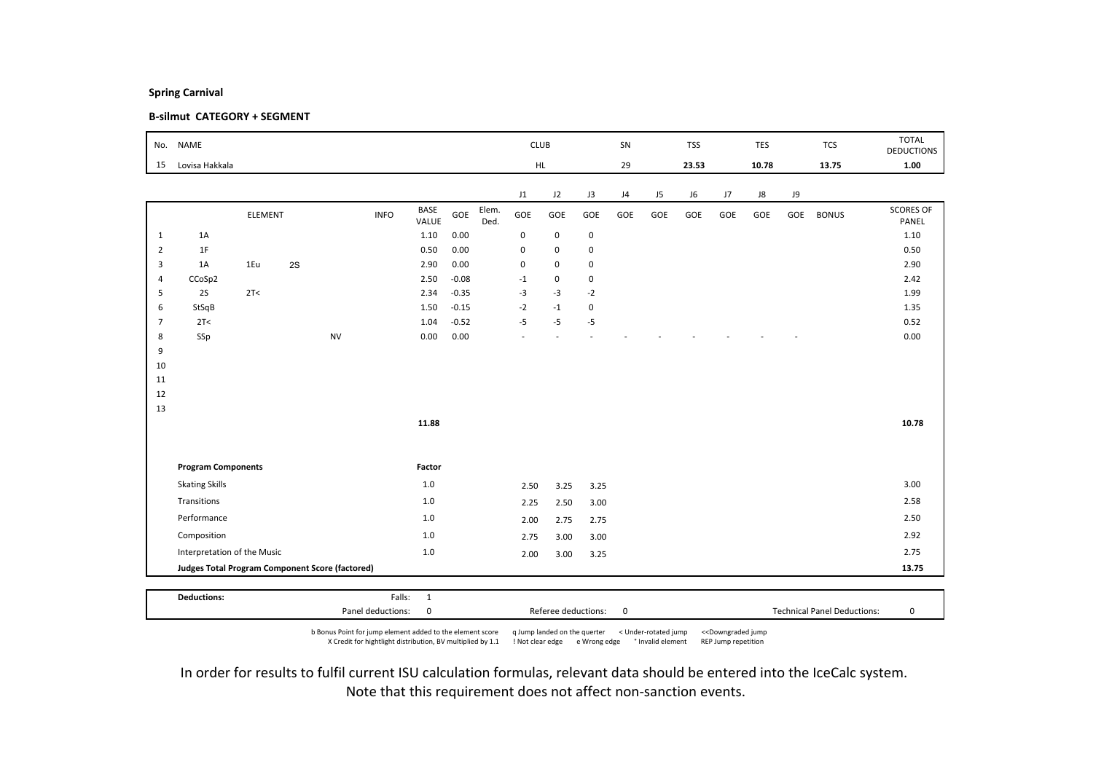### B-silmut CATEGORY + SEGMENT

| No.            | <b>NAME</b>                                            |                |    |           |             |                      |         |               | <b>CLUB</b> |             |             | SN  |     | <b>TSS</b> |     | <b>TES</b> |     | <b>TCS</b>   | <b>TOTAL</b><br><b>DEDUCTIONS</b> |
|----------------|--------------------------------------------------------|----------------|----|-----------|-------------|----------------------|---------|---------------|-------------|-------------|-------------|-----|-----|------------|-----|------------|-----|--------------|-----------------------------------|
| 15             | Lovisa Hakkala                                         |                |    |           |             |                      |         |               |             | HL.         |             | 29  |     | 23.53      |     | 10.78      |     | 13.75        | 1.00                              |
|                |                                                        |                |    |           |             |                      |         |               | J1          | J2          | J3          | J4  | J5  | J6         | J7  | J8         | J9  |              |                                   |
|                |                                                        | <b>ELEMENT</b> |    |           | <b>INFO</b> | <b>BASE</b><br>VALUE | GOE     | Elem.<br>Ded. | GOE         | GOE         | GOE         | GOE | GOE | GOE        | GOE | GOE        | GOE | <b>BONUS</b> | <b>SCORES OF</b><br>PANEL         |
| $\mathbf{1}$   | 1A                                                     |                |    |           |             | 1.10                 | 0.00    |               | $\mathbf 0$ | $\mathsf 0$ | $\mathbf 0$ |     |     |            |     |            |     |              | 1.10                              |
| $\overline{2}$ | 1F                                                     |                |    |           |             | 0.50                 | 0.00    |               | $\mathbf 0$ | $\mathbf 0$ | $\mathbf 0$ |     |     |            |     |            |     |              | 0.50                              |
| 3              | 1A                                                     | 1Eu            | 2S |           |             | 2.90                 | 0.00    |               | $\mathbf 0$ | $\mathsf 0$ | $\mathsf 0$ |     |     |            |     |            |     |              | 2.90                              |
| $\overline{4}$ | CCoSp2                                                 |                |    |           |             | 2.50                 | $-0.08$ |               | $-1$        | $\mathsf 0$ | $\mathsf 0$ |     |     |            |     |            |     |              | 2.42                              |
| 5              | 2S                                                     | 2T<            |    |           |             | 2.34                 | $-0.35$ |               | $-3$        | $-3$        | $-2$        |     |     |            |     |            |     |              | 1.99                              |
| 6              | StSqB                                                  |                |    |           |             | 1.50                 | $-0.15$ |               | $-2$        | $-1$        | $\mathbf 0$ |     |     |            |     |            |     |              | 1.35                              |
| $\overline{7}$ | 2T<                                                    |                |    |           |             | 1.04                 | $-0.52$ |               | $-5$        | $-5$        | $-5$        |     |     |            |     |            |     |              | 0.52                              |
| 8<br>9         | SSp                                                    |                |    | <b>NV</b> |             | 0.00                 | 0.00    |               |             |             |             |     |     |            |     |            |     |              | 0.00                              |
| 10             |                                                        |                |    |           |             |                      |         |               |             |             |             |     |     |            |     |            |     |              |                                   |
| 11             |                                                        |                |    |           |             |                      |         |               |             |             |             |     |     |            |     |            |     |              |                                   |
| 12             |                                                        |                |    |           |             |                      |         |               |             |             |             |     |     |            |     |            |     |              |                                   |
| 13             |                                                        |                |    |           |             |                      |         |               |             |             |             |     |     |            |     |            |     |              |                                   |
|                |                                                        |                |    |           |             | 11.88                |         |               |             |             |             |     |     |            |     |            |     |              | 10.78                             |
|                |                                                        |                |    |           |             |                      |         |               |             |             |             |     |     |            |     |            |     |              |                                   |
|                | <b>Program Components</b>                              |                |    |           |             | Factor               |         |               |             |             |             |     |     |            |     |            |     |              |                                   |
|                | <b>Skating Skills</b>                                  |                |    |           |             | $1.0\,$              |         |               | 2.50        | 3.25        | 3.25        |     |     |            |     |            |     |              | 3.00                              |
|                | Transitions                                            |                |    |           |             | $1.0$                |         |               | 2.25        | 2.50        | 3.00        |     |     |            |     |            |     |              | 2.58                              |
|                | Performance                                            |                |    |           |             | $1.0$                |         |               | 2.00        | 2.75        | 2.75        |     |     |            |     |            |     |              | 2.50                              |
|                | Composition                                            |                |    |           |             | $1.0$                |         |               | 2.75        | 3.00        | 3.00        |     |     |            |     |            |     |              | 2.92                              |
|                | Interpretation of the Music                            |                |    |           |             | $1.0\,$              |         |               | 2.00        | 3.00        | 3.25        |     |     |            |     |            |     |              | 2.75                              |
|                | <b>Judges Total Program Component Score (factored)</b> |                |    |           |             |                      |         |               |             |             |             |     |     |            |     |            |     |              | 13.75                             |
|                |                                                        |                |    |           |             |                      |         |               |             |             |             |     |     |            |     |            |     |              |                                   |
|                | <b>Deductions:</b>                                     |                |    |           | Falls:      | $\overline{1}$       |         |               |             |             |             |     |     |            |     |            |     |              |                                   |

b Bonus Point for jump element added to the element score q Jump landed on the querter < Under-rotated jump <<Downgraded jump X Credit for hightlight distribution, BV multiplied by 1.1 ! Not clear edge e Wrong edge ° Invalid element REP Jump repetition

Panel deductions: 0 Referee deductions: 0 Technical Panel Deductions: 0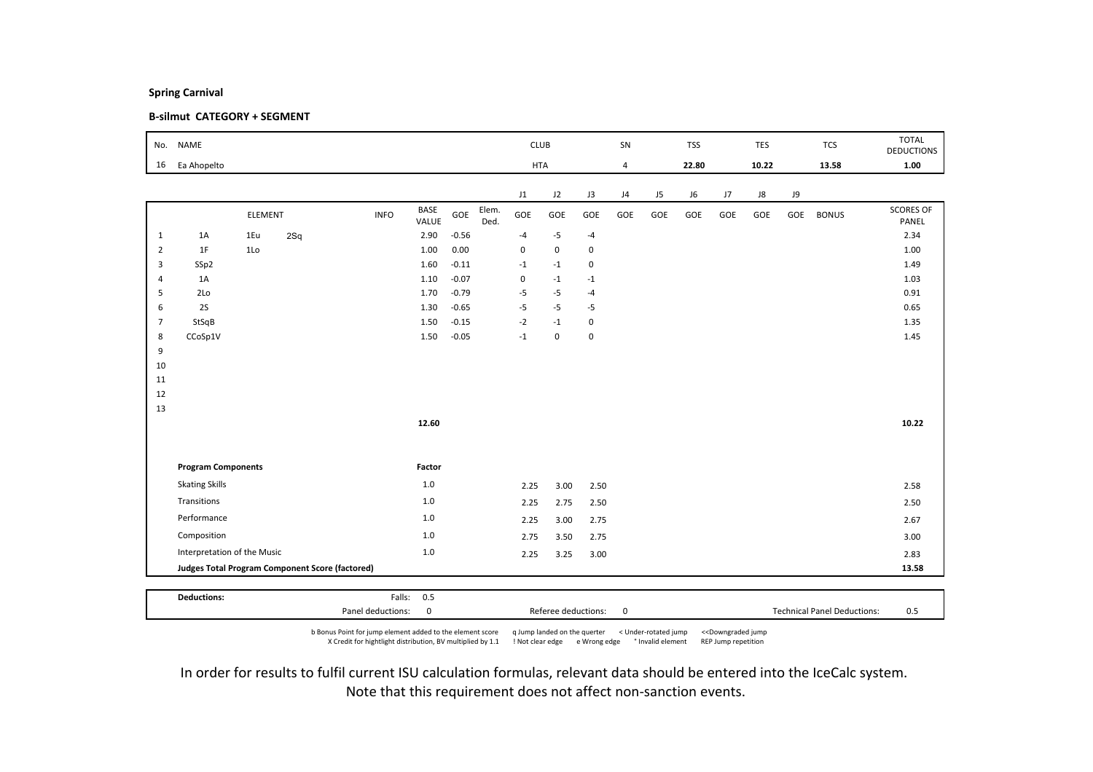### B-silmut CATEGORY + SEGMENT

| No.            | <b>NAME</b>                 |                |                                                 |             |                      |         |               | <b>CLUB</b> |             |             | SN             |                | <b>TSS</b> |     | <b>TES</b> |     | <b>TCS</b>   | <b>TOTAL</b><br><b>DEDUCTIONS</b> |
|----------------|-----------------------------|----------------|-------------------------------------------------|-------------|----------------------|---------|---------------|-------------|-------------|-------------|----------------|----------------|------------|-----|------------|-----|--------------|-----------------------------------|
| 16             | Ea Ahopelto                 |                |                                                 |             |                      |         |               | <b>HTA</b>  |             |             | $\overline{4}$ |                | 22.80      |     | 10.22      |     | 13.58        | 1.00                              |
|                |                             |                |                                                 |             |                      |         |               | J1          | J2          | J3          | J4             | J <sub>5</sub> | J6         | J7  | J8         | J9  |              |                                   |
|                |                             | ELEMENT        |                                                 | <b>INFO</b> | <b>BASE</b><br>VALUE | GOE     | Elem.<br>Ded. | GOE         | GOE         | GOE         | GOE            | GOE            | GOE        | GOE | GOE        | GOE | <b>BONUS</b> | <b>SCORES OF</b><br>PANEL         |
| $\mathbf{1}$   | 1A                          | 1Eu            | 2Sq                                             |             | 2.90                 | $-0.56$ |               | $-4$        | $-5$        | $-4$        |                |                |            |     |            |     |              | 2.34                              |
| $\overline{2}$ | 1F                          | 1 <sub>0</sub> |                                                 |             | 1.00                 | 0.00    |               | $\mathbf 0$ | $\mathbf 0$ | 0           |                |                |            |     |            |     |              | 1.00                              |
| 3              | SSp2                        |                |                                                 |             | 1.60                 | $-0.11$ |               | $-1$        | $-1$        | 0           |                |                |            |     |            |     |              | 1.49                              |
| $\overline{4}$ | 1A                          |                |                                                 |             | 1.10                 | $-0.07$ |               | $\mathbf 0$ | $-1$        | $-1$        |                |                |            |     |            |     |              | 1.03                              |
| 5              | 2Lo                         |                |                                                 |             | 1.70                 | $-0.79$ |               | $-5$        | $-5$        | $-4$        |                |                |            |     |            |     |              | 0.91                              |
| 6              | 2S                          |                |                                                 |             | 1.30                 | $-0.65$ |               | $-5$        | $-5$        | -5          |                |                |            |     |            |     |              | 0.65                              |
| $\overline{7}$ | StSqB                       |                |                                                 |             | 1.50                 | $-0.15$ |               | $-2$        | $-1$        | $\mathbf 0$ |                |                |            |     |            |     |              | 1.35                              |
| 8<br>9         | CCoSp1V                     |                |                                                 |             | 1.50                 | $-0.05$ |               | $-1$        | 0           | $\mathbf 0$ |                |                |            |     |            |     |              | 1.45                              |
| 10             |                             |                |                                                 |             |                      |         |               |             |             |             |                |                |            |     |            |     |              |                                   |
| 11             |                             |                |                                                 |             |                      |         |               |             |             |             |                |                |            |     |            |     |              |                                   |
| 12             |                             |                |                                                 |             |                      |         |               |             |             |             |                |                |            |     |            |     |              |                                   |
| 13             |                             |                |                                                 |             |                      |         |               |             |             |             |                |                |            |     |            |     |              |                                   |
|                |                             |                |                                                 |             | 12.60                |         |               |             |             |             |                |                |            |     |            |     |              | 10.22                             |
|                |                             |                |                                                 |             |                      |         |               |             |             |             |                |                |            |     |            |     |              |                                   |
|                | <b>Program Components</b>   |                |                                                 |             | Factor               |         |               |             |             |             |                |                |            |     |            |     |              |                                   |
|                | <b>Skating Skills</b>       |                |                                                 |             | 1.0                  |         |               | 2.25        | 3.00        | 2.50        |                |                |            |     |            |     |              | 2.58                              |
|                | Transitions                 |                |                                                 |             | 1.0                  |         |               | 2.25        | 2.75        | 2.50        |                |                |            |     |            |     |              | 2.50                              |
|                | Performance                 |                |                                                 |             | 1.0                  |         |               | 2.25        | 3.00        | 2.75        |                |                |            |     |            |     |              | 2.67                              |
|                | Composition                 |                |                                                 |             | 1.0                  |         |               | 2.75        | 3.50        | 2.75        |                |                |            |     |            |     |              | 3.00                              |
|                | Interpretation of the Music |                |                                                 |             | 1.0                  |         |               | 2.25        | 3.25        | 3.00        |                |                |            |     |            |     |              | 2.83                              |
|                |                             |                | Judges Total Program Component Score (factored) |             |                      |         |               |             |             |             |                |                |            |     |            |     |              | 13.58                             |
|                |                             |                |                                                 |             |                      |         |               |             |             |             |                |                |            |     |            |     |              |                                   |
|                | <b>Deductions:</b>          |                |                                                 | Falls:      | 0.5                  |         |               |             |             |             |                |                |            |     |            |     |              |                                   |

b Bonus Point for jump element added to the element score q Jump landed on the querter < Under-rotated jump <<Downgraded jump X Credit for hightlight distribution, BV multiplied by 1.1 ! Not clear edge e Wrong edge ° Invalid element REP Jump repetition

Panel deductions: 0 0 0 0 Referee deductions: 0 0 0 1 Technical Panel Deductions: 0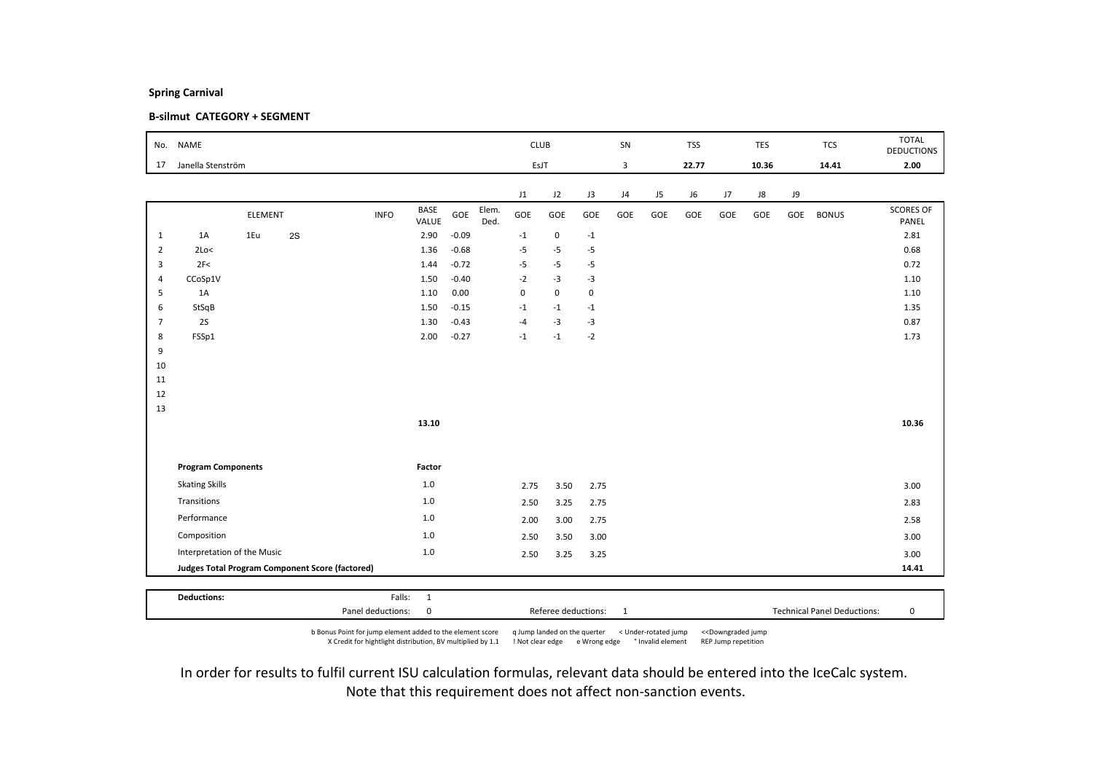### B-silmut CATEGORY + SEGMENT

| No.            | <b>NAME</b>                 |                |                                                 |             |                      |         |               | <b>CLUB</b> |             |             | SN  |     | <b>TSS</b> |     | <b>TES</b> |     | <b>TCS</b>   | <b>TOTAL</b><br><b>DEDUCTIONS</b> |
|----------------|-----------------------------|----------------|-------------------------------------------------|-------------|----------------------|---------|---------------|-------------|-------------|-------------|-----|-----|------------|-----|------------|-----|--------------|-----------------------------------|
| 17             | Janella Stenström           |                |                                                 |             |                      |         |               | EsJT        |             |             | 3   |     | 22.77      |     | 10.36      |     | 14.41        | 2.00                              |
|                |                             |                |                                                 |             |                      |         |               | J1          | J2          | J3          | J4  | J5  | J6         | J7  | J8         | J9  |              |                                   |
|                |                             | <b>ELEMENT</b> |                                                 | <b>INFO</b> | <b>BASE</b><br>VALUE | GOE     | Elem.<br>Ded. | GOE         | GOE         | GOE         | GOE | GOE | GOE        | GOE | GOE        | GOE | <b>BONUS</b> | <b>SCORES OF</b><br>PANEL         |
| $\mathbf{1}$   | 1A                          | 1Eu            | 2S                                              |             | 2.90                 | $-0.09$ |               | $-1$        | $\mathbf 0$ | $^{\rm -1}$ |     |     |            |     |            |     |              | 2.81                              |
| $\overline{2}$ | 2Lo<                        |                |                                                 |             | 1.36                 | $-0.68$ |               | $-5$        | $-5$        | $-5$        |     |     |            |     |            |     |              | 0.68                              |
| 3              | 2F<                         |                |                                                 |             | 1.44                 | $-0.72$ |               | $-5$        | $-5$        | $-5$        |     |     |            |     |            |     |              | 0.72                              |
| $\overline{4}$ | CCoSp1V                     |                |                                                 |             | 1.50                 | $-0.40$ |               | $-2$        | $-3$        | $-3$        |     |     |            |     |            |     |              | 1.10                              |
| 5              | 1A                          |                |                                                 |             | 1.10                 | 0.00    |               | $\pmb{0}$   | $\mathsf 0$ | $\mathbf 0$ |     |     |            |     |            |     |              | 1.10                              |
| 6              | StSqB                       |                |                                                 |             | 1.50                 | $-0.15$ |               | $-1$        | $-1$        | $-1$        |     |     |            |     |            |     |              | 1.35                              |
| $\overline{7}$ | 2S                          |                |                                                 |             | 1.30                 | $-0.43$ |               | $-4$        | $-3$        | $-3$        |     |     |            |     |            |     |              | 0.87                              |
| 8              | FSSp1                       |                |                                                 |             | 2.00                 | $-0.27$ |               | $-1$        | $-1$        | $-2$        |     |     |            |     |            |     |              | 1.73                              |
| 9              |                             |                |                                                 |             |                      |         |               |             |             |             |     |     |            |     |            |     |              |                                   |
| 10             |                             |                |                                                 |             |                      |         |               |             |             |             |     |     |            |     |            |     |              |                                   |
| 11             |                             |                |                                                 |             |                      |         |               |             |             |             |     |     |            |     |            |     |              |                                   |
| 12             |                             |                |                                                 |             |                      |         |               |             |             |             |     |     |            |     |            |     |              |                                   |
| 13             |                             |                |                                                 |             | 13.10                |         |               |             |             |             |     |     |            |     |            |     |              | 10.36                             |
|                |                             |                |                                                 |             |                      |         |               |             |             |             |     |     |            |     |            |     |              |                                   |
|                | <b>Program Components</b>   |                |                                                 |             | Factor               |         |               |             |             |             |     |     |            |     |            |     |              |                                   |
|                | <b>Skating Skills</b>       |                |                                                 |             | $1.0\,$              |         |               | 2.75        | 3.50        | 2.75        |     |     |            |     |            |     |              | 3.00                              |
|                | Transitions                 |                |                                                 |             | $1.0$                |         |               | 2.50        | 3.25        | 2.75        |     |     |            |     |            |     |              | 2.83                              |
|                | Performance                 |                |                                                 |             | $1.0$                |         |               | 2.00        | 3.00        | 2.75        |     |     |            |     |            |     |              | 2.58                              |
|                | Composition                 |                |                                                 |             | $1.0$                |         |               | 2.50        | 3.50        | 3.00        |     |     |            |     |            |     |              | 3.00                              |
|                | Interpretation of the Music |                |                                                 |             | $1.0\,$              |         |               | 2.50        | 3.25        | 3.25        |     |     |            |     |            |     |              | 3.00                              |
|                |                             |                | Judges Total Program Component Score (factored) |             |                      |         |               |             |             |             |     |     |            |     |            |     |              | 14.41                             |
|                |                             |                |                                                 |             |                      |         |               |             |             |             |     |     |            |     |            |     |              |                                   |
|                | <b>Deductions:</b>          |                |                                                 | Falls:      | $\overline{1}$       |         |               |             |             |             |     |     |            |     |            |     |              |                                   |

b Bonus Point for jump element added to the element score q Jump landed on the querter < Under-rotated jump <<Downgraded jump X Credit for hightlight distribution, BV multiplied by 1.1 ! Not clear edge e Wrong edge ° Invalid element REP Jump repetition

Panel deductions: 0 0 8 Referee deductions: 1 7echnical Panel Deductions: 0 0 0 1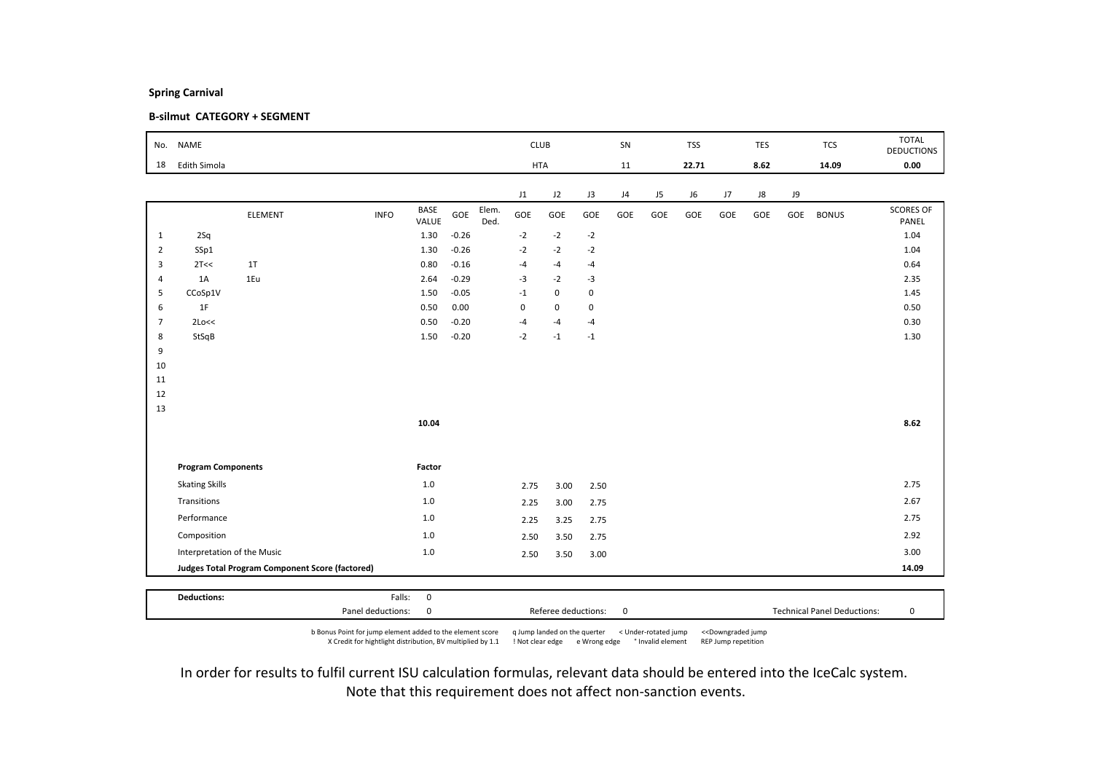### B-silmut CATEGORY + SEGMENT

| No.            | <b>NAME</b>                 |                                                 |             |               |         |               | <b>CLUB</b> |             |             | SN  |     | <b>TSS</b> |     | TES  |     | <b>TCS</b>   | <b>TOTAL</b><br><b>DEDUCTIONS</b> |
|----------------|-----------------------------|-------------------------------------------------|-------------|---------------|---------|---------------|-------------|-------------|-------------|-----|-----|------------|-----|------|-----|--------------|-----------------------------------|
| 18             | Edith Simola                |                                                 |             |               |         |               | <b>HTA</b>  |             |             | 11  |     | 22.71      |     | 8.62 |     | 14.09        | 0.00                              |
|                |                             |                                                 |             |               |         |               | J1          | J2          | J3          | J4  | J5  | J6         | J7  | J8   | J9  |              |                                   |
|                |                             | <b>ELEMENT</b>                                  | <b>INFO</b> | BASE<br>VALUE | GOE     | Elem.<br>Ded. | GOE         | GOE         | GOE         | GOE | GOE | GOE        | GOE | GOE  | GOE | <b>BONUS</b> | <b>SCORES OF</b><br>PANEL         |
| $\mathbf{1}$   | 2Sq                         |                                                 |             | 1.30          | $-0.26$ |               | $-2$        | $-2$        | $-2$        |     |     |            |     |      |     |              | 1.04                              |
| $\overline{2}$ | SSp1                        |                                                 |             | 1.30          | $-0.26$ |               | $-2$        | $-2$        | $-2$        |     |     |            |     |      |     |              | 1.04                              |
| 3              | 2T<<                        | 1T                                              |             | 0.80          | $-0.16$ |               | $-4$        | $-4$        | $-4$        |     |     |            |     |      |     |              | 0.64                              |
| $\overline{4}$ | 1A                          | 1Eu                                             |             | 2.64          | $-0.29$ |               | $-3$        | $-2$        | $-3$        |     |     |            |     |      |     |              | 2.35                              |
| 5              | CCoSp1V                     |                                                 |             | 1.50          | $-0.05$ |               | $-1$        | $\mathsf 0$ | 0           |     |     |            |     |      |     |              | 1.45                              |
| 6              | 1F                          |                                                 |             | 0.50          | 0.00    |               | $\mathbf 0$ | $\mathbf 0$ | 0           |     |     |            |     |      |     |              | 0.50                              |
| $\overline{7}$ | 2Lo<<                       |                                                 |             | 0.50          | $-0.20$ |               | $-4$        | $-4$        | $-4$        |     |     |            |     |      |     |              | 0.30                              |
| 8              | StSqB                       |                                                 |             | 1.50          | $-0.20$ |               | $-2$        | $-1$        | $^{\rm -1}$ |     |     |            |     |      |     |              | 1.30                              |
| 9              |                             |                                                 |             |               |         |               |             |             |             |     |     |            |     |      |     |              |                                   |
| 10<br>11       |                             |                                                 |             |               |         |               |             |             |             |     |     |            |     |      |     |              |                                   |
| 12             |                             |                                                 |             |               |         |               |             |             |             |     |     |            |     |      |     |              |                                   |
| 13             |                             |                                                 |             |               |         |               |             |             |             |     |     |            |     |      |     |              |                                   |
|                |                             |                                                 |             | 10.04         |         |               |             |             |             |     |     |            |     |      |     |              | 8.62                              |
|                |                             |                                                 |             |               |         |               |             |             |             |     |     |            |     |      |     |              |                                   |
|                | <b>Program Components</b>   |                                                 |             | Factor        |         |               |             |             |             |     |     |            |     |      |     |              |                                   |
|                | <b>Skating Skills</b>       |                                                 |             | $1.0\,$       |         |               | 2.75        | 3.00        | 2.50        |     |     |            |     |      |     |              | 2.75                              |
|                | Transitions                 |                                                 |             | $1.0$         |         |               | 2.25        | 3.00        | 2.75        |     |     |            |     |      |     |              | 2.67                              |
|                | Performance                 |                                                 |             | 1.0           |         |               | 2.25        | 3.25        | 2.75        |     |     |            |     |      |     |              | 2.75                              |
|                | Composition                 |                                                 |             | 1.0           |         |               | 2.50        | 3.50        | 2.75        |     |     |            |     |      |     |              | 2.92                              |
|                | Interpretation of the Music |                                                 |             | $1.0\,$       |         |               | 2.50        | 3.50        | 3.00        |     |     |            |     |      |     |              | 3.00                              |
|                |                             | Judges Total Program Component Score (factored) |             |               |         |               |             |             |             |     |     |            |     |      |     |              | 14.09                             |
|                |                             |                                                 |             |               |         |               |             |             |             |     |     |            |     |      |     |              |                                   |
|                | <b>Deductions:</b>          |                                                 | Falls:      | $\mathbf 0$   |         |               |             |             |             |     |     |            |     |      |     |              |                                   |

b Bonus Point for jump element added to the element score q Jump landed on the querter < Under-rotated jump <<Downgraded jump X Credit for hightlight distribution, BV multiplied by 1.1 ! Not clear edge e Wrong edge ° Invalid element REP Jump repetition

Panel deductions: 0 Referee deductions: 0 Technical Panel Deductions: 0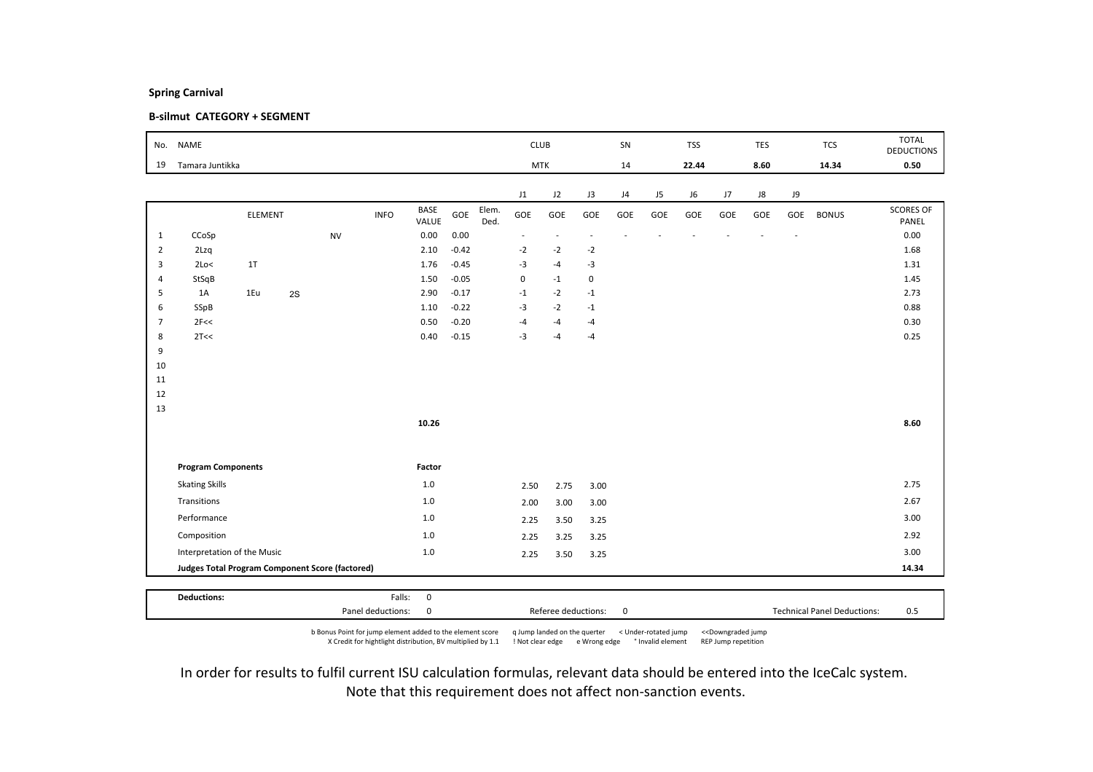### B-silmut CATEGORY + SEGMENT

| Tamara Juntikka<br>CCoSp<br>2Lzq<br>1T<br>2Lo<<br>StSqB<br>1Eu<br>SSpB<br>2F<<<br>2T<< | ELEMENT<br>2S | <b>NV</b>                                                | <b>INFO</b>        | BASE<br>VALUE<br>0.00<br>2.10<br>1.76<br>1.50   | GOE<br>0.00<br>$-0.42$ | Elem.<br>Ded. | <b>MTK</b><br>J1<br>GOE<br>$\overline{\phantom{a}}$ | J2<br>GOE<br>$\overline{\phantom{a}}$ | J3<br>GOE      | 14<br>J4<br>GOE | J5<br>GOE | 22.44<br>J6<br>GOE | J7<br>GOE | 8.60<br>J8<br>GOE | J9<br>GOE | 14.34<br><b>BONUS</b> | 0.50<br><b>SCORES OF</b> |
|----------------------------------------------------------------------------------------|---------------|----------------------------------------------------------|--------------------|-------------------------------------------------|------------------------|---------------|-----------------------------------------------------|---------------------------------------|----------------|-----------------|-----------|--------------------|-----------|-------------------|-----------|-----------------------|--------------------------|
|                                                                                        |               |                                                          |                    |                                                 |                        |               |                                                     |                                       |                |                 |           |                    |           |                   |           |                       |                          |
|                                                                                        |               |                                                          |                    |                                                 |                        |               |                                                     |                                       |                |                 |           |                    |           |                   |           |                       |                          |
|                                                                                        |               |                                                          |                    |                                                 |                        |               |                                                     |                                       |                |                 |           |                    |           |                   |           |                       | PANEL                    |
|                                                                                        |               |                                                          |                    |                                                 |                        |               |                                                     |                                       | ÷.             |                 |           |                    |           |                   |           |                       | 0.00                     |
|                                                                                        |               |                                                          |                    |                                                 |                        |               | $-2$                                                | $-2$                                  | $-2$           |                 |           |                    |           |                   |           |                       | 1.68                     |
|                                                                                        |               |                                                          |                    |                                                 | $-0.45$                |               | $-3$                                                | $-4$                                  | $-3$           |                 |           |                    |           |                   |           |                       | 1.31                     |
|                                                                                        |               |                                                          |                    |                                                 | $-0.05$                |               | $\pmb{0}$                                           | $-1$                                  | $\pmb{0}$      |                 |           |                    |           |                   |           |                       | 1.45                     |
|                                                                                        |               |                                                          |                    | 2.90                                            | $-0.17$                |               | $-1$                                                | $-2$                                  | $^{\mbox{-}}1$ |                 |           |                    |           |                   |           |                       | 2.73                     |
|                                                                                        |               |                                                          |                    | 1.10                                            | $-0.22$                |               | $-3$                                                | $-2$                                  | $-1$           |                 |           |                    |           |                   |           |                       | 0.88                     |
|                                                                                        |               |                                                          |                    | 0.50                                            | $-0.20$                |               | $-4$                                                | $-4$                                  | $-4$           |                 |           |                    |           |                   |           |                       | 0.30                     |
|                                                                                        |               |                                                          |                    | 0.40                                            | $-0.15$                |               | $-3$                                                | $-4$                                  | $-4$           |                 |           |                    |           |                   |           |                       | 0.25                     |
|                                                                                        |               |                                                          |                    |                                                 |                        |               |                                                     |                                       |                |                 |           |                    |           |                   |           |                       |                          |
|                                                                                        |               |                                                          |                    |                                                 |                        |               |                                                     |                                       |                |                 |           |                    |           |                   |           |                       |                          |
|                                                                                        |               |                                                          |                    |                                                 |                        |               |                                                     |                                       |                |                 |           |                    |           |                   |           |                       |                          |
|                                                                                        |               |                                                          |                    |                                                 |                        |               |                                                     |                                       |                |                 |           |                    |           |                   |           |                       |                          |
|                                                                                        |               |                                                          |                    | 10.26                                           |                        |               |                                                     |                                       |                |                 |           |                    |           |                   |           |                       | 8.60                     |
|                                                                                        |               |                                                          |                    |                                                 |                        |               |                                                     |                                       |                |                 |           |                    |           |                   |           |                       |                          |
|                                                                                        |               |                                                          |                    | Factor                                          |                        |               |                                                     |                                       |                |                 |           |                    |           |                   |           |                       |                          |
| <b>Skating Skills</b>                                                                  |               |                                                          |                    | 1.0                                             |                        |               | 2.50                                                | 2.75                                  | 3.00           |                 |           |                    |           |                   |           |                       | 2.75                     |
| Transitions                                                                            |               |                                                          |                    | $1.0$                                           |                        |               | 2.00                                                | 3.00                                  | 3.00           |                 |           |                    |           |                   |           |                       | 2.67                     |
| Performance                                                                            |               |                                                          |                    | $1.0$                                           |                        |               | 2.25                                                |                                       | 3.25           |                 |           |                    |           |                   |           |                       | 3.00                     |
| Composition                                                                            |               |                                                          |                    | 1.0                                             |                        |               | 2.25                                                | 3.25                                  | 3.25           |                 |           |                    |           |                   |           |                       | 2.92                     |
|                                                                                        |               |                                                          |                    | $1.0$                                           |                        |               | 2.25                                                |                                       | 3.25           |                 |           |                    |           |                   |           |                       | 3.00                     |
|                                                                                        |               |                                                          |                    |                                                 |                        |               |                                                     |                                       |                |                 |           |                    |           |                   |           |                       | 14.34                    |
|                                                                                        |               | <b>Program Components</b><br>Interpretation of the Music | <b>Deductions:</b> | Judges Total Program Component Score (factored) | Falls:<br>$\mathbf 0$  |               |                                                     |                                       | 3.50<br>3.50   |                 |           |                    |           |                   |           |                       |                          |

b Bonus Point for jump element added to the element score q Jump landed on the querter < Under-rotated jump <<Downgraded jump X Credit for hightlight distribution, BV multiplied by 1.1 ! Not clear edge e Wrong edge ° Invalid element REP Jump repetition

Panel deductions: 0 0 0 0 Referee deductions: 0 0 0 1 Technical Panel Deductions: 0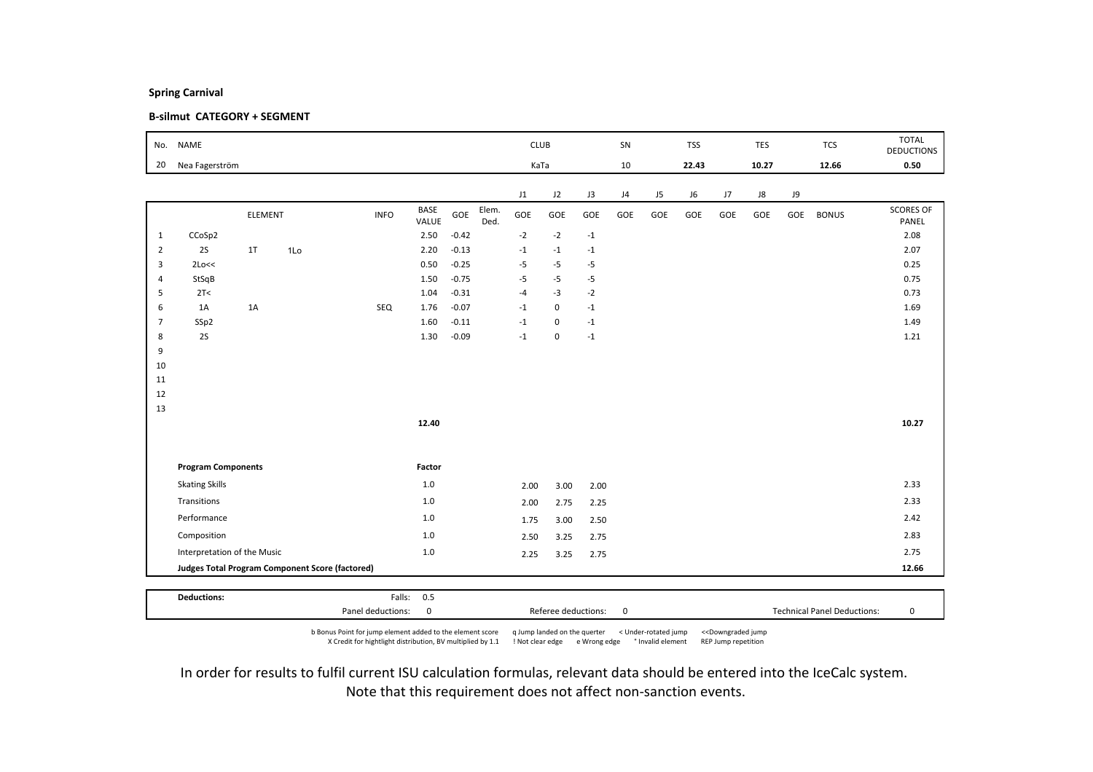### B-silmut CATEGORY + SEGMENT

| No.            | <b>NAME</b>                 |                |                                                 |             |               |         |               | <b>CLUB</b> |             |             | SN  |     | <b>TSS</b> |     | TES   |     | <b>TCS</b>   | <b>TOTAL</b><br><b>DEDUCTIONS</b> |
|----------------|-----------------------------|----------------|-------------------------------------------------|-------------|---------------|---------|---------------|-------------|-------------|-------------|-----|-----|------------|-----|-------|-----|--------------|-----------------------------------|
| 20             | Nea Fagerström              |                |                                                 |             |               |         |               | KaTa        |             |             | 10  |     | 22.43      |     | 10.27 |     | 12.66        | 0.50                              |
|                |                             |                |                                                 |             |               |         |               | J1          | J2          | J3          | J4  | J5  | J6         | J7  | J8    | J9  |              |                                   |
|                |                             | <b>ELEMENT</b> |                                                 | <b>INFO</b> | BASE<br>VALUE | GOE     | Elem.<br>Ded. | GOE         | GOE         | GOE         | GOE | GOE | GOE        | GOE | GOE   | GOE | <b>BONUS</b> | <b>SCORES OF</b><br>PANEL         |
| $\mathbf{1}$   | CCoSp2                      |                |                                                 |             | 2.50          | $-0.42$ |               | $-2$        | $-2$        | $^{\rm -1}$ |     |     |            |     |       |     |              | 2.08                              |
| $\overline{2}$ | 2S                          | 1T             | 1Lo                                             |             | 2.20          | $-0.13$ |               | $-1$        | $-1$        | $-1$        |     |     |            |     |       |     |              | 2.07                              |
| 3              | 2Lo<<                       |                |                                                 |             | 0.50          | $-0.25$ |               | $-5$        | $-5$        | $-5$        |     |     |            |     |       |     |              | 0.25                              |
| $\overline{4}$ | StSqB                       |                |                                                 |             | 1.50          | $-0.75$ |               | $-5$        | $-5$        | $-5$        |     |     |            |     |       |     |              | 0.75                              |
| 5              | 2T<                         |                |                                                 |             | 1.04          | $-0.31$ |               | $-4$        | $-3$        | $-2$        |     |     |            |     |       |     |              | 0.73                              |
| 6              | 1A                          | 1A             |                                                 | SEQ         | 1.76          | $-0.07$ |               | $-1$        | $\mathsf 0$ | $-1$        |     |     |            |     |       |     |              | 1.69                              |
| 7              | SSp2                        |                |                                                 |             | 1.60          | $-0.11$ |               | $-1$        | $\mathbf 0$ | $-1$        |     |     |            |     |       |     |              | 1.49                              |
| 8              | 2S                          |                |                                                 |             | 1.30          | $-0.09$ |               | $-1$        | 0           | $-1$        |     |     |            |     |       |     |              | 1.21                              |
| 9              |                             |                |                                                 |             |               |         |               |             |             |             |     |     |            |     |       |     |              |                                   |
| 10<br>11       |                             |                |                                                 |             |               |         |               |             |             |             |     |     |            |     |       |     |              |                                   |
| 12             |                             |                |                                                 |             |               |         |               |             |             |             |     |     |            |     |       |     |              |                                   |
| 13             |                             |                |                                                 |             |               |         |               |             |             |             |     |     |            |     |       |     |              |                                   |
|                |                             |                |                                                 |             | 12.40         |         |               |             |             |             |     |     |            |     |       |     |              | 10.27                             |
|                |                             |                |                                                 |             |               |         |               |             |             |             |     |     |            |     |       |     |              |                                   |
|                | <b>Program Components</b>   |                |                                                 |             | Factor        |         |               |             |             |             |     |     |            |     |       |     |              |                                   |
|                | <b>Skating Skills</b>       |                |                                                 |             | $1.0\,$       |         |               | 2.00        | 3.00        | 2.00        |     |     |            |     |       |     |              | 2.33                              |
|                | Transitions                 |                |                                                 |             | $1.0$         |         |               | 2.00        | 2.75        | 2.25        |     |     |            |     |       |     |              | 2.33                              |
|                | Performance                 |                |                                                 |             | $1.0$         |         |               | 1.75        | 3.00        | 2.50        |     |     |            |     |       |     |              | 2.42                              |
|                | Composition                 |                |                                                 |             | 1.0           |         |               | 2.50        | 3.25        | 2.75        |     |     |            |     |       |     |              | 2.83                              |
|                | Interpretation of the Music |                |                                                 |             | $1.0$         |         |               | 2.25        | 3.25        | 2.75        |     |     |            |     |       |     |              | 2.75                              |
|                |                             |                | Judges Total Program Component Score (factored) |             |               |         |               |             |             |             |     |     |            |     |       |     |              | 12.66                             |
|                |                             |                |                                                 |             |               |         |               |             |             |             |     |     |            |     |       |     |              |                                   |
|                | <b>Deductions:</b>          |                |                                                 |             | Falls: 0.5    |         |               |             |             |             |     |     |            |     |       |     |              |                                   |

b Bonus Point for jump element added to the element score q Jump landed on the querter < Under-rotated jump <<Downgraded jump X Credit for hightlight distribution, BV multiplied by 1.1 ! Not clear edge e Wrong edge ° Invalid element REP Jump repetition

Panel deductions: 0 Referee deductions: 0 Technical Panel Deductions: 0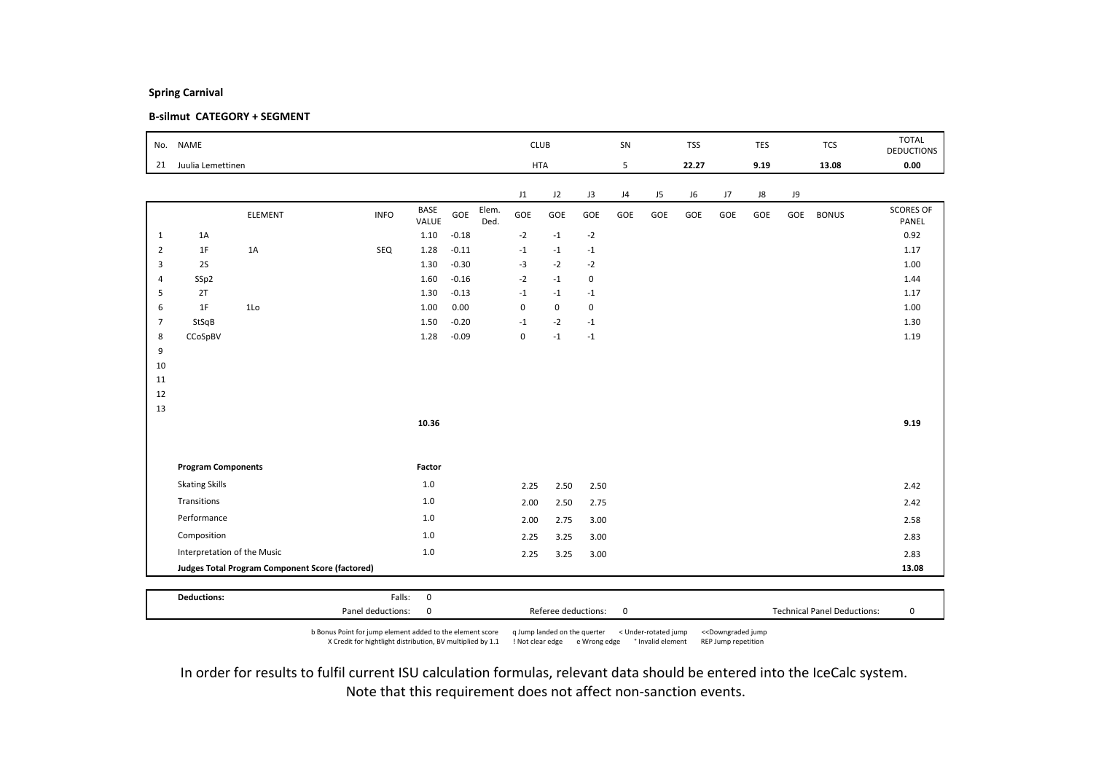### B-silmut CATEGORY + SEGMENT

| No.            | <b>NAME</b>                 |                                                        |             |                      |         |               | <b>CLUB</b> |             |             | SN  |                | <b>TSS</b> |     | <b>TES</b> |     | <b>TCS</b>   | <b>TOTAL</b><br><b>DEDUCTIONS</b> |
|----------------|-----------------------------|--------------------------------------------------------|-------------|----------------------|---------|---------------|-------------|-------------|-------------|-----|----------------|------------|-----|------------|-----|--------------|-----------------------------------|
| 21             | Juulia Lemettinen           |                                                        |             |                      |         |               |             | <b>HTA</b>  |             | 5   |                | 22.27      |     | 9.19       |     | 13.08        | 0.00                              |
|                |                             |                                                        |             |                      |         |               | J1          | J2          | J3          | J4  | J <sub>5</sub> | J6         | J7  | J8         | J9  |              |                                   |
|                |                             | <b>ELEMENT</b>                                         | <b>INFO</b> | <b>BASE</b><br>VALUE | GOE     | Elem.<br>Ded. | GOE         | GOE         | GOE         | GOE | GOE            | GOE        | GOE | GOE        | GOE | <b>BONUS</b> | <b>SCORES OF</b><br>PANEL         |
| $\mathbf{1}$   | 1A                          |                                                        |             | 1.10                 | $-0.18$ |               | $-2$        | $-1$        | $-2$        |     |                |            |     |            |     |              | 0.92                              |
| $\overline{2}$ | 1F                          | 1A                                                     | SEQ         | 1.28                 | $-0.11$ |               | $-1$        | $-1$        | $-1$        |     |                |            |     |            |     |              | 1.17                              |
| 3              | 2S                          |                                                        |             | 1.30                 | $-0.30$ |               | $-3$        | $-2$        | $-2$        |     |                |            |     |            |     |              | 1.00                              |
| $\overline{4}$ | SSp2                        |                                                        |             | 1.60                 | $-0.16$ |               | $-2$        | $-1$        | 0           |     |                |            |     |            |     |              | 1.44                              |
| 5              | 2T                          |                                                        |             | 1.30                 | $-0.13$ |               | $-1$        | $-1$        | $-1$        |     |                |            |     |            |     |              | 1.17                              |
| 6              | 1F                          | 1Lo                                                    |             | 1.00                 | 0.00    |               | $\mathbf 0$ | $\mathbf 0$ | $\mathbf 0$ |     |                |            |     |            |     |              | 1.00                              |
| $\overline{7}$ | StSqB                       |                                                        |             | 1.50                 | $-0.20$ |               | $-1$        | $-2$        | $-1$        |     |                |            |     |            |     |              | 1.30                              |
| 8<br>9         | CCoSpBV                     |                                                        |             | 1.28                 | $-0.09$ |               | 0           | $-1$        | $^{\rm -1}$ |     |                |            |     |            |     |              | 1.19                              |
| 10             |                             |                                                        |             |                      |         |               |             |             |             |     |                |            |     |            |     |              |                                   |
| 11             |                             |                                                        |             |                      |         |               |             |             |             |     |                |            |     |            |     |              |                                   |
| 12             |                             |                                                        |             |                      |         |               |             |             |             |     |                |            |     |            |     |              |                                   |
| 13             |                             |                                                        |             |                      |         |               |             |             |             |     |                |            |     |            |     |              |                                   |
|                |                             |                                                        |             | 10.36                |         |               |             |             |             |     |                |            |     |            |     |              | 9.19                              |
|                |                             |                                                        |             |                      |         |               |             |             |             |     |                |            |     |            |     |              |                                   |
|                | <b>Program Components</b>   |                                                        |             | Factor               |         |               |             |             |             |     |                |            |     |            |     |              |                                   |
|                | <b>Skating Skills</b>       |                                                        |             | 1.0                  |         |               | 2.25        | 2.50        | 2.50        |     |                |            |     |            |     |              | 2.42                              |
|                | Transitions                 |                                                        |             | $1.0$                |         |               | 2.00        | 2.50        | 2.75        |     |                |            |     |            |     |              | 2.42                              |
|                | Performance                 |                                                        |             | 1.0                  |         |               | 2.00        | 2.75        | 3.00        |     |                |            |     |            |     |              | 2.58                              |
|                | Composition                 |                                                        |             | 1.0                  |         |               | 2.25        | 3.25        | 3.00        |     |                |            |     |            |     |              | 2.83                              |
|                | Interpretation of the Music |                                                        |             | $1.0\,$              |         |               | 2.25        | 3.25        | 3.00        |     |                |            |     |            |     |              | 2.83                              |
|                |                             | <b>Judges Total Program Component Score (factored)</b> |             |                      |         |               |             |             |             |     |                |            |     |            |     |              | 13.08                             |
|                |                             |                                                        |             |                      |         |               |             |             |             |     |                |            |     |            |     |              |                                   |
|                | <b>Deductions:</b>          |                                                        | Falls:      | $\mathbf 0$          |         |               |             |             |             |     |                |            |     |            |     |              |                                   |

b Bonus Point for jump element added to the element score q Jump landed on the querter < Under-rotated jump <<Downgraded jump X Credit for hightlight distribution, BV multiplied by 1.1 ! Not clear edge e Wrong edge ° Invalid element REP Jump repetition

Panel deductions: 0 Referee deductions: 0 Technical Panel Deductions: 0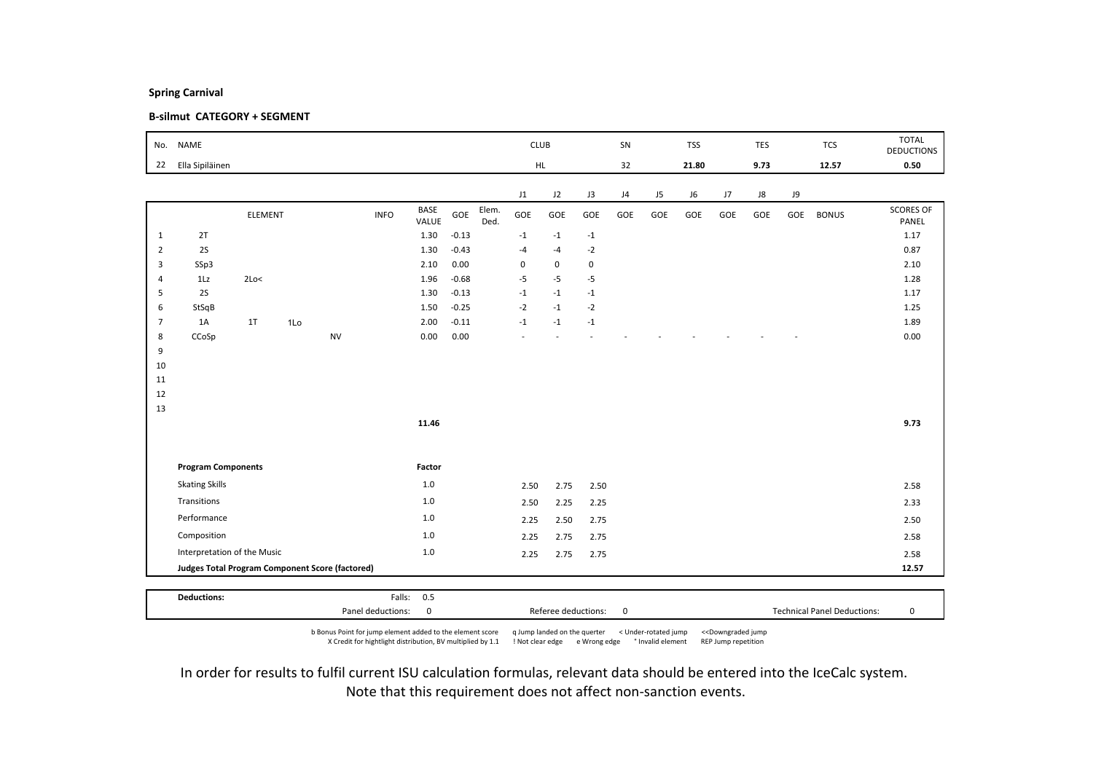### B-silmut CATEGORY + SEGMENT

|                |                                                 |         |     |           |             |               |         |               |             |             |             |     |                |            |     |      |     |              | <b>TOTAL</b>              |
|----------------|-------------------------------------------------|---------|-----|-----------|-------------|---------------|---------|---------------|-------------|-------------|-------------|-----|----------------|------------|-----|------|-----|--------------|---------------------------|
| No.            | <b>NAME</b>                                     |         |     |           |             |               |         |               |             | <b>CLUB</b> |             | SN  |                | <b>TSS</b> |     | TES  |     | <b>TCS</b>   | <b>DEDUCTIONS</b>         |
| 22             | Ella Sipiläinen                                 |         |     |           |             |               |         |               |             | HL.         |             | 32  |                | 21.80      |     | 9.73 |     | 12.57        | 0.50                      |
|                |                                                 |         |     |           |             |               |         |               |             |             |             |     |                |            |     |      |     |              |                           |
|                |                                                 |         |     |           |             |               |         |               | J1          | J2          | J3          | J4  | J <sub>5</sub> | J6         | J7  | J8   | J9  |              |                           |
|                |                                                 | ELEMENT |     |           | <b>INFO</b> | BASE<br>VALUE | GOE     | Elem.<br>Ded. | GOE         | GOE         | GOE         | GOE | GOE            | GOE        | GOE | GOE  | GOE | <b>BONUS</b> | <b>SCORES OF</b><br>PANEL |
| $\mathbf{1}$   | 2T                                              |         |     |           |             | 1.30          | $-0.13$ |               | $-1$        | $-1$        | $-1$        |     |                |            |     |      |     |              | 1.17                      |
| $\overline{2}$ | 2S                                              |         |     |           |             | 1.30          | $-0.43$ |               | $-4$        | $-4$        | $-2$        |     |                |            |     |      |     |              | 0.87                      |
| 3              | SSp3                                            |         |     |           |             | 2.10          | 0.00    |               | $\mathbf 0$ | $\mathbf 0$ | $\mathbf 0$ |     |                |            |     |      |     |              | 2.10                      |
| $\overline{4}$ | 1Lz                                             | 2Lo<    |     |           |             | 1.96          | $-0.68$ |               | $-5$        | $-5$        | $-5$        |     |                |            |     |      |     |              | 1.28                      |
| 5              | 2S                                              |         |     |           |             | 1.30          | $-0.13$ |               | $-1$        | $-1$        | $-1$        |     |                |            |     |      |     |              | 1.17                      |
| 6              | StSqB                                           |         |     |           |             | 1.50          | $-0.25$ |               | $-2$        | $-1$        | $-2$        |     |                |            |     |      |     |              | 1.25                      |
| $\overline{7}$ | 1A                                              | 1T      | 1Lo |           |             | 2.00          | $-0.11$ |               | $-1$        | $-1$        | $^{\circ}1$ |     |                |            |     |      |     |              | 1.89                      |
| 8              | CCoSp                                           |         |     | <b>NV</b> |             | 0.00          | 0.00    |               |             |             |             |     |                |            |     |      |     |              | 0.00                      |
| 9              |                                                 |         |     |           |             |               |         |               |             |             |             |     |                |            |     |      |     |              |                           |
| 10<br>11       |                                                 |         |     |           |             |               |         |               |             |             |             |     |                |            |     |      |     |              |                           |
| 12             |                                                 |         |     |           |             |               |         |               |             |             |             |     |                |            |     |      |     |              |                           |
| 13             |                                                 |         |     |           |             |               |         |               |             |             |             |     |                |            |     |      |     |              |                           |
|                |                                                 |         |     |           |             | 11.46         |         |               |             |             |             |     |                |            |     |      |     |              | 9.73                      |
|                |                                                 |         |     |           |             |               |         |               |             |             |             |     |                |            |     |      |     |              |                           |
|                |                                                 |         |     |           |             |               |         |               |             |             |             |     |                |            |     |      |     |              |                           |
|                | <b>Program Components</b>                       |         |     |           |             | Factor        |         |               |             |             |             |     |                |            |     |      |     |              |                           |
|                | <b>Skating Skills</b>                           |         |     |           |             | 1.0           |         |               | 2.50        | 2.75        | 2.50        |     |                |            |     |      |     |              | 2.58                      |
|                | Transitions                                     |         |     |           |             | 1.0           |         |               | 2.50        | 2.25        | 2.25        |     |                |            |     |      |     |              | 2.33                      |
|                | Performance                                     |         |     |           |             | 1.0           |         |               | 2.25        | 2.50        | 2.75        |     |                |            |     |      |     |              | 2.50                      |
|                | Composition                                     |         |     |           |             | 1.0           |         |               | 2.25        | 2.75        | 2.75        |     |                |            |     |      |     |              | 2.58                      |
|                | Interpretation of the Music                     |         |     |           |             | 1.0           |         |               | 2.25        | 2.75        | 2.75        |     |                |            |     |      |     |              | 2.58                      |
|                | Judges Total Program Component Score (factored) |         |     |           |             |               |         |               |             |             |             |     |                |            |     |      |     |              | 12.57                     |
|                |                                                 |         |     |           |             |               |         |               |             |             |             |     |                |            |     |      |     |              |                           |
|                | <b>Deductions:</b>                              |         |     |           | Falls:      | 0.5           |         |               |             |             |             |     |                |            |     |      |     |              |                           |

b Bonus Point for jump element added to the element score q Jump landed on the querter < Under-rotated jump <<Downgraded jump X Credit for hightlight distribution, BV multiplied by 1.1 ! Not clear edge e Wrong edge ° Invalid element REP Jump repetition

Panel deductions: 0 Referee deductions: 0 Technical Panel Deductions: 0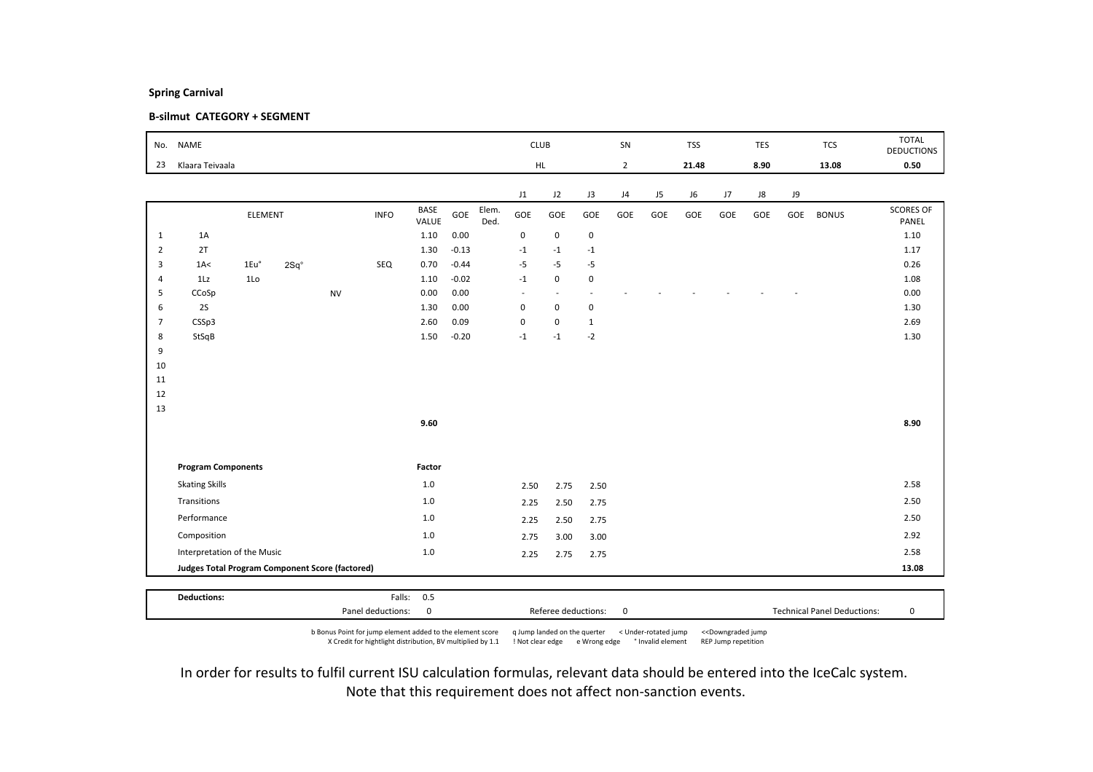### B-silmut CATEGORY + SEGMENT

| No.            | <b>NAME</b>                                     |                |               |           |             |               |         |               | <b>CLUB</b>             |                          |              | SN             |     | <b>TSS</b> |     | TES  |     | <b>TCS</b>   | <b>TOTAL</b><br><b>DEDUCTIONS</b> |
|----------------|-------------------------------------------------|----------------|---------------|-----------|-------------|---------------|---------|---------------|-------------------------|--------------------------|--------------|----------------|-----|------------|-----|------|-----|--------------|-----------------------------------|
| 23             | Klaara Teivaala                                 |                |               |           |             |               |         |               |                         | HL.                      |              | $\overline{2}$ |     | 21.48      |     | 8.90 |     | 13.08        | 0.50                              |
|                |                                                 |                |               |           |             |               |         |               | J1                      | J2                       | J3           | J4             | J5  | J6         | J7  | J8   | J9  |              |                                   |
|                |                                                 | <b>ELEMENT</b> |               |           | <b>INFO</b> | BASE<br>VALUE | GOE     | Elem.<br>Ded. | GOE                     | GOE                      | GOE          | GOE            | GOE | GOE        | GOE | GOE  | GOE | <b>BONUS</b> | <b>SCORES OF</b><br>PANEL         |
| $\mathbf{1}$   | 1A                                              |                |               |           |             | 1.10          | 0.00    |               | 0                       | $\mathsf 0$              | $\pmb{0}$    |                |     |            |     |      |     |              | 1.10                              |
| $\overline{2}$ | 2T                                              |                |               |           |             | 1.30          | $-0.13$ |               | $-1$                    | $-1$                     | $-1$         |                |     |            |     |      |     |              | 1.17                              |
| 3              | 1A<                                             | 1Eu°           | $2Sq^{\circ}$ |           | SEQ         | 0.70          | $-0.44$ |               | $-5$                    | $-5$                     | $-5$         |                |     |            |     |      |     |              | 0.26                              |
| $\overline{4}$ | 1Lz                                             | 1 <sub>0</sub> |               |           |             | 1.10          | $-0.02$ |               | $-1$                    | $\mathsf 0$              | $\mathbf 0$  |                |     |            |     |      |     |              | 1.08                              |
| 5              | CCoSp                                           |                |               | <b>NV</b> |             | 0.00          | 0.00    |               | $\sim$                  | $\overline{\phantom{a}}$ | $\sim$       |                |     |            |     |      |     |              | 0.00                              |
| 6              | <b>2S</b>                                       |                |               |           |             | 1.30          | 0.00    |               | $\mathbf 0$             | $\mathsf 0$              | $\pmb{0}$    |                |     |            |     |      |     |              | 1.30                              |
| 7              | CSSp3                                           |                |               |           |             | 2.60          | 0.09    |               | $\pmb{0}$               | $\mathsf 0$              | $\mathbf{1}$ |                |     |            |     |      |     |              | 2.69                              |
| 8              | StSqB                                           |                |               |           |             | 1.50          | $-0.20$ |               | $^{\mbox{{\small -1}}}$ | $-1$                     | $-2$         |                |     |            |     |      |     |              | 1.30                              |
| 9              |                                                 |                |               |           |             |               |         |               |                         |                          |              |                |     |            |     |      |     |              |                                   |
| 10<br>11       |                                                 |                |               |           |             |               |         |               |                         |                          |              |                |     |            |     |      |     |              |                                   |
| 12             |                                                 |                |               |           |             |               |         |               |                         |                          |              |                |     |            |     |      |     |              |                                   |
| 13             |                                                 |                |               |           |             |               |         |               |                         |                          |              |                |     |            |     |      |     |              |                                   |
|                |                                                 |                |               |           |             | 9.60          |         |               |                         |                          |              |                |     |            |     |      |     |              | 8.90                              |
|                |                                                 |                |               |           |             |               |         |               |                         |                          |              |                |     |            |     |      |     |              |                                   |
|                | <b>Program Components</b>                       |                |               |           |             | Factor        |         |               |                         |                          |              |                |     |            |     |      |     |              |                                   |
|                | <b>Skating Skills</b>                           |                |               |           |             | $1.0\,$       |         |               | 2.50                    | 2.75                     | 2.50         |                |     |            |     |      |     |              | 2.58                              |
|                | Transitions                                     |                |               |           |             | $1.0$         |         |               | 2.25                    | 2.50                     | 2.75         |                |     |            |     |      |     |              | 2.50                              |
|                | Performance                                     |                |               |           |             | 1.0           |         |               | 2.25                    | 2.50                     | 2.75         |                |     |            |     |      |     |              | 2.50                              |
|                | Composition                                     |                |               |           |             | 1.0           |         |               | 2.75                    | 3.00                     | 3.00         |                |     |            |     |      |     |              | 2.92                              |
|                | Interpretation of the Music                     |                |               |           |             | $1.0\,$       |         |               | 2.25                    | 2.75                     | 2.75         |                |     |            |     |      |     |              | 2.58                              |
|                | Judges Total Program Component Score (factored) |                |               |           |             |               |         |               |                         |                          |              |                |     |            |     |      |     |              | 13.08                             |
|                |                                                 |                |               |           |             |               |         |               |                         |                          |              |                |     |            |     |      |     |              |                                   |
|                | <b>Deductions:</b>                              |                |               |           |             | Falls: 0.5    |         |               |                         |                          |              |                |     |            |     |      |     |              |                                   |

b Bonus Point for jump element added to the element score q Jump landed on the querter < Under-rotated jump <<Downgraded jump X Credit for hightlight distribution, BV multiplied by 1.1 ! Not clear edge e Wrong edge ° Invalid element REP Jump repetition

Panel deductions: 0 Referee deductions: 0 Technical Panel Deductions: 0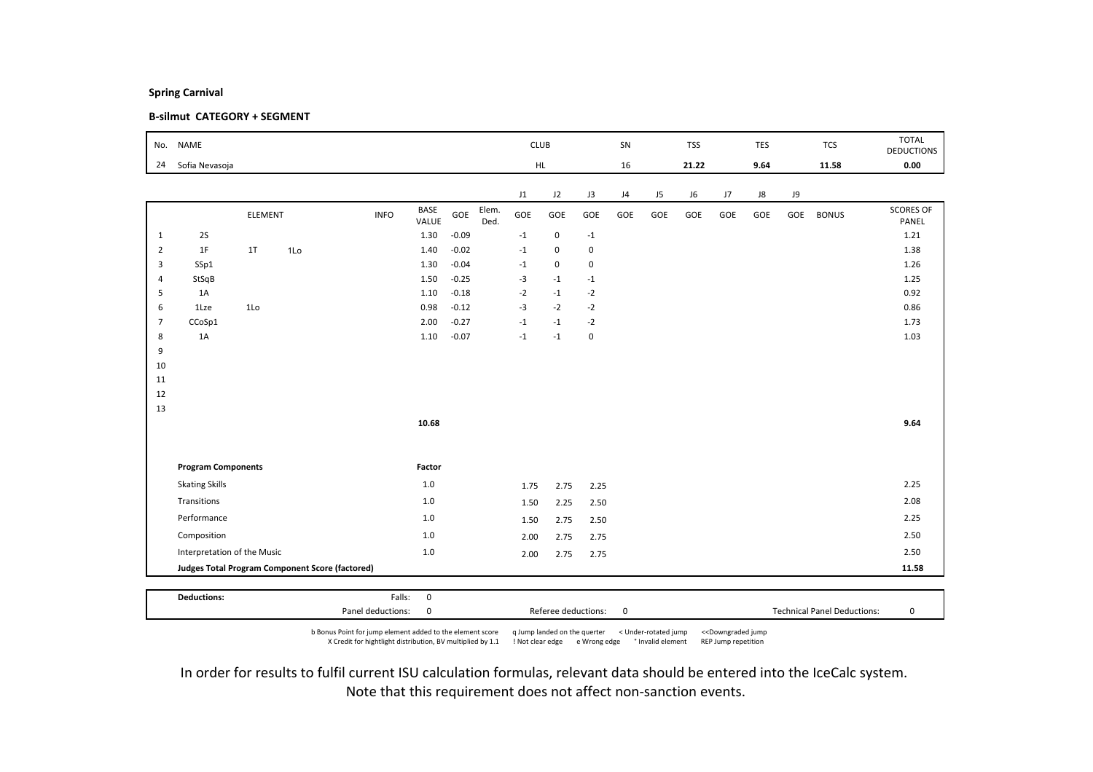### B-silmut CATEGORY + SEGMENT

| No.            | <b>NAME</b>                 |         |                                                 |             |               |         |               | <b>CLUB</b> |             |                | SN  |     | <b>TSS</b> |     | TES  |     | <b>TCS</b>   | <b>TOTAL</b><br><b>DEDUCTIONS</b> |
|----------------|-----------------------------|---------|-------------------------------------------------|-------------|---------------|---------|---------------|-------------|-------------|----------------|-----|-----|------------|-----|------|-----|--------------|-----------------------------------|
| 24             | Sofia Nevasoja              |         |                                                 |             |               |         |               |             | HL.         |                | 16  |     | 21.22      |     | 9.64 |     | 11.58        | 0.00                              |
|                |                             |         |                                                 |             |               |         |               | J1          | J2          | J3             | J4  | J5  | J6         | J7  | J8   | J9  |              |                                   |
|                |                             | ELEMENT |                                                 | <b>INFO</b> | BASE<br>VALUE | GOE     | Elem.<br>Ded. | GOE         | GOE         | GOE            | GOE | GOE | GOE        | GOE | GOE  | GOE | <b>BONUS</b> | <b>SCORES OF</b><br>PANEL         |
| $\mathbf{1}$   | 2S                          |         |                                                 |             | 1.30          | $-0.09$ |               | $-1$        | $\mathsf 0$ | $^{\mbox{-}}1$ |     |     |            |     |      |     |              | 1.21                              |
| $\overline{2}$ | 1F                          | 1T      | 1Lo                                             |             | 1.40          | $-0.02$ |               | $-1$        | $\mathbf 0$ | 0              |     |     |            |     |      |     |              | 1.38                              |
| 3              | SSp1                        |         |                                                 |             | 1.30          | $-0.04$ |               | $-1$        | $\mathsf 0$ | 0              |     |     |            |     |      |     |              | 1.26                              |
| $\overline{4}$ | StSqB                       |         |                                                 |             | 1.50          | $-0.25$ |               | $-3$        | $-1$        | $-1$           |     |     |            |     |      |     |              | 1.25                              |
| 5              | 1A                          |         |                                                 |             | 1.10          | $-0.18$ |               | $-2$        | $-1$        | $-2$           |     |     |            |     |      |     |              | 0.92                              |
| 6              | 1Lze                        | 1Lo     |                                                 |             | 0.98          | $-0.12$ |               | $-3$        | $-2$        | $-2$           |     |     |            |     |      |     |              | 0.86                              |
| 7              | CCoSp1                      |         |                                                 |             | 2.00          | $-0.27$ |               | $-1$        | $-1$        | $-2$           |     |     |            |     |      |     |              | 1.73                              |
| 8              | 1A                          |         |                                                 |             | 1.10          | $-0.07$ |               | $-1$        | $-1$        | $\pmb{0}$      |     |     |            |     |      |     |              | 1.03                              |
| 9              |                             |         |                                                 |             |               |         |               |             |             |                |     |     |            |     |      |     |              |                                   |
| 10<br>11       |                             |         |                                                 |             |               |         |               |             |             |                |     |     |            |     |      |     |              |                                   |
| 12             |                             |         |                                                 |             |               |         |               |             |             |                |     |     |            |     |      |     |              |                                   |
| 13             |                             |         |                                                 |             |               |         |               |             |             |                |     |     |            |     |      |     |              |                                   |
|                |                             |         |                                                 |             | 10.68         |         |               |             |             |                |     |     |            |     |      |     |              | 9.64                              |
|                |                             |         |                                                 |             |               |         |               |             |             |                |     |     |            |     |      |     |              |                                   |
|                | <b>Program Components</b>   |         |                                                 |             | Factor        |         |               |             |             |                |     |     |            |     |      |     |              |                                   |
|                | <b>Skating Skills</b>       |         |                                                 |             | $1.0\,$       |         |               | 1.75        | 2.75        | 2.25           |     |     |            |     |      |     |              | 2.25                              |
|                | Transitions                 |         |                                                 |             | $1.0$         |         |               | 1.50        | 2.25        | 2.50           |     |     |            |     |      |     |              | 2.08                              |
|                | Performance                 |         |                                                 |             | 1.0           |         |               | 1.50        | 2.75        | 2.50           |     |     |            |     |      |     |              | 2.25                              |
|                | Composition                 |         |                                                 |             | 1.0           |         |               | 2.00        | 2.75        | 2.75           |     |     |            |     |      |     |              | 2.50                              |
|                | Interpretation of the Music |         |                                                 |             | $1.0\,$       |         |               | 2.00        | 2.75        | 2.75           |     |     |            |     |      |     |              | 2.50                              |
|                |                             |         | Judges Total Program Component Score (factored) |             |               |         |               |             |             |                |     |     |            |     |      |     |              | 11.58                             |
|                |                             |         |                                                 |             |               |         |               |             |             |                |     |     |            |     |      |     |              |                                   |
|                | <b>Deductions:</b>          |         |                                                 | Falls:      | $\mathbf 0$   |         |               |             |             |                |     |     |            |     |      |     |              |                                   |

b Bonus Point for jump element added to the element score q Jump landed on the querter < Under-rotated jump <<Downgraded jump X Credit for hightlight distribution, BV multiplied by 1.1 ! Not clear edge e Wrong edge ° Invalid element REP Jump repetition

Panel deductions: 0 Referee deductions: 0 Technical Panel Deductions: 0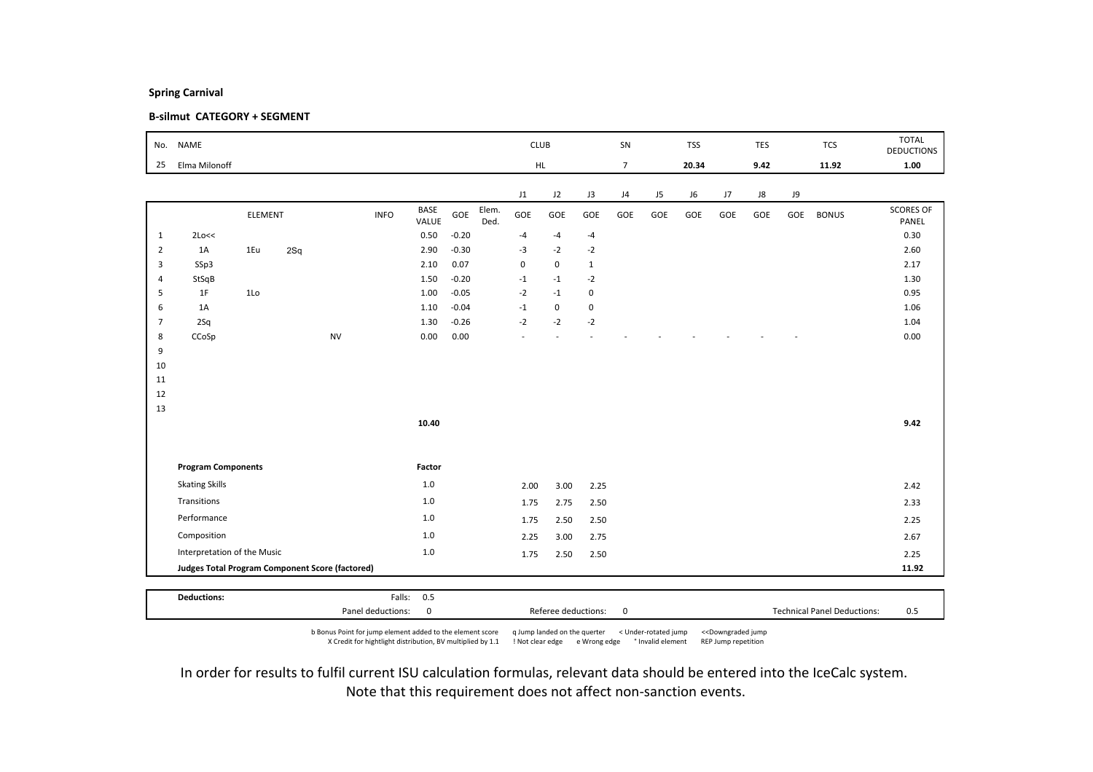### B-silmut CATEGORY + SEGMENT

| No.            | <b>NAME</b>                                     |         |     |           |             |                      |         |               |             | <b>CLUB</b> |              | SN             |                | <b>TSS</b> |     | TES        |     | <b>TCS</b>   | <b>TOTAL</b><br><b>DEDUCTIONS</b> |
|----------------|-------------------------------------------------|---------|-----|-----------|-------------|----------------------|---------|---------------|-------------|-------------|--------------|----------------|----------------|------------|-----|------------|-----|--------------|-----------------------------------|
| 25             | Elma Milonoff                                   |         |     |           |             |                      |         |               |             | HL.         |              | $\overline{7}$ |                | 20.34      |     | 9.42       |     | 11.92        | 1.00                              |
|                |                                                 |         |     |           |             |                      |         |               |             |             |              |                |                |            |     |            |     |              |                                   |
|                |                                                 |         |     |           |             |                      |         |               | J1          | J2          | J3           | J4             | J <sub>5</sub> | J6         | J7  | ${\sf J}8$ | J9  |              |                                   |
|                |                                                 | ELEMENT |     |           | <b>INFO</b> | <b>BASE</b><br>VALUE | GOE     | Elem.<br>Ded. | GOE         | GOE         | GOE          | GOE            | GOE            | GOE        | GOE | GOE        | GOE | <b>BONUS</b> | <b>SCORES OF</b><br>PANEL         |
| 1              | 2Lo<<                                           |         |     |           |             | 0.50                 | $-0.20$ |               | $-4$        | $-4$        | $-4$         |                |                |            |     |            |     |              | 0.30                              |
| $\overline{2}$ | 1A                                              | 1Eu     | 2Sq |           |             | 2.90                 | $-0.30$ |               | $-3$        | $-2$        | $-2$         |                |                |            |     |            |     |              | 2.60                              |
| $\overline{3}$ | SSp3                                            |         |     |           |             | 2.10                 | 0.07    |               | $\mathbf 0$ | $\mathbf 0$ | $\mathbf{1}$ |                |                |            |     |            |     |              | 2.17                              |
| 4              | StSqB                                           |         |     |           |             | 1.50                 | $-0.20$ |               | $-1$        | $-1$        | $-2$         |                |                |            |     |            |     |              | 1.30                              |
| 5              | 1F                                              | 1Lo     |     |           |             | 1.00                 | $-0.05$ |               | $-2$        | $-1$        | 0            |                |                |            |     |            |     |              | 0.95                              |
| 6              | 1A                                              |         |     |           |             | 1.10                 | $-0.04$ |               | $-1$        | $\mathbf 0$ | 0            |                |                |            |     |            |     |              | 1.06                              |
| $\overline{7}$ | 2Sq                                             |         |     |           |             | 1.30                 | $-0.26$ |               | $-2$        | $-2$        | $-2$         |                |                |            |     |            |     |              | 1.04                              |
| 8              | CCoSp                                           |         |     | <b>NV</b> |             | 0.00                 | 0.00    |               | ٠           |             |              |                |                |            |     |            |     |              | 0.00                              |
| 9              |                                                 |         |     |           |             |                      |         |               |             |             |              |                |                |            |     |            |     |              |                                   |
| 10             |                                                 |         |     |           |             |                      |         |               |             |             |              |                |                |            |     |            |     |              |                                   |
| 11             |                                                 |         |     |           |             |                      |         |               |             |             |              |                |                |            |     |            |     |              |                                   |
| 12             |                                                 |         |     |           |             |                      |         |               |             |             |              |                |                |            |     |            |     |              |                                   |
| 13             |                                                 |         |     |           |             | 10.40                |         |               |             |             |              |                |                |            |     |            |     |              | 9.42                              |
|                |                                                 |         |     |           |             |                      |         |               |             |             |              |                |                |            |     |            |     |              |                                   |
|                |                                                 |         |     |           |             |                      |         |               |             |             |              |                |                |            |     |            |     |              |                                   |
|                | <b>Program Components</b>                       |         |     |           |             | Factor               |         |               |             |             |              |                |                |            |     |            |     |              |                                   |
|                | <b>Skating Skills</b>                           |         |     |           |             | 1.0                  |         |               |             |             |              |                |                |            |     |            |     |              |                                   |
|                |                                                 |         |     |           |             |                      |         |               | 2.00        | 3.00        | 2.25         |                |                |            |     |            |     |              | 2.42                              |
|                | Transitions                                     |         |     |           |             | 1.0                  |         |               | 1.75        | 2.75        | 2.50         |                |                |            |     |            |     |              | 2.33                              |
|                | Performance                                     |         |     |           |             | 1.0                  |         |               | 1.75        | 2.50        | 2.50         |                |                |            |     |            |     |              | 2.25                              |
|                | Composition                                     |         | 1.0 |           |             | 2.25                 | 3.00    | 2.75          |             |             |              |                |                |            |     | 2.67       |     |              |                                   |
|                | Interpretation of the Music                     |         | 1.0 |           |             | 1.75                 | 2.50    | 2.50          |             |             |              |                |                |            |     | 2.25       |     |              |                                   |
|                | Judges Total Program Component Score (factored) |         |     |           |             |                      |         |               |             |             |              |                |                |            |     |            |     |              | 11.92                             |
|                |                                                 |         |     |           |             |                      |         |               |             |             |              |                |                |            |     |            |     |              |                                   |
|                | <b>Deductions:</b>                              |         |     |           | Falls:      | 0.5                  |         |               |             |             |              |                |                |            |     |            |     |              |                                   |

b Bonus Point for jump element added to the element score q Jump landed on the querter < Under-rotated jump <<Downgraded jump X Credit for hightlight distribution, BV multiplied by 1.1 ! Not clear edge e Wrong edge ° Invalid element REP Jump repetition

Panel deductions: 0 0 0 0 Referee deductions: 0 0 0 1 Technical Panel Deductions: 0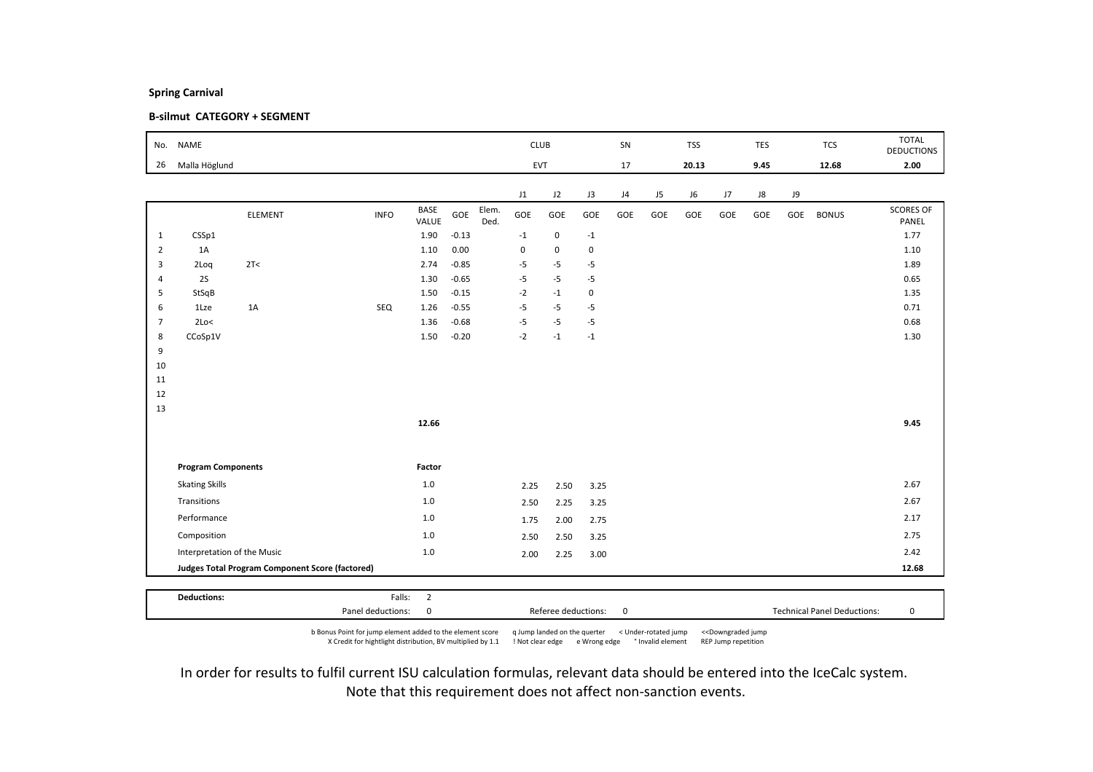### B-silmut CATEGORY + SEGMENT

| No.            | <b>NAME</b>                 |                                                 |             |                |         |               | <b>CLUB</b> |             |                | SN  |     | <b>TSS</b> |     | TES  |     | <b>TCS</b>   | <b>TOTAL</b><br><b>DEDUCTIONS</b> |
|----------------|-----------------------------|-------------------------------------------------|-------------|----------------|---------|---------------|-------------|-------------|----------------|-----|-----|------------|-----|------|-----|--------------|-----------------------------------|
| 26             | Malla Höglund               |                                                 |             |                |         |               |             | <b>EVT</b>  |                | 17  |     | 20.13      |     | 9.45 |     | 12.68        | 2.00                              |
|                |                             |                                                 |             |                |         |               | J1          | J2          | J3             | J4  | J5  | J6         | J7  | J8   | J9  |              |                                   |
|                |                             | ELEMENT                                         | <b>INFO</b> | BASE<br>VALUE  | GOE     | Elem.<br>Ded. | GOE         | GOE         | GOE            | GOE | GOE | GOE        | GOE | GOE  | GOE | <b>BONUS</b> | <b>SCORES OF</b><br>PANEL         |
| 1              | CSSp1                       |                                                 |             | 1.90           | $-0.13$ |               | $-1$        | $\mathbf 0$ | $^{\mbox{-}}1$ |     |     |            |     |      |     |              | 1.77                              |
| $\overline{2}$ | 1A                          |                                                 |             | 1.10           | 0.00    |               | $\pmb{0}$   | $\mathbf 0$ | 0              |     |     |            |     |      |     |              | 1.10                              |
| $\overline{3}$ | 2Loq                        | 2T<                                             |             | 2.74           | $-0.85$ |               | $-5$        | $-5$        | $-5$           |     |     |            |     |      |     |              | 1.89                              |
| $\overline{4}$ | 2S                          |                                                 |             | 1.30           | $-0.65$ |               | $-5$        | $-5$        | $-5$           |     |     |            |     |      |     |              | 0.65                              |
| 5              | StSqB                       |                                                 |             | 1.50           | $-0.15$ |               | $-2$        | $-1$        | 0              |     |     |            |     |      |     |              | 1.35                              |
| 6              | 1Lze                        | 1A                                              | SEQ         | 1.26           | $-0.55$ |               | $-5$        | $-5$        | $-5$           |     |     |            |     |      |     |              | 0.71                              |
| $\overline{7}$ | 2Lo<                        |                                                 |             | 1.36           | $-0.68$ |               | $-5$        | $-5$        | $-5$           |     |     |            |     |      |     |              | 0.68                              |
| 8              | CCoSp1V                     |                                                 |             | 1.50           | $-0.20$ |               | $-2$        | $-1$        | $-1$           |     |     |            |     |      |     |              | 1.30                              |
| 9<br>10        |                             |                                                 |             |                |         |               |             |             |                |     |     |            |     |      |     |              |                                   |
| 11             |                             |                                                 |             |                |         |               |             |             |                |     |     |            |     |      |     |              |                                   |
| 12             |                             |                                                 |             |                |         |               |             |             |                |     |     |            |     |      |     |              |                                   |
| 13             |                             |                                                 |             |                |         |               |             |             |                |     |     |            |     |      |     |              |                                   |
|                |                             |                                                 |             | 12.66          |         |               |             |             |                |     |     |            |     |      |     |              | 9.45                              |
|                |                             |                                                 |             |                |         |               |             |             |                |     |     |            |     |      |     |              |                                   |
|                | <b>Program Components</b>   |                                                 |             | Factor         |         |               |             |             |                |     |     |            |     |      |     |              |                                   |
|                | <b>Skating Skills</b>       |                                                 |             | $1.0\,$        |         |               | 2.25        | 2.50        | 3.25           |     |     |            |     |      |     |              | 2.67                              |
|                | Transitions                 |                                                 |             | $1.0$          |         |               | 2.50        | 2.25        | 3.25           |     |     |            |     |      |     |              | 2.67                              |
|                | Performance                 |                                                 |             | $1.0$          |         |               | 1.75        | 2.00        | 2.75           |     |     |            |     |      |     |              | 2.17                              |
|                | Composition                 |                                                 |             | $1.0$          |         |               | 2.50        | 2.50        | 3.25           |     |     |            |     |      |     |              | 2.75                              |
|                | Interpretation of the Music |                                                 | $1.0$       |                |         | 2.00          | 2.25        | 3.00        |                |     |     |            |     |      |     | 2.42         |                                   |
|                |                             | Judges Total Program Component Score (factored) |             |                |         |               |             |             |                |     |     |            |     |      |     |              | 12.68                             |
|                |                             |                                                 |             |                |         |               |             |             |                |     |     |            |     |      |     |              |                                   |
|                | <b>Deductions:</b>          |                                                 | Falls:      | $\overline{2}$ |         |               |             |             |                |     |     |            |     |      |     |              |                                   |

b Bonus Point for jump element added to the element score q Jump landed on the querter < Under-rotated jump <<Downgraded jump X Credit for hightlight distribution, BV multiplied by 1.1 ! Not clear edge e Wrong edge ° Invalid element REP Jump repetition

Panel deductions: 0 Referee deductions: 0 Technical Panel Deductions: 0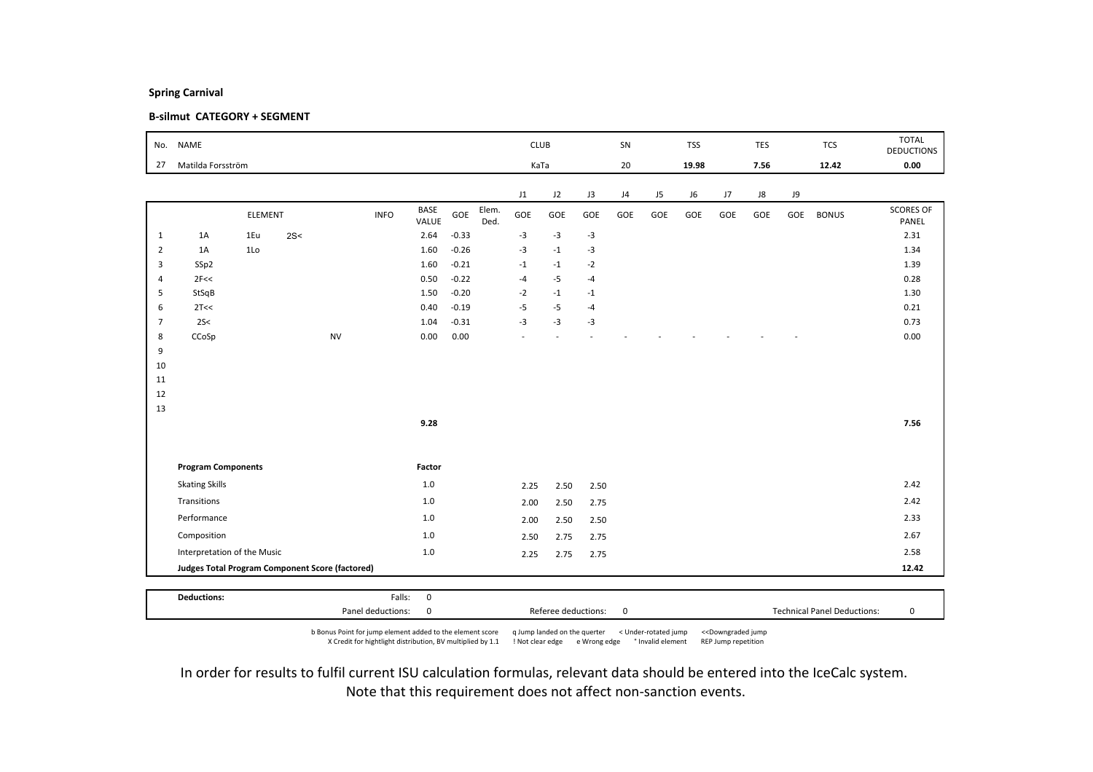### B-silmut CATEGORY + SEGMENT

| 27             |                                                 |                |       |           |             |                      |         |               | <b>CLUB</b> |      |      | SN  |     | <b>TSS</b> |     | <b>TES</b> |     | <b>TCS</b>   | <b>TOTAL</b><br><b>DEDUCTIONS</b> |
|----------------|-------------------------------------------------|----------------|-------|-----------|-------------|----------------------|---------|---------------|-------------|------|------|-----|-----|------------|-----|------------|-----|--------------|-----------------------------------|
|                | Matilda Forsström                               |                |       |           |             |                      |         |               | KaTa        |      |      | 20  |     | 19.98      |     | 7.56       |     | 12.42        | 0.00                              |
|                |                                                 |                |       |           |             |                      |         |               | J1          | J2   | J3   | J4  | J5  | J6         | J7  | J8         | J9  |              |                                   |
|                |                                                 | ELEMENT        |       |           | <b>INFO</b> | <b>BASE</b><br>VALUE | GOE     | Elem.<br>Ded. | GOE         | GOE  | GOE  | GOE | GOE | GOE        | GOE | GOE        | GOE | <b>BONUS</b> | <b>SCORES OF</b><br>PANEL         |
| $\mathbf{1}$   | 1A                                              | 1Eu            | 2S<   |           |             | 2.64                 | $-0.33$ |               | $-3$        | $-3$ | $-3$ |     |     |            |     |            |     |              | 2.31                              |
| $\overline{2}$ | 1A                                              | 1 <sub>0</sub> |       |           |             | 1.60                 | $-0.26$ |               | $-3$        | $-1$ | $-3$ |     |     |            |     |            |     |              | 1.34                              |
| 3              | SSp2                                            |                |       |           |             | 1.60                 | $-0.21$ |               | $-1$        | $-1$ | $-2$ |     |     |            |     |            |     |              | 1.39                              |
| $\overline{4}$ | 2F<<                                            |                |       |           |             | 0.50                 | $-0.22$ |               | $-4$        | $-5$ | $-4$ |     |     |            |     |            |     |              | 0.28                              |
| 5              | StSqB                                           |                |       |           |             | 1.50                 | $-0.20$ |               | $-2$        | $-1$ | $-1$ |     |     |            |     |            |     |              | 1.30                              |
| 6              | 2T<<                                            |                |       |           |             | 0.40                 | $-0.19$ |               | $-5$        | $-5$ | $-4$ |     |     |            |     |            |     |              | 0.21                              |
| $\overline{7}$ | 2S<                                             |                |       |           | 1.04        | $-0.31$              |         | $-3$          | $-3$        | $-3$ |      |     |     |            |     |            |     | 0.73         |                                   |
| 8<br>9         | CCoSp                                           |                |       | <b>NV</b> |             | 0.00                 | 0.00    |               |             |      |      |     |     |            |     |            |     |              | 0.00                              |
| 10             |                                                 |                |       |           |             |                      |         |               |             |      |      |     |     |            |     |            |     |              |                                   |
| 11             |                                                 |                |       |           |             |                      |         |               |             |      |      |     |     |            |     |            |     |              |                                   |
| 12             |                                                 |                |       |           |             |                      |         |               |             |      |      |     |     |            |     |            |     |              |                                   |
| 13             |                                                 |                |       |           |             |                      |         |               |             |      |      |     |     |            |     |            |     |              |                                   |
|                |                                                 |                |       |           |             | 9.28                 |         |               |             |      |      |     |     |            |     |            |     |              | 7.56                              |
|                |                                                 |                |       |           |             |                      |         |               |             |      |      |     |     |            |     |            |     |              |                                   |
|                | <b>Program Components</b>                       |                |       |           |             | Factor               |         |               |             |      |      |     |     |            |     |            |     |              |                                   |
|                | <b>Skating Skills</b>                           |                |       |           |             | 1.0                  |         |               | 2.25        | 2.50 | 2.50 |     |     |            |     |            |     |              | 2.42                              |
|                | Transitions                                     |                | $1.0$ |           |             | 2.00                 | 2.50    | 2.75          |             |      |      |     |     |            |     | 2.42       |     |              |                                   |
|                | Performance                                     |                | 1.0   |           |             | 2.00                 | 2.50    | 2.50          |             |      |      |     |     |            |     | 2.33       |     |              |                                   |
|                | Composition                                     |                | 1.0   |           |             | 2.50                 | 2.75    | 2.75          |             |      |      |     |     |            |     | 2.67       |     |              |                                   |
|                | Interpretation of the Music                     |                | $1.0$ |           |             | 2.25                 | 2.75    | 2.75          |             |      |      |     |     |            |     | 2.58       |     |              |                                   |
|                | Judges Total Program Component Score (factored) |                |       |           |             |                      |         |               |             |      |      |     |     |            |     |            |     |              | 12.42                             |

b Bonus Point for jump element added to the element score q Jump landed on the querter < Under-rotated jump <<Downgraded jump X Credit for hightlight distribution, BV multiplied by 1.1 ! Not clear edge e Wrong edge ° Invalid element REP Jump repetition

Panel deductions: 0 Referee deductions: 0 Technical Panel Deductions: 0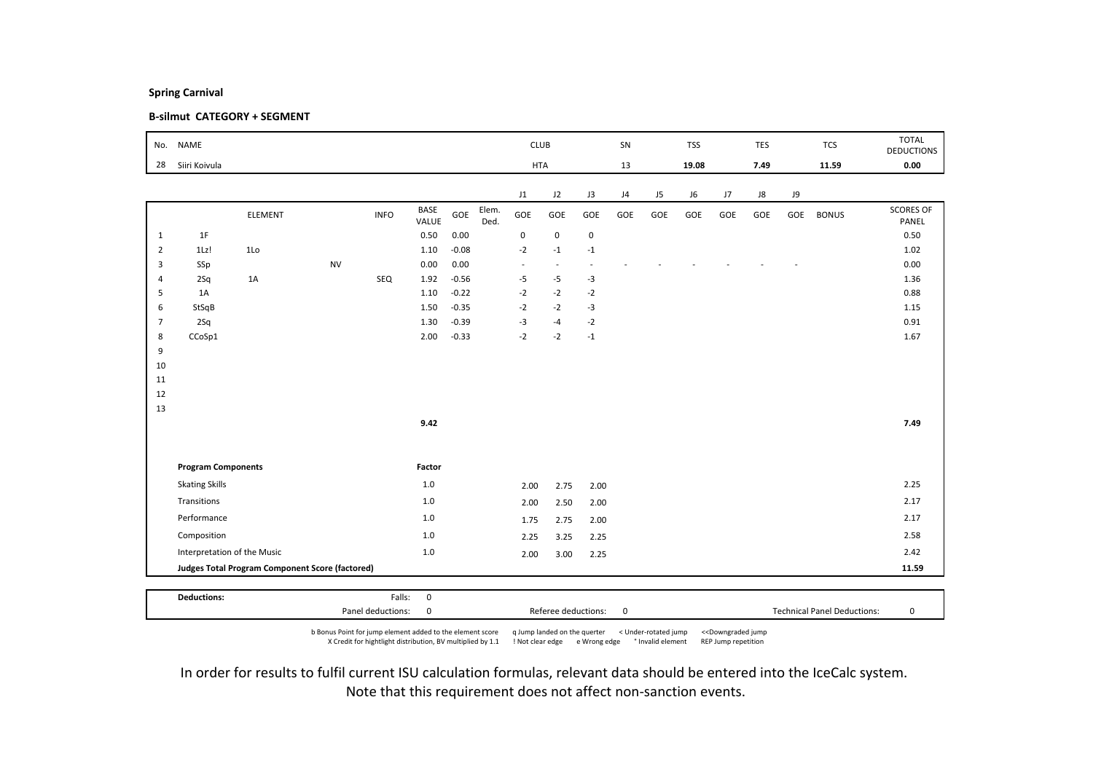### B-silmut CATEGORY + SEGMENT

| No.            | <b>NAME</b>                 |                                                 |           |             |                      |         |               | <b>CLUB</b> |             |                         | SN  |     | <b>TSS</b> |     | TES        |      | <b>TCS</b>   | <b>TOTAL</b><br><b>DEDUCTIONS</b> |
|----------------|-----------------------------|-------------------------------------------------|-----------|-------------|----------------------|---------|---------------|-------------|-------------|-------------------------|-----|-----|------------|-----|------------|------|--------------|-----------------------------------|
| 28             | Siiri Koivula               |                                                 |           |             |                      |         |               | <b>HTA</b>  |             |                         | 13  |     | 19.08      |     | 7.49       |      | 11.59        | 0.00                              |
|                |                             |                                                 |           |             |                      |         |               | J1          | J2          | J3                      | J4  | J5  | J6         | J7  | ${\sf J}8$ | J9   |              |                                   |
|                |                             | ELEMENT                                         |           | <b>INFO</b> | <b>BASE</b><br>VALUE | GOE     | Elem.<br>Ded. | GOE         | GOE         | GOE                     | GOE | GOE | GOE        | GOE | GOE        | GOE  | <b>BONUS</b> | <b>SCORES OF</b><br>PANEL         |
| $\mathbf{1}$   | 1F                          |                                                 |           |             | 0.50                 | 0.00    |               | $\pmb{0}$   | $\mathsf 0$ | $\mathbf 0$             |     |     |            |     |            |      |              | 0.50                              |
| $\overline{2}$ | $1Lz$ !                     | 1Lo                                             |           |             | 1.10                 | $-0.08$ |               | $-2$        | $-1$        | $-1$                    |     |     |            |     |            |      |              | 1.02                              |
| 3              | SSp                         |                                                 | <b>NV</b> |             | 0.00                 | 0.00    |               | $\sim$      | ٠           | ٠                       |     |     |            |     |            |      |              | 0.00                              |
| $\overline{4}$ | 2Sq                         | 1A                                              |           | SEQ         | 1.92                 | $-0.56$ |               | $-5$        | $-5$        | $-3$                    |     |     |            |     |            |      |              | 1.36                              |
| 5              | 1A                          |                                                 |           |             | 1.10                 | $-0.22$ |               | $-2$        | $-2$        | $-2$                    |     |     |            |     |            |      |              | 0.88                              |
| 6              | StSqB                       |                                                 |           |             | 1.50                 | $-0.35$ |               | $-2$        | $-2$        | $-3$                    |     |     |            |     |            |      |              | 1.15                              |
| $\overline{7}$ | 2Sq                         |                                                 |           |             | 1.30                 | $-0.39$ |               | $-3$        | $-4$        | $-2$                    |     |     |            |     |            |      |              | 0.91                              |
| 8              | CCoSp1                      |                                                 |           |             | 2.00                 | $-0.33$ |               | $-2$        | $-2$        | $^{\mbox{{\small -1}}}$ |     |     |            |     |            |      |              | 1.67                              |
| 9<br>10        |                             |                                                 |           |             |                      |         |               |             |             |                         |     |     |            |     |            |      |              |                                   |
| 11             |                             |                                                 |           |             |                      |         |               |             |             |                         |     |     |            |     |            |      |              |                                   |
| 12             |                             |                                                 |           |             |                      |         |               |             |             |                         |     |     |            |     |            |      |              |                                   |
| 13             |                             |                                                 |           |             |                      |         |               |             |             |                         |     |     |            |     |            |      |              |                                   |
|                |                             |                                                 |           |             | 9.42                 |         |               |             |             |                         |     |     |            |     |            |      |              | 7.49                              |
|                |                             |                                                 |           |             |                      |         |               |             |             |                         |     |     |            |     |            |      |              |                                   |
|                | <b>Program Components</b>   |                                                 |           |             | Factor               |         |               |             |             |                         |     |     |            |     |            |      |              |                                   |
|                | <b>Skating Skills</b>       |                                                 |           |             | 1.0                  |         |               | 2.00        | 2.75        | 2.00                    |     |     |            |     |            |      |              | 2.25                              |
|                | Transitions                 |                                                 |           |             | $1.0$                |         |               | 2.00        | 2.50        | 2.00                    |     |     |            |     |            |      |              | 2.17                              |
|                | Performance                 |                                                 |           |             | 1.0                  |         |               | 1.75        | 2.75        | 2.00                    |     |     |            |     |            |      |              | 2.17                              |
|                | Composition                 |                                                 |           |             | 1.0                  |         |               | 2.25        | 3.25        | 2.25                    |     |     |            |     |            |      |              | 2.58                              |
|                | Interpretation of the Music |                                                 | $1.0$     |             |                      | 2.00    | 3.00          | 2.25        |             |                         |     |     |            |     |            | 2.42 |              |                                   |
|                |                             | Judges Total Program Component Score (factored) |           |             |                      |         |               |             |             |                         |     |     |            |     |            |      |              | 11.59                             |
|                |                             |                                                 |           |             |                      |         |               |             |             |                         |     |     |            |     |            |      |              |                                   |
|                | <b>Deductions:</b>          |                                                 |           | Falls:      |                      |         |               |             |             |                         |     |     |            |     |            |      |              |                                   |

b Bonus Point for jump element added to the element score q Jump landed on the querter < Under-rotated jump <<Downgraded jump X Credit for hightlight distribution, BV multiplied by 1.1 ! Not clear edge e Wrong edge ° Invalid element REP Jump repetition

Panel deductions: 0 Referee deductions: 0 Technical Panel Deductions: 0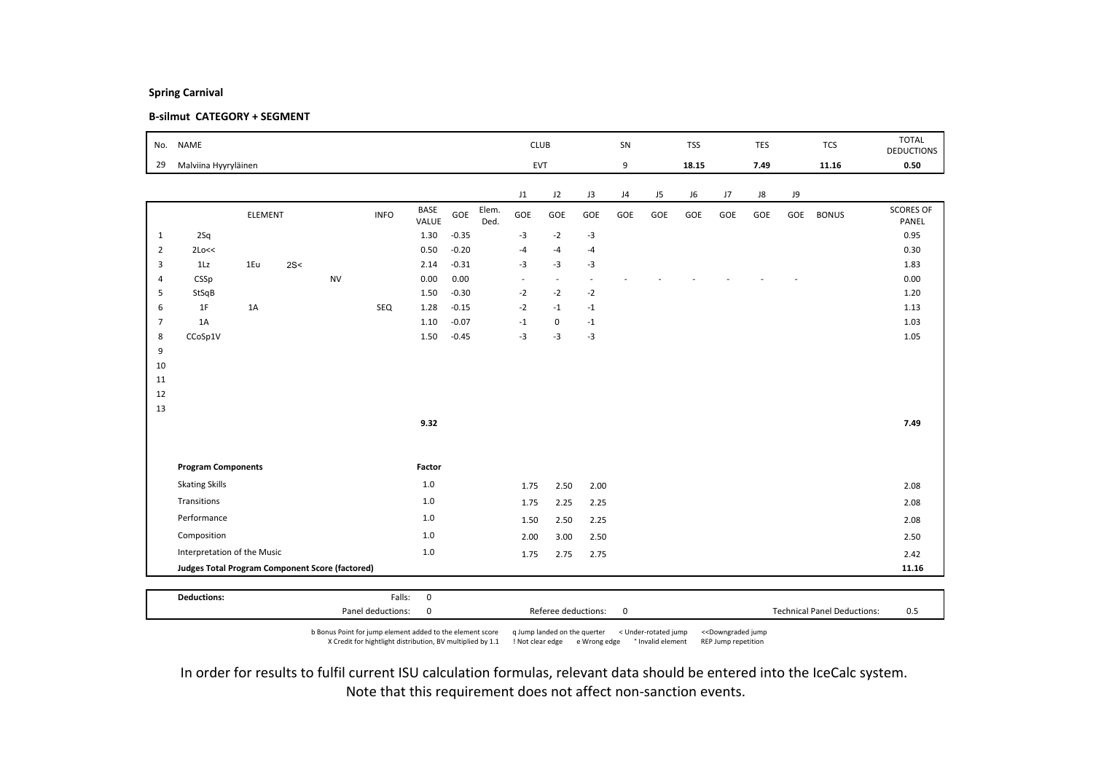### B-silmut CATEGORY + SEGMENT

| No.            | <b>NAME</b>                                     |         |     |           |             |                      |         |               | <b>CLUB</b> |                          |        | SN  |     | <b>TSS</b> |     | TES  |     | <b>TCS</b>   | <b>TOTAL</b><br><b>DEDUCTIONS</b> |
|----------------|-------------------------------------------------|---------|-----|-----------|-------------|----------------------|---------|---------------|-------------|--------------------------|--------|-----|-----|------------|-----|------|-----|--------------|-----------------------------------|
| 29             | Malviina Hyyryläinen                            |         |     |           |             |                      |         |               | EVT         |                          |        | 9   |     | 18.15      |     | 7.49 |     | 11.16        | 0.50                              |
|                |                                                 |         |     |           |             |                      |         |               | J1          | J2                       | J3     | J4  | J5  | J6         | J7  | J8   | J9  |              |                                   |
|                |                                                 | ELEMENT |     |           | <b>INFO</b> | <b>BASE</b><br>VALUE | GOE     | Elem.<br>Ded. | GOE         | GOE                      | GOE    | GOE | GOE | GOE        | GOE | GOE  | GOE | <b>BONUS</b> | <b>SCORES OF</b><br>PANEL         |
| $\mathbf{1}$   | 2Sq                                             |         |     |           |             | 1.30                 | $-0.35$ |               | $-3$        | $-2$                     | $-3$   |     |     |            |     |      |     |              | 0.95                              |
| $\overline{2}$ | 2Lo<<                                           |         |     |           |             | 0.50                 | $-0.20$ |               | $-4$        | $-4$                     | $-4$   |     |     |            |     |      |     |              | 0.30                              |
| 3              | 1Lz                                             | 1Eu     | 2S< |           |             | 2.14                 | $-0.31$ |               | $-3$        | $-3$                     | $-3$   |     |     |            |     |      |     |              | 1.83                              |
| $\overline{4}$ | CSSp                                            |         |     | <b>NV</b> |             | 0.00                 | 0.00    |               | $\sim$      | $\overline{\phantom{a}}$ | $\sim$ |     |     |            |     |      |     |              | 0.00                              |
| 5              | StSqB                                           |         |     |           |             | 1.50                 | $-0.30$ |               | $-2$        | $-2$                     | $-2$   |     |     |            |     |      |     |              | 1.20                              |
| 6              | 1F                                              | 1A      |     |           | SEQ         | 1.28                 | $-0.15$ |               | $-2$        | $-1$                     | $-1$   |     |     |            |     |      |     |              | 1.13                              |
| $\overline{7}$ | 1A                                              |         |     |           |             | 1.10                 | $-0.07$ |               | $-1$        | 0                        | $-1$   |     |     |            |     |      |     |              | 1.03                              |
| 8              | CCoSp1V                                         |         |     |           |             | 1.50                 | $-0.45$ |               | $-3$        | $-3$                     | $-3$   |     |     |            |     |      |     |              | 1.05                              |
| 9<br>10        |                                                 |         |     |           |             |                      |         |               |             |                          |        |     |     |            |     |      |     |              |                                   |
| 11             |                                                 |         |     |           |             |                      |         |               |             |                          |        |     |     |            |     |      |     |              |                                   |
| 12             |                                                 |         |     |           |             |                      |         |               |             |                          |        |     |     |            |     |      |     |              |                                   |
| 13             |                                                 |         |     |           |             |                      |         |               |             |                          |        |     |     |            |     |      |     |              |                                   |
|                |                                                 |         |     |           |             | 9.32                 |         |               |             |                          |        |     |     |            |     |      |     |              | 7.49                              |
|                |                                                 |         |     |           |             |                      |         |               |             |                          |        |     |     |            |     |      |     |              |                                   |
|                | <b>Program Components</b>                       |         |     |           |             | Factor               |         |               |             |                          |        |     |     |            |     |      |     |              |                                   |
|                | <b>Skating Skills</b>                           |         |     |           |             | 1.0                  |         |               | 1.75        | 2.50                     | 2.00   |     |     |            |     |      |     |              | 2.08                              |
|                | Transitions                                     |         |     |           | 1.0         |                      |         | 1.75          | 2.25        | 2.25                     |        |     |     |            |     |      |     | 2.08         |                                   |
|                | Performance                                     |         |     |           | 1.0         |                      |         | 1.50          | 2.50        | 2.25                     |        |     |     |            |     |      |     | 2.08         |                                   |
|                | Composition                                     |         |     |           |             | $1.0\,$              |         |               | 2.00        | 3.00                     | 2.50   |     |     |            |     |      |     |              | 2.50                              |
|                | Interpretation of the Music                     |         |     |           |             | 1.0                  |         |               | 1.75        | 2.75                     | 2.75   |     |     |            |     |      |     |              | 2.42                              |
|                | Judges Total Program Component Score (factored) |         |     |           |             |                      |         |               |             |                          |        |     |     |            |     |      |     |              | 11.16                             |
|                |                                                 |         |     |           |             |                      |         |               |             |                          |        |     |     |            |     |      |     |              |                                   |
|                | <b>Deductions:</b>                              |         |     |           | Falls:      | $\mathbf 0$          |         |               |             |                          |        |     |     |            |     |      |     |              |                                   |

b Bonus Point for jump element added to the element score q Jump landed on the querter < Under-rotated jump <<Downgraded jump X Credit for hightlight distribution, BV multiplied by 1.1 ! Not clear edge e Wrong edge ° Invalid element REP Jump repetition

Panel deductions: 0 0 0 0 Referee deductions: 0 0 0 1 Technical Panel Deductions: 0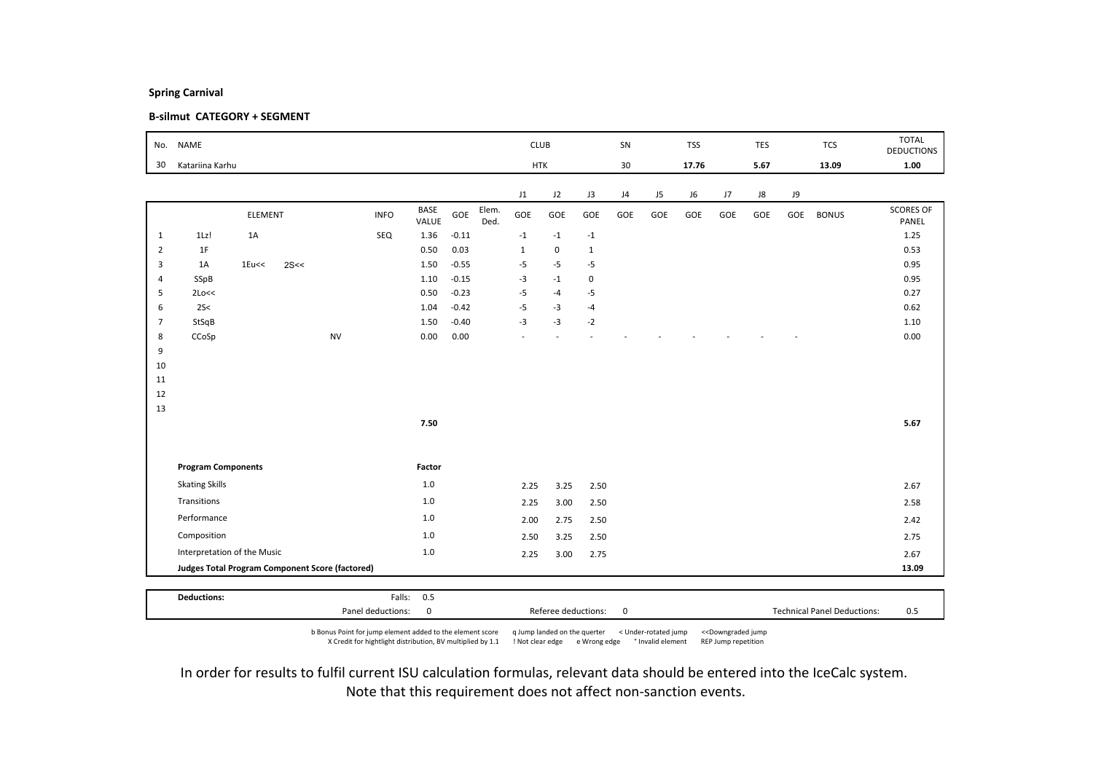### B-silmut CATEGORY + SEGMENT

| No.            | <b>NAME</b>                                     |                |      |           |             |               |         |               | <b>CLUB</b>  |             |              | SN  |     | <b>TSS</b> |     | TES  |     | <b>TCS</b>   | <b>TOTAL</b><br><b>DEDUCTIONS</b> |
|----------------|-------------------------------------------------|----------------|------|-----------|-------------|---------------|---------|---------------|--------------|-------------|--------------|-----|-----|------------|-----|------|-----|--------------|-----------------------------------|
| 30             | Katariina Karhu                                 |                |      |           |             |               |         |               | <b>HTK</b>   |             |              | 30  |     | 17.76      |     | 5.67 |     | 13.09        | 1.00                              |
|                |                                                 |                |      |           |             |               |         |               | J1           | J2          | J3           | J4  | J5  | J6         | J7  | J8   | J9  |              |                                   |
|                |                                                 | <b>ELEMENT</b> |      |           | <b>INFO</b> | BASE<br>VALUE | GOE     | Elem.<br>Ded. | GOE          | GOE         | GOE          | GOE | GOE | GOE        | GOE | GOE  | GOE | <b>BONUS</b> | <b>SCORES OF</b><br>PANEL         |
| $\mathbf{1}$   | 1Lz!                                            | 1A             |      |           | SEQ         | 1.36          | $-0.11$ |               | $-1$         | $-1$        | $^{\rm -1}$  |     |     |            |     |      |     |              | 1.25                              |
| $\overline{2}$ | 1F                                              |                |      |           |             | 0.50          | 0.03    |               | $\mathbf{1}$ | $\mathbf 0$ | $\mathbf{1}$ |     |     |            |     |      |     |              | 0.53                              |
| 3              | 1A                                              | $1E$ u<<       | 2S<< |           |             | 1.50          | $-0.55$ |               | $-5$         | $-5$        | $-5$         |     |     |            |     |      |     |              | 0.95                              |
| $\overline{4}$ | SSpB                                            |                |      |           |             | 1.10          | $-0.15$ |               | $-3$         | $-1$        | 0            |     |     |            |     |      |     |              | 0.95                              |
| 5              | 2Lo<<                                           |                |      |           |             | 0.50          | $-0.23$ |               | $-5$         | $-4$        | -5           |     |     |            |     |      |     |              | 0.27                              |
| 6              | 2S<                                             |                |      |           |             | 1.04          | $-0.42$ |               | $-5$         | $-3$        | $-4$         |     |     |            |     |      |     |              | 0.62                              |
| 7              | StSqB                                           |                |      |           |             | 1.50          | $-0.40$ |               | $-3$         | $-3$        | $-2$         |     |     |            |     |      |     |              | 1.10                              |
| 8<br>9         | CCoSp                                           |                |      | <b>NV</b> |             | 0.00          | 0.00    |               |              |             |              |     |     |            |     |      |     |              | 0.00                              |
| 10             |                                                 |                |      |           |             |               |         |               |              |             |              |     |     |            |     |      |     |              |                                   |
| 11             |                                                 |                |      |           |             |               |         |               |              |             |              |     |     |            |     |      |     |              |                                   |
| 12             |                                                 |                |      |           |             |               |         |               |              |             |              |     |     |            |     |      |     |              |                                   |
| 13             |                                                 |                |      |           |             |               |         |               |              |             |              |     |     |            |     |      |     |              |                                   |
|                |                                                 |                |      |           |             | 7.50          |         |               |              |             |              |     |     |            |     |      |     |              | 5.67                              |
|                |                                                 |                |      |           |             |               |         |               |              |             |              |     |     |            |     |      |     |              |                                   |
|                | <b>Program Components</b>                       |                |      |           |             | Factor        |         |               |              |             |              |     |     |            |     |      |     |              |                                   |
|                | <b>Skating Skills</b>                           |                |      |           |             | 1.0           |         |               | 2.25         | 3.25        | 2.50         |     |     |            |     |      |     |              | 2.67                              |
|                | Transitions                                     |                |      |           |             | $1.0$         |         |               | 2.25         | 3.00        | 2.50         |     |     |            |     |      |     |              | 2.58                              |
|                | Performance                                     |                |      |           |             | 1.0           |         |               | 2.00         | 2.75        | 2.50         |     |     |            |     |      |     |              | 2.42                              |
|                | Composition                                     |                | 1.0  |           |             | 2.50          | 3.25    | 2.50          |              |             |              |     |     |            |     | 2.75 |     |              |                                   |
|                | Interpretation of the Music                     |                |      |           |             | $1.0$         |         |               | 2.25         | 3.00        | 2.75         |     |     |            |     |      |     |              | 2.67                              |
|                | Judges Total Program Component Score (factored) |                |      |           |             |               |         |               |              |             |              |     |     |            |     |      |     | 13.09        |                                   |
|                |                                                 |                |      |           |             |               |         |               |              |             |              |     |     |            |     |      |     |              |                                   |
|                | <b>Deductions:</b>                              |                |      |           |             | Falls: 0.5    |         |               |              |             |              |     |     |            |     |      |     |              |                                   |

b Bonus Point for jump element added to the element score q Jump landed on the querter < Under-rotated jump <<Downgraded jump X Credit for hightlight distribution, BV multiplied by 1.1 ! Not clear edge e Wrong edge ° Invalid element REP Jump repetition

Panel deductions: 0 0 0 0 Referee deductions: 0 0 0 1 Technical Panel Deductions: 0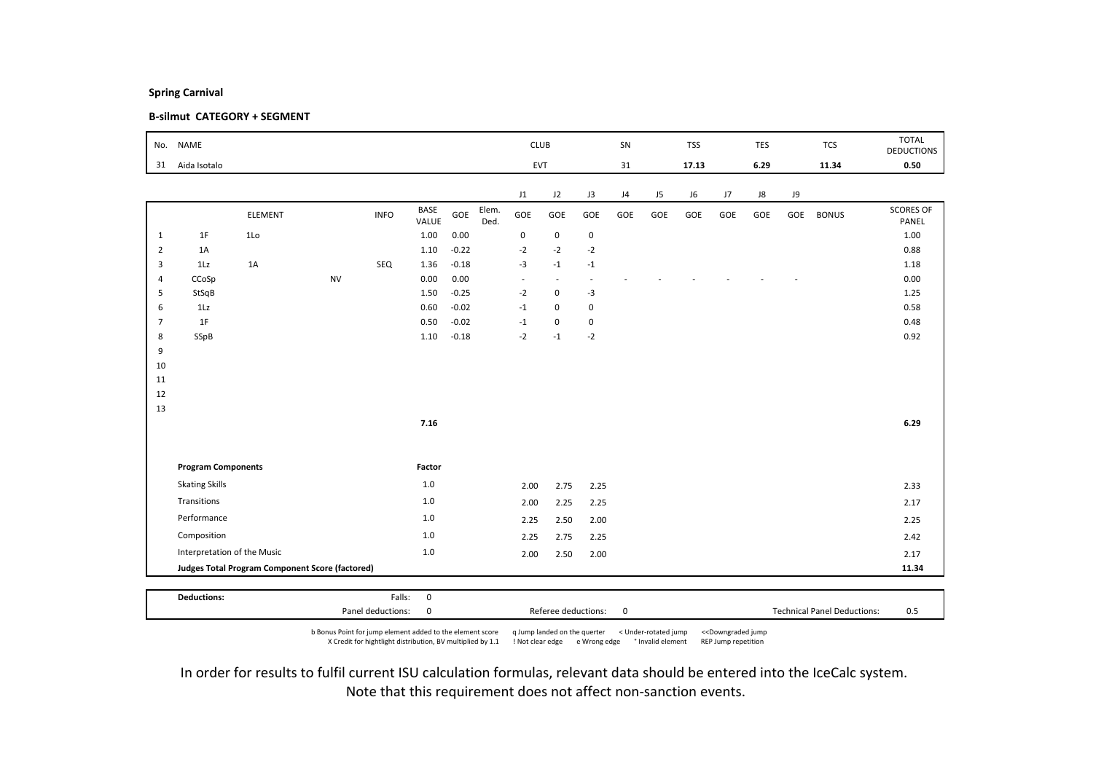### B-silmut CATEGORY + SEGMENT

|                | No. NAME                    |                                                 |           |             |               |         | <b>CLUB</b>   |                          |                          | SN        |     | <b>TSS</b> |       | TES |      | <b>TCS</b> | <b>TOTAL</b><br><b>DEDUCTIONS</b> |                           |
|----------------|-----------------------------|-------------------------------------------------|-----------|-------------|---------------|---------|---------------|--------------------------|--------------------------|-----------|-----|------------|-------|-----|------|------------|-----------------------------------|---------------------------|
| 31             | Aida Isotalo                |                                                 |           |             |               |         |               | EVT                      |                          |           | 31  |            | 17.13 |     | 6.29 |            | 11.34                             | 0.50                      |
|                |                             |                                                 |           |             |               |         |               | J1                       | J2                       | J3        | J4  | J5         | J6    | J7  | J8   | J9         |                                   |                           |
|                |                             | ELEMENT                                         |           | <b>INFO</b> | BASE<br>VALUE | GOE     | Elem.<br>Ded. | GOE                      | GOE                      | GOE       | GOE | GOE        | GOE   | GOE | GOE  | GOE        | <b>BONUS</b>                      | <b>SCORES OF</b><br>PANEL |
| $\mathbf{1}$   | 1F                          | 1Lo                                             |           |             | 1.00          | 0.00    |               | $\mathbf 0$              | $\mathbf 0$              | $\pmb{0}$ |     |            |       |     |      |            |                                   | 1.00                      |
| $\overline{2}$ | 1A                          |                                                 |           |             | 1.10          | $-0.22$ |               | $-2$                     | $-2$                     | $-2$      |     |            |       |     |      |            |                                   | 0.88                      |
| 3              | 1Lz                         | 1A                                              |           | SEQ         | 1.36          | $-0.18$ |               | $-3$                     | $-1$                     | $-1$      |     |            |       |     |      |            |                                   | 1.18                      |
| $\overline{4}$ | CCoSp                       |                                                 | <b>NV</b> |             | 0.00          | 0.00    |               | $\overline{\phantom{a}}$ | $\overline{\phantom{a}}$ | $\sim$    |     |            |       |     |      |            |                                   | 0.00                      |
| 5              | StSqB                       |                                                 |           |             | 1.50          | $-0.25$ |               | $-2$                     | $\mathbf 0$              | $-3$      |     |            |       |     |      |            |                                   | 1.25                      |
| 6              | 1Lz                         |                                                 |           |             | 0.60          | $-0.02$ |               | $-1$                     | $\mathbf 0$              | $\pmb{0}$ |     |            |       |     |      |            |                                   | 0.58                      |
| $\overline{7}$ | 1F                          |                                                 |           |             | 0.50          | $-0.02$ |               | $-1$                     | $\mathbf 0$              | $\pmb{0}$ |     |            |       |     |      |            |                                   | 0.48                      |
| 8<br>9         | SSpB                        |                                                 |           |             | 1.10          | $-0.18$ |               | $-2$                     | $-1$                     | $-2$      |     |            |       |     |      |            |                                   | 0.92                      |
| 10             |                             |                                                 |           |             |               |         |               |                          |                          |           |     |            |       |     |      |            |                                   |                           |
| 11             |                             |                                                 |           |             |               |         |               |                          |                          |           |     |            |       |     |      |            |                                   |                           |
| 12             |                             |                                                 |           |             |               |         |               |                          |                          |           |     |            |       |     |      |            |                                   |                           |
| 13             |                             |                                                 |           |             |               |         |               |                          |                          |           |     |            |       |     |      |            |                                   |                           |
|                |                             |                                                 |           |             | 7.16          |         |               |                          |                          |           |     |            |       |     |      |            |                                   | 6.29                      |
|                |                             |                                                 |           |             |               |         |               |                          |                          |           |     |            |       |     |      |            |                                   |                           |
|                | <b>Program Components</b>   |                                                 |           |             | Factor        |         |               |                          |                          |           |     |            |       |     |      |            |                                   |                           |
|                | <b>Skating Skills</b>       |                                                 |           |             | 1.0           |         |               | 2.00                     | 2.75                     | 2.25      |     |            |       |     |      |            |                                   | 2.33                      |
|                | Transitions                 |                                                 |           |             | $1.0$         |         |               | 2.00                     | 2.25                     | 2.25      |     |            |       |     |      |            |                                   | 2.17                      |
|                | Performance                 |                                                 |           |             | $1.0$         |         |               | 2.25                     | 2.50                     | 2.00      |     |            |       |     |      |            |                                   | 2.25                      |
|                | Composition                 |                                                 |           |             | $1.0$         |         |               | 2.25                     | 2.75                     | 2.25      |     |            |       |     |      |            |                                   | 2.42                      |
|                | Interpretation of the Music |                                                 |           |             | $1.0$         |         |               | 2.00                     | 2.50                     | 2.00      |     |            |       |     |      |            |                                   | 2.17                      |
|                |                             | Judges Total Program Component Score (factored) |           |             |               |         |               |                          |                          |           |     |            |       |     |      |            |                                   | 11.34                     |

b Bonus Point for jump element added to the element score q Jump landed on the querter < Under-rotated jump <<Downgraded jump X Credit for hightlight distribution, BV multiplied by 1.1 ! Not clear edge e Wrong edge ° Invalid element REP Jump repetition

Panel deductions: 0 0 0 0 Referee deductions: 0 0 0 1 Technical Panel Deductions: 0